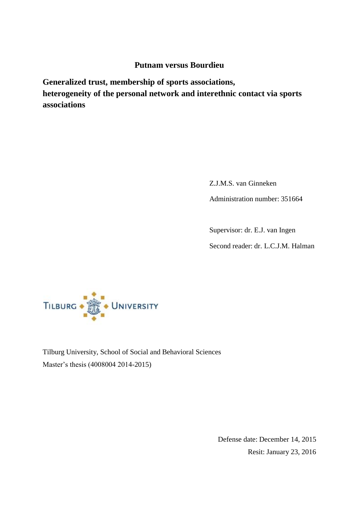# **Putnam versus Bourdieu**

**Generalized trust, membership of sports associations, heterogeneity of the personal network and interethnic contact via sports associations**

> Z.J.M.S. van Ginneken Administration number: 351664

Supervisor: dr. E.J. van Ingen

Second reader: dr. L.C.J.M. Halman



Tilburg University, School of Social and Behavioral Sciences Master's thesis (4008004 2014-2015)

> Defense date: December 14, 2015 Resit: January 23, 2016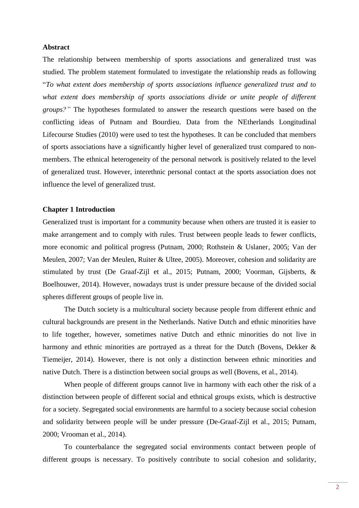### **Abstract**

The relationship between membership of sports associations and generalized trust was studied. The problem statement formulated to investigate the relationship reads as following "*To what extent does membership of sports associations influence generalized trust and to what extent does membership of sports associations divide or unite people of different groups?"* The hypotheses formulated to answer the research questions were based on the conflicting ideas of Putnam and Bourdieu. Data from the NEtherlands Longitudinal Lifecourse Studies (2010) were used to test the hypotheses. It can be concluded that members of sports associations have a significantly higher level of generalized trust compared to nonmembers. The ethnical heterogeneity of the personal network is positively related to the level of generalized trust. However, interethnic personal contact at the sports association does not influence the level of generalized trust.

#### **Chapter 1 Introduction**

Generalized trust is important for a community because when others are trusted it is easier to make arrangement and to comply with rules. Trust between people leads to fewer conflicts, more economic and political progress (Putnam, 2000; Rothstein & Uslaner, 2005; Van der Meulen, 2007; Van der Meulen, Ruiter & Ultee, 2005). Moreover, cohesion and solidarity are stimulated by trust (De Graaf-Zijl et al., 2015; Putnam, 2000; Voorman, Gijsberts, & Boelhouwer, 2014). However, nowadays trust is under pressure because of the divided social spheres different groups of people live in.

The Dutch society is a multicultural society because people from different ethnic and cultural backgrounds are present in the Netherlands. Native Dutch and ethnic minorities have to life together, however, sometimes native Dutch and ethnic minorities do not live in harmony and ethnic minorities are portrayed as a threat for the Dutch (Bovens, Dekker & Tiemeijer, 2014). However, there is not only a distinction between ethnic minorities and native Dutch. There is a distinction between social groups as well (Bovens, et al., 2014).

When people of different groups cannot live in harmony with each other the risk of a distinction between people of different social and ethnical groups exists, which is destructive for a society. Segregated social environments are harmful to a society because social cohesion and solidarity between people will be under pressure (De-Graaf-Zijl et al., 2015; Putnam, 2000; Vrooman et al., 2014).

To counterbalance the segregated social environments contact between people of different groups is necessary. To positively contribute to social cohesion and solidarity,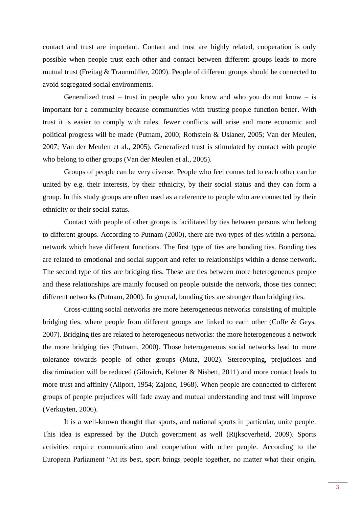contact and trust are important. Contact and trust are highly related, cooperation is only possible when people trust each other and contact between different groups leads to more mutual trust (Freitag & Traunmüller, 2009). People of different groups should be connected to avoid segregated social environments.

Generalized trust – trust in people who you know and who you do not know – is important for a community because communities with trusting people function better. With trust it is easier to comply with rules, fewer conflicts will arise and more economic and political progress will be made (Putnam, 2000; Rothstein & Uslaner, 2005; Van der Meulen, 2007; Van der Meulen et al., 2005). Generalized trust is stimulated by contact with people who belong to other groups (Van der Meulen et al., 2005).

Groups of people can be very diverse. People who feel connected to each other can be united by e.g. their interests, by their ethnicity, by their social status and they can form a group. In this study groups are often used as a reference to people who are connected by their ethnicity or their social status.

Contact with people of other groups is facilitated by ties between persons who belong to different groups. According to Putnam (2000), there are two types of ties within a personal network which have different functions. The first type of ties are bonding ties. Bonding ties are related to emotional and social support and refer to relationships within a dense network. The second type of ties are bridging ties. These are ties between more heterogeneous people and these relationships are mainly focused on people outside the network, those ties connect different networks (Putnam, 2000). In general, bonding ties are stronger than bridging ties.

Cross-cutting social networks are more heterogeneous networks consisting of multiple bridging ties, where people from different groups are linked to each other (Coffe & Geys, 2007). Bridging ties are related to heterogeneous networks: the more heterogeneous a network the more bridging ties (Putnam, 2000). Those heterogeneous social networks lead to more tolerance towards people of other groups (Mutz, 2002). Stereotyping, prejudices and discrimination will be reduced (Gilovich, Keltner & Nisbett, 2011) and more contact leads to more trust and affinity (Allport, 1954; Zajonc, 1968). When people are connected to different groups of people prejudices will fade away and mutual understanding and trust will improve (Verkuyten, 2006).

It is a well-known thought that sports, and national sports in particular, unite people. This idea is expressed by the Dutch government as well (Rijksoverheid, 2009). Sports activities require communication and cooperation with other people. According to the European Parliament "At its best, sport brings people together, no matter what their origin,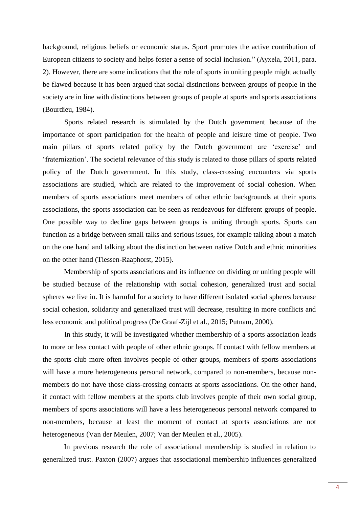background, religious beliefs or economic status. Sport promotes the active contribution of European citizens to society and helps foster a sense of social inclusion." (Ayxela, 2011, para. 2). However, there are some indications that the role of sports in uniting people might actually be flawed because it has been argued that social distinctions between groups of people in the society are in line with distinctions between groups of people at sports and sports associations (Bourdieu, 1984).

Sports related research is stimulated by the Dutch government because of the importance of sport participation for the health of people and leisure time of people. Two main pillars of sports related policy by the Dutch government are 'exercise' and 'fraternization'. The societal relevance of this study is related to those pillars of sports related policy of the Dutch government. In this study, class-crossing encounters via sports associations are studied, which are related to the improvement of social cohesion. When members of sports associations meet members of other ethnic backgrounds at their sports associations, the sports association can be seen as rendezvous for different groups of people. One possible way to decline gaps between groups is uniting through sports. Sports can function as a bridge between small talks and serious issues, for example talking about a match on the one hand and talking about the distinction between native Dutch and ethnic minorities on the other hand (Tiessen-Raaphorst, 2015).

Membership of sports associations and its influence on dividing or uniting people will be studied because of the relationship with social cohesion, generalized trust and social spheres we live in. It is harmful for a society to have different isolated social spheres because social cohesion, solidarity and generalized trust will decrease, resulting in more conflicts and less economic and political progress (De Graaf-Zijl et al., 2015; Putnam, 2000).

In this study, it will be investigated whether membership of a sports association leads to more or less contact with people of other ethnic groups. If contact with fellow members at the sports club more often involves people of other groups, members of sports associations will have a more heterogeneous personal network, compared to non-members, because nonmembers do not have those class-crossing contacts at sports associations. On the other hand, if contact with fellow members at the sports club involves people of their own social group, members of sports associations will have a less heterogeneous personal network compared to non-members, because at least the moment of contact at sports associations are not heterogeneous (Van der Meulen, 2007; Van der Meulen et al., 2005).

In previous research the role of associational membership is studied in relation to generalized trust. Paxton (2007) argues that associational membership influences generalized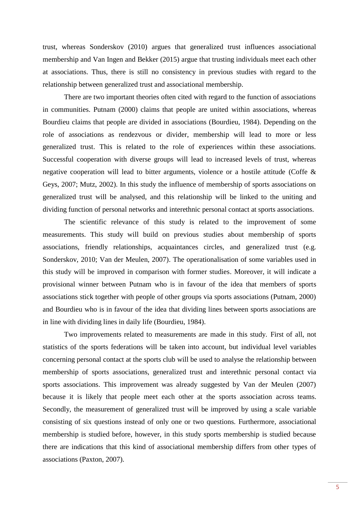trust, whereas Sonderskov (2010) argues that generalized trust influences associational membership and Van Ingen and Bekker (2015) argue that trusting individuals meet each other at associations. Thus, there is still no consistency in previous studies with regard to the relationship between generalized trust and associational membership.

There are two important theories often cited with regard to the function of associations in communities. Putnam (2000) claims that people are united within associations, whereas Bourdieu claims that people are divided in associations (Bourdieu, 1984). Depending on the role of associations as rendezvous or divider, membership will lead to more or less generalized trust. This is related to the role of experiences within these associations. Successful cooperation with diverse groups will lead to increased levels of trust, whereas negative cooperation will lead to bitter arguments, violence or a hostile attitude (Coffe & Geys, 2007; Mutz, 2002). In this study the influence of membership of sports associations on generalized trust will be analysed, and this relationship will be linked to the uniting and dividing function of personal networks and interethnic personal contact at sports associations.

The scientific relevance of this study is related to the improvement of some measurements. This study will build on previous studies about membership of sports associations, friendly relationships, acquaintances circles, and generalized trust (e.g. Sonderskov, 2010; Van der Meulen, 2007). The operationalisation of some variables used in this study will be improved in comparison with former studies. Moreover, it will indicate a provisional winner between Putnam who is in favour of the idea that members of sports associations stick together with people of other groups via sports associations (Putnam, 2000) and Bourdieu who is in favour of the idea that dividing lines between sports associations are in line with dividing lines in daily life (Bourdieu, 1984).

Two improvements related to measurements are made in this study. First of all, not statistics of the sports federations will be taken into account, but individual level variables concerning personal contact at the sports club will be used to analyse the relationship between membership of sports associations, generalized trust and interethnic personal contact via sports associations. This improvement was already suggested by Van der Meulen (2007) because it is likely that people meet each other at the sports association across teams. Secondly, the measurement of generalized trust will be improved by using a scale variable consisting of six questions instead of only one or two questions. Furthermore, associational membership is studied before, however, in this study sports membership is studied because there are indications that this kind of associational membership differs from other types of associations (Paxton, 2007).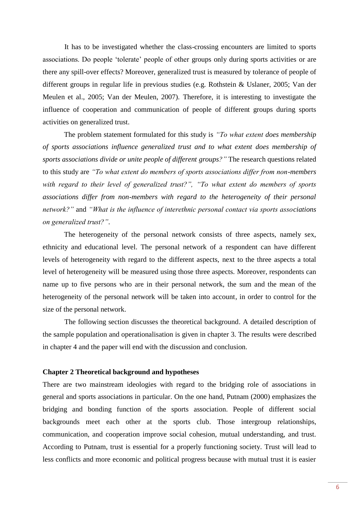It has to be investigated whether the class-crossing encounters are limited to sports associations. Do people 'tolerate' people of other groups only during sports activities or are there any spill-over effects? Moreover, generalized trust is measured by tolerance of people of different groups in regular life in previous studies (e.g. Rothstein & Uslaner, 2005; Van der Meulen et al., 2005; Van der Meulen, 2007). Therefore, it is interesting to investigate the influence of cooperation and communication of people of different groups during sports activities on generalized trust.

The problem statement formulated for this study is *"To what extent does membership of sports associations influence generalized trust and to what extent does membership of sports associations divide or unite people of different groups?"* The research questions related to this study are *"To what extent do members of sports associations differ from non-members with regard to their level of generalized trust?", "To what extent do members of sports associations differ from non-members with regard to the heterogeneity of their personal network?"* and *"What is the influence of interethnic personal contact via sports associations on generalized trust?"*.

The heterogeneity of the personal network consists of three aspects, namely sex, ethnicity and educational level. The personal network of a respondent can have different levels of heterogeneity with regard to the different aspects, next to the three aspects a total level of heterogeneity will be measured using those three aspects. Moreover, respondents can name up to five persons who are in their personal network, the sum and the mean of the heterogeneity of the personal network will be taken into account, in order to control for the size of the personal network.

The following section discusses the theoretical background. A detailed description of the sample population and operationalisation is given in chapter 3. The results were described in chapter 4 and the paper will end with the discussion and conclusion.

#### **Chapter 2 Theoretical background and hypotheses**

There are two mainstream ideologies with regard to the bridging role of associations in general and sports associations in particular. On the one hand, Putnam (2000) emphasizes the bridging and bonding function of the sports association. People of different social backgrounds meet each other at the sports club. Those intergroup relationships, communication, and cooperation improve social cohesion, mutual understanding, and trust. According to Putnam, trust is essential for a properly functioning society. Trust will lead to less conflicts and more economic and political progress because with mutual trust it is easier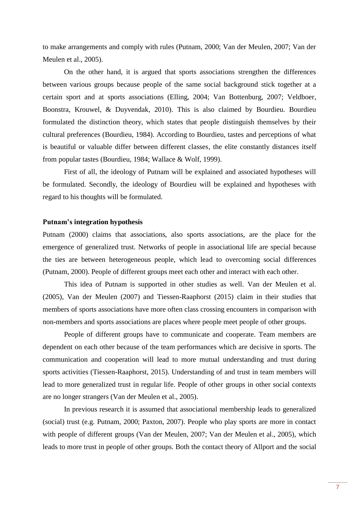to make arrangements and comply with rules (Putnam, 2000; Van der Meulen, 2007; Van der Meulen et al., 2005).

On the other hand, it is argued that sports associations strengthen the differences between various groups because people of the same social background stick together at a certain sport and at sports associations (Elling, 2004; Van Bottenburg, 2007; Veldboer, Boonstra, Krouwel, & Duyvendak, 2010). This is also claimed by Bourdieu. Bourdieu formulated the distinction theory, which states that people distinguish themselves by their cultural preferences (Bourdieu, 1984). According to Bourdieu, tastes and perceptions of what is beautiful or valuable differ between different classes, the elite constantly distances itself from popular tastes (Bourdieu, 1984; Wallace & Wolf, 1999).

First of all, the ideology of Putnam will be explained and associated hypotheses will be formulated. Secondly, the ideology of Bourdieu will be explained and hypotheses with regard to his thoughts will be formulated.

#### **Putnam's integration hypothesis**

Putnam (2000) claims that associations, also sports associations, are the place for the emergence of generalized trust. Networks of people in associational life are special because the ties are between heterogeneous people, which lead to overcoming social differences (Putnam, 2000). People of different groups meet each other and interact with each other.

This idea of Putnam is supported in other studies as well. Van der Meulen et al. (2005), Van der Meulen (2007) and Tiessen-Raaphorst (2015) claim in their studies that members of sports associations have more often class crossing encounters in comparison with non-members and sports associations are places where people meet people of other groups.

People of different groups have to communicate and cooperate. Team members are dependent on each other because of the team performances which are decisive in sports. The communication and cooperation will lead to more mutual understanding and trust during sports activities (Tiessen-Raaphorst, 2015). Understanding of and trust in team members will lead to more generalized trust in regular life. People of other groups in other social contexts are no longer strangers (Van der Meulen et al., 2005).

In previous research it is assumed that associational membership leads to generalized (social) trust (e.g. Putnam, 2000; Paxton, 2007). People who play sports are more in contact with people of different groups (Van der Meulen, 2007; Van der Meulen et al., 2005), which leads to more trust in people of other groups. Both the contact theory of Allport and the social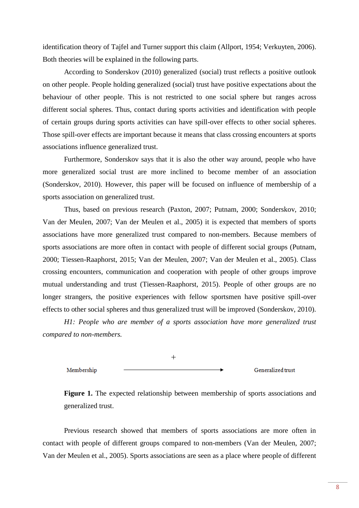identification theory of Tajfel and Turner support this claim (Allport, 1954; Verkuyten, 2006). Both theories will be explained in the following parts.

According to Sonderskov (2010) generalized (social) trust reflects a positive outlook on other people. People holding generalized (social) trust have positive expectations about the behaviour of other people. This is not restricted to one social sphere but ranges across different social spheres. Thus, contact during sports activities and identification with people of certain groups during sports activities can have spill-over effects to other social spheres. Those spill-over effects are important because it means that class crossing encounters at sports associations influence generalized trust.

Furthermore, Sonderskov says that it is also the other way around, people who have more generalized social trust are more inclined to become member of an association (Sonderskov, 2010). However, this paper will be focused on influence of membership of a sports association on generalized trust.

Thus, based on previous research (Paxton, 2007; Putnam, 2000; Sonderskov, 2010; Van der Meulen, 2007; Van der Meulen et al., 2005) it is expected that members of sports associations have more generalized trust compared to non-members. Because members of sports associations are more often in contact with people of different social groups (Putnam, 2000; Tiessen-Raaphorst, 2015; Van der Meulen, 2007; Van der Meulen et al., 2005). Class crossing encounters, communication and cooperation with people of other groups improve mutual understanding and trust (Tiessen-Raaphorst, 2015). People of other groups are no longer strangers, the positive experiences with fellow sportsmen have positive spill-over effects to other social spheres and thus generalized trust will be improved (Sonderskov, 2010).

*H1: People who are member of a sports association have more generalized trust compared to non-members.*



Figure 1. The expected relationship between membership of sports associations and generalized trust.

Previous research showed that members of sports associations are more often in contact with people of different groups compared to non-members (Van der Meulen, 2007; Van der Meulen et al., 2005). Sports associations are seen as a place where people of different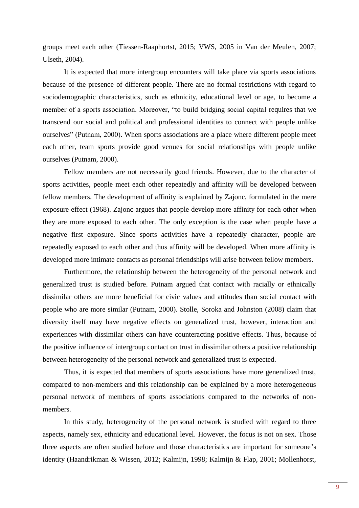groups meet each other (Tiessen-Raaphortst, 2015; VWS, 2005 in Van der Meulen, 2007; Ulseth, 2004).

It is expected that more intergroup encounters will take place via sports associations because of the presence of different people. There are no formal restrictions with regard to sociodemographic characteristics, such as ethnicity, educational level or age, to become a member of a sports association. Moreover, "to build bridging social capital requires that we transcend our social and political and professional identities to connect with people unlike ourselves" (Putnam, 2000). When sports associations are a place where different people meet each other, team sports provide good venues for social relationships with people unlike ourselves (Putnam, 2000).

Fellow members are not necessarily good friends. However, due to the character of sports activities, people meet each other repeatedly and affinity will be developed between fellow members. The development of affinity is explained by Zajonc, formulated in the mere exposure effect (1968). Zajonc argues that people develop more affinity for each other when they are more exposed to each other. The only exception is the case when people have a negative first exposure. Since sports activities have a repeatedly character, people are repeatedly exposed to each other and thus affinity will be developed. When more affinity is developed more intimate contacts as personal friendships will arise between fellow members.

Furthermore, the relationship between the heterogeneity of the personal network and generalized trust is studied before. Putnam argued that contact with racially or ethnically dissimilar others are more beneficial for civic values and attitudes than social contact with people who are more similar (Putnam, 2000). Stolle, Soroka and Johnston (2008) claim that diversity itself may have negative effects on generalized trust, however, interaction and experiences with dissimilar others can have counteracting positive effects. Thus, because of the positive influence of intergroup contact on trust in dissimilar others a positive relationship between heterogeneity of the personal network and generalized trust is expected.

Thus, it is expected that members of sports associations have more generalized trust, compared to non-members and this relationship can be explained by a more heterogeneous personal network of members of sports associations compared to the networks of nonmembers.

In this study, heterogeneity of the personal network is studied with regard to three aspects, namely sex, ethnicity and educational level. However, the focus is not on sex. Those three aspects are often studied before and those characteristics are important for someone's identity (Haandrikman & Wissen, 2012; Kalmijn, 1998; Kalmijn & Flap, 2001; Mollenhorst,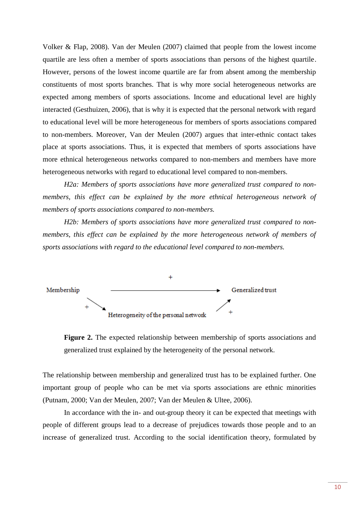Volker & Flap, 2008). Van der Meulen (2007) claimed that people from the lowest income quartile are less often a member of sports associations than persons of the highest quartile. However, persons of the lowest income quartile are far from absent among the membership constituents of most sports branches. That is why more social heterogeneous networks are expected among members of sports associations. Income and educational level are highly interacted (Gesthuizen, 2006), that is why it is expected that the personal network with regard to educational level will be more heterogeneous for members of sports associations compared to non-members. Moreover, Van der Meulen (2007) argues that inter-ethnic contact takes place at sports associations. Thus, it is expected that members of sports associations have more ethnical heterogeneous networks compared to non-members and members have more heterogeneous networks with regard to educational level compared to non-members.

*H2a: Members of sports associations have more generalized trust compared to nonmembers, this effect can be explained by the more ethnical heterogeneous network of members of sports associations compared to non-members.*

*H2b: Members of sports associations have more generalized trust compared to nonmembers, this effect can be explained by the more heterogeneous network of members of sports associations with regard to the educational level compared to non-members.*



**Figure 2.** The expected relationship between membership of sports associations and generalized trust explained by the heterogeneity of the personal network.

The relationship between membership and generalized trust has to be explained further. One important group of people who can be met via sports associations are ethnic minorities (Putnam, 2000; Van der Meulen, 2007; Van der Meulen & Ultee, 2006).

In accordance with the in- and out-group theory it can be expected that meetings with people of different groups lead to a decrease of prejudices towards those people and to an increase of generalized trust. According to the social identification theory, formulated by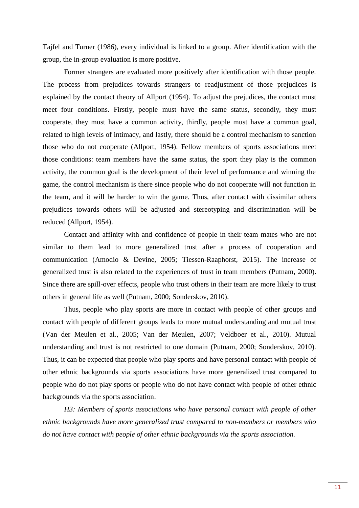Tajfel and Turner (1986), every individual is linked to a group. After identification with the group, the in-group evaluation is more positive.

Former strangers are evaluated more positively after identification with those people. The process from prejudices towards strangers to readjustment of those prejudices is explained by the contact theory of Allport (1954). To adjust the prejudices, the contact must meet four conditions. Firstly, people must have the same status, secondly, they must cooperate, they must have a common activity, thirdly, people must have a common goal, related to high levels of intimacy, and lastly, there should be a control mechanism to sanction those who do not cooperate (Allport, 1954). Fellow members of sports associations meet those conditions: team members have the same status, the sport they play is the common activity, the common goal is the development of their level of performance and winning the game, the control mechanism is there since people who do not cooperate will not function in the team, and it will be harder to win the game. Thus, after contact with dissimilar others prejudices towards others will be adjusted and stereotyping and discrimination will be reduced (Allport, 1954).

Contact and affinity with and confidence of people in their team mates who are not similar to them lead to more generalized trust after a process of cooperation and communication (Amodio & Devine, 2005; Tiessen-Raaphorst, 2015). The increase of generalized trust is also related to the experiences of trust in team members (Putnam, 2000). Since there are spill-over effects, people who trust others in their team are more likely to trust others in general life as well (Putnam, 2000; Sonderskov, 2010).

Thus, people who play sports are more in contact with people of other groups and contact with people of different groups leads to more mutual understanding and mutual trust (Van der Meulen et al., 2005; Van der Meulen, 2007; Veldboer et al., 2010). Mutual understanding and trust is not restricted to one domain (Putnam, 2000; Sonderskov, 2010). Thus, it can be expected that people who play sports and have personal contact with people of other ethnic backgrounds via sports associations have more generalized trust compared to people who do not play sports or people who do not have contact with people of other ethnic backgrounds via the sports association.

*H3: Members of sports associations who have personal contact with people of other ethnic backgrounds have more generalized trust compared to non-members or members who do not have contact with people of other ethnic backgrounds via the sports association.*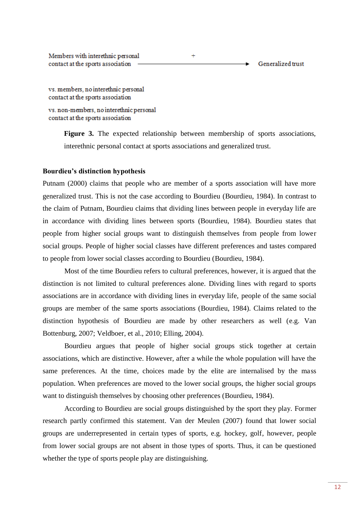Members with interethnic personal  $\ddot{}$ contact at the sports association Generalized trust

vs. members, no interethnic personal contact at the sports association

vs. non-members, no interethnic personal contact at the sports association

> Figure 3. The expected relationship between membership of sports associations, interethnic personal contact at sports associations and generalized trust.

### **Bourdieu's distinction hypothesis**

Putnam (2000) claims that people who are member of a sports association will have more generalized trust. This is not the case according to Bourdieu (Bourdieu, 1984). In contrast to the claim of Putnam, Bourdieu claims that dividing lines between people in everyday life are in accordance with dividing lines between sports (Bourdieu, 1984). Bourdieu states that people from higher social groups want to distinguish themselves from people from lower social groups. People of higher social classes have different preferences and tastes compared to people from lower social classes according to Bourdieu (Bourdieu, 1984).

Most of the time Bourdieu refers to cultural preferences, however, it is argued that the distinction is not limited to cultural preferences alone. Dividing lines with regard to sports associations are in accordance with dividing lines in everyday life, people of the same social groups are member of the same sports associations (Bourdieu, 1984). Claims related to the distinction hypothesis of Bourdieu are made by other researchers as well (e.g. Van Bottenburg, 2007; Veldboer, et al., 2010; Elling, 2004).

Bourdieu argues that people of higher social groups stick together at certain associations, which are distinctive. However, after a while the whole population will have the same preferences. At the time, choices made by the elite are internalised by the mass population. When preferences are moved to the lower social groups, the higher social groups want to distinguish themselves by choosing other preferences (Bourdieu, 1984).

According to Bourdieu are social groups distinguished by the sport they play. Former research partly confirmed this statement. Van der Meulen (2007) found that lower social groups are underrepresented in certain types of sports, e.g. hockey, golf, however, people from lower social groups are not absent in those types of sports. Thus, it can be questioned whether the type of sports people play are distinguishing.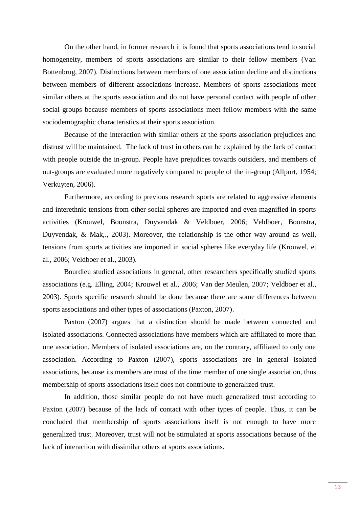On the other hand, in former research it is found that sports associations tend to social homogeneity, members of sports associations are similar to their fellow members (Van Bottenbrug, 2007). Distinctions between members of one association decline and distinctions between members of different associations increase. Members of sports associations meet similar others at the sports association and do not have personal contact with people of other social groups because members of sports associations meet fellow members with the same sociodemographic characteristics at their sports association.

Because of the interaction with similar others at the sports association prejudices and distrust will be maintained. The lack of trust in others can be explained by the lack of contact with people outside the in-group. People have prejudices towards outsiders, and members of out-groups are evaluated more negatively compared to people of the in-group (Allport, 1954; Verkuyten, 2006).

Furthermore, according to previous research sports are related to aggressive elements and interethnic tensions from other social spheres are imported and even magnified in sports activities (Krouwel, Boonstra, Duyvendak & Veldboer, 2006; Veldboer, Boonstra, Duyvendak, & Mak,., 2003). Moreover, the relationship is the other way around as well, tensions from sports activities are imported in social spheres like everyday life (Krouwel, et al., 2006; Veldboer et al., 2003).

Bourdieu studied associations in general, other researchers specifically studied sports associations (e.g. Elling, 2004; Krouwel et al., 2006; Van der Meulen, 2007; Veldboer et al., 2003). Sports specific research should be done because there are some differences between sports associations and other types of associations (Paxton, 2007).

Paxton (2007) argues that a distinction should be made between connected and isolated associations. Connected associations have members which are affiliated to more than one association. Members of isolated associations are, on the contrary, affiliated to only one association. According to Paxton (2007), sports associations are in general isolated associations, because its members are most of the time member of one single association, thus membership of sports associations itself does not contribute to generalized trust.

In addition, those similar people do not have much generalized trust according to Paxton (2007) because of the lack of contact with other types of people. Thus, it can be concluded that membership of sports associations itself is not enough to have more generalized trust. Moreover, trust will not be stimulated at sports associations because of the lack of interaction with dissimilar others at sports associations.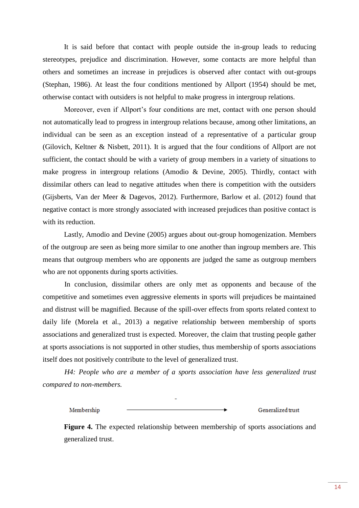It is said before that contact with people outside the in-group leads to reducing stereotypes, prejudice and discrimination. However, some contacts are more helpful than others and sometimes an increase in prejudices is observed after contact with out-groups (Stephan, 1986). At least the four conditions mentioned by Allport (1954) should be met, otherwise contact with outsiders is not helpful to make progress in intergroup relations.

Moreover, even if Allport's four conditions are met, contact with one person should not automatically lead to progress in intergroup relations because, among other limitations, an individual can be seen as an exception instead of a representative of a particular group (Gilovich, Keltner & Nisbett, 2011). It is argued that the four conditions of Allport are not sufficient, the contact should be with a variety of group members in a variety of situations to make progress in intergroup relations (Amodio & Devine, 2005). Thirdly, contact with dissimilar others can lead to negative attitudes when there is competition with the outsiders (Gijsberts, Van der Meer & Dagevos, 2012). Furthermore, Barlow et al. (2012) found that negative contact is more strongly associated with increased prejudices than positive contact is with its reduction.

Lastly, Amodio and Devine (2005) argues about out-group homogenization. Members of the outgroup are seen as being more similar to one another than ingroup members are. This means that outgroup members who are opponents are judged the same as outgroup members who are not opponents during sports activities.

In conclusion, dissimilar others are only met as opponents and because of the competitive and sometimes even aggressive elements in sports will prejudices be maintained and distrust will be magnified. Because of the spill-over effects from sports related context to daily life (Morela et al., 2013) a negative relationship between membership of sports associations and generalized trust is expected. Moreover, the claim that trusting people gather at sports associations is not supported in other studies, thus membership of sports associations itself does not positively contribute to the level of generalized trust.

*H4: People who are a member of a sports association have less generalized trust compared to non-members.*

Generalized trust Membership

**Figure 4.** The expected relationship between membership of sports associations and generalized trust.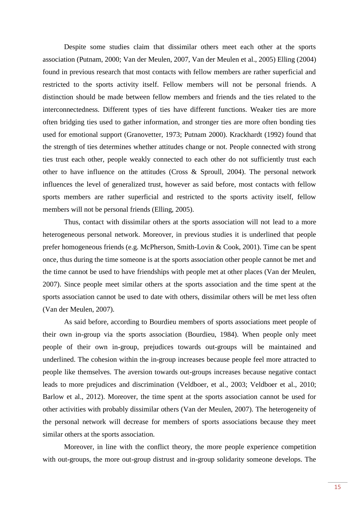Despite some studies claim that dissimilar others meet each other at the sports association (Putnam, 2000; Van der Meulen, 2007, Van der Meulen et al., 2005) Elling (2004) found in previous research that most contacts with fellow members are rather superficial and restricted to the sports activity itself. Fellow members will not be personal friends. A distinction should be made between fellow members and friends and the ties related to the interconnectedness. Different types of ties have different functions. Weaker ties are more often bridging ties used to gather information, and stronger ties are more often bonding ties used for emotional support (Granovetter, 1973; Putnam 2000). Krackhardt (1992) found that the strength of ties determines whether attitudes change or not. People connected with strong ties trust each other, people weakly connected to each other do not sufficiently trust each other to have influence on the attitudes (Cross & Sproull, 2004). The personal network influences the level of generalized trust, however as said before, most contacts with fellow sports members are rather superficial and restricted to the sports activity itself, fellow members will not be personal friends (Elling, 2005).

Thus, contact with dissimilar others at the sports association will not lead to a more heterogeneous personal network. Moreover, in previous studies it is underlined that people prefer homogeneous friends (e.g. McPherson, Smith-Lovin & Cook, 2001). Time can be spent once, thus during the time someone is at the sports association other people cannot be met and the time cannot be used to have friendships with people met at other places (Van der Meulen, 2007). Since people meet similar others at the sports association and the time spent at the sports association cannot be used to date with others, dissimilar others will be met less often (Van der Meulen, 2007).

As said before, according to Bourdieu members of sports associations meet people of their own in-group via the sports association (Bourdieu, 1984). When people only meet people of their own in-group, prejudices towards out-groups will be maintained and underlined. The cohesion within the in-group increases because people feel more attracted to people like themselves. The aversion towards out-groups increases because negative contact leads to more prejudices and discrimination (Veldboer, et al., 2003; Veldboer et al., 2010; Barlow et al., 2012). Moreover, the time spent at the sports association cannot be used for other activities with probably dissimilar others (Van der Meulen, 2007). The heterogeneity of the personal network will decrease for members of sports associations because they meet similar others at the sports association.

Moreover, in line with the conflict theory, the more people experience competition with out-groups, the more out-group distrust and in-group solidarity someone develops. The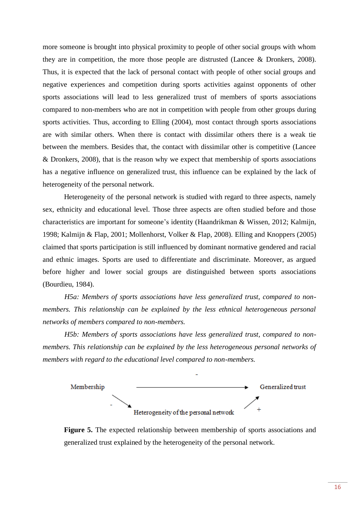more someone is brought into physical proximity to people of other social groups with whom they are in competition, the more those people are distrusted (Lancee & Dronkers, 2008). Thus, it is expected that the lack of personal contact with people of other social groups and negative experiences and competition during sports activities against opponents of other sports associations will lead to less generalized trust of members of sports associations compared to non-members who are not in competition with people from other groups during sports activities. Thus, according to Elling (2004), most contact through sports associations are with similar others. When there is contact with dissimilar others there is a weak tie between the members. Besides that, the contact with dissimilar other is competitive (Lancee & Dronkers, 2008), that is the reason why we expect that membership of sports associations has a negative influence on generalized trust, this influence can be explained by the lack of heterogeneity of the personal network.

Heterogeneity of the personal network is studied with regard to three aspects, namely sex, ethnicity and educational level. Those three aspects are often studied before and those characteristics are important for someone's identity (Haandrikman & Wissen, 2012; Kalmijn, 1998; Kalmijn & Flap, 2001; Mollenhorst, Volker & Flap, 2008). Elling and Knoppers (2005) claimed that sports participation is still influenced by dominant normative gendered and racial and ethnic images. Sports are used to differentiate and discriminate. Moreover, as argued before higher and lower social groups are distinguished between sports associations (Bourdieu, 1984).

*H5a: Members of sports associations have less generalized trust, compared to nonmembers. This relationship can be explained by the less ethnical heterogeneous personal networks of members compared to non-members.*

*H5b: Members of sports associations have less generalized trust, compared to nonmembers. This relationship can be explained by the less heterogeneous personal networks of members with regard to the educational level compared to non-members.*



**Figure 5.** The expected relationship between membership of sports associations and generalized trust explained by the heterogeneity of the personal network.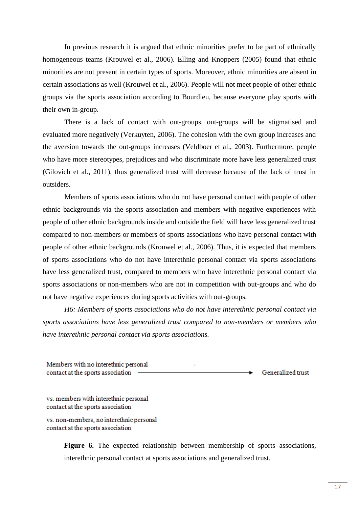In previous research it is argued that ethnic minorities prefer to be part of ethnically homogeneous teams (Krouwel et al., 2006). Elling and Knoppers (2005) found that ethnic minorities are not present in certain types of sports. Moreover, ethnic minorities are absent in certain associations as well (Krouwel et al., 2006). People will not meet people of other ethnic groups via the sports association according to Bourdieu, because everyone play sports with their own in-group.

There is a lack of contact with out-groups, out-groups will be stigmatised and evaluated more negatively (Verkuyten, 2006). The cohesion with the own group increases and the aversion towards the out-groups increases (Veldboer et al., 2003). Furthermore, people who have more stereotypes, prejudices and who discriminate more have less generalized trust (Gilovich et al., 2011), thus generalized trust will decrease because of the lack of trust in outsiders.

Members of sports associations who do not have personal contact with people of other ethnic backgrounds via the sports association and members with negative experiences with people of other ethnic backgrounds inside and outside the field will have less generalized trust compared to non-members or members of sports associations who have personal contact with people of other ethnic backgrounds (Krouwel et al., 2006). Thus, it is expected that members of sports associations who do not have interethnic personal contact via sports associations have less generalized trust, compared to members who have interethnic personal contact via sports associations or non-members who are not in competition with out-groups and who do not have negative experiences during sports activities with out-groups.

*H6: Members of sports associations who do not have interethnic personal contact via sports associations have less generalized trust compared to non-members or members who have interethnic personal contact via sports associations.* 

Members with no interethnic personal contact at the sports association Generalized trust

vs. members with interethnic personal contact at the sports association

vs. non-members, no interethnic personal contact at the sports association

> Figure 6. The expected relationship between membership of sports associations, interethnic personal contact at sports associations and generalized trust.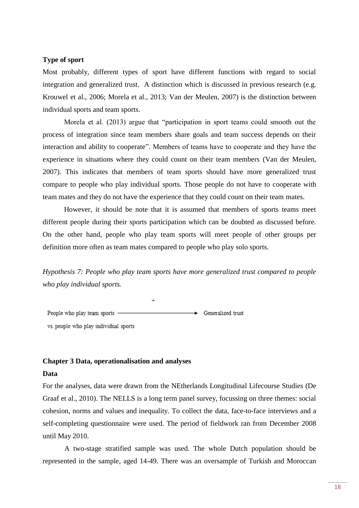#### **Type of sport**

Most probably, different types of sport have different functions with regard to social integration and generalized trust. A distinction which is discussed in previous research (e.g. Krouwel et al., 2006; Morela et al., 2013; Van der Meulen, 2007) is the distinction between individual sports and team sports.

Morela et al. (2013) argue that "participation in sport teams could smooth out the process of integration since team members share goals and team success depends on their interaction and ability to cooperate". Members of teams have to cooperate and they have the experience in situations where they could count on their team members (Van der Meulen, 2007). This indicates that members of team sports should have more generalized trust compare to people who play individual sports. Those people do not have to cooperate with team mates and they do not have the experience that they could count on their team mates.

However, it should be note that it is assumed that members of sports teams meet different people during their sports participation which can be doubted as discussed before. On the other hand, people who play team sports will meet people of other groups per definition more often as team mates compared to people who play solo sports.

*Hypothesis 7: People who play team sports have more generalized trust compared to people who play individual sports.*

People who play team sports Generalized trust vs. people who play individual sports

#### **Chapter 3 Data, operationalisation and analyses**

#### **Data**

For the analyses, data were drawn from the NEtherlands Longitudinal Lifecourse Studies (De Graaf et al., 2010). The NELLS is a long term panel survey, focussing on three themes: social cohesion, norms and values and inequality. To collect the data, face-to-face interviews and a self-completing questionnaire were used. The period of fieldwork ran from December 2008 until May 2010.

A two-stage stratified sample was used. The whole Dutch population should be represented in the sample, aged 14-49. There was an oversample of Turkish and Moroccan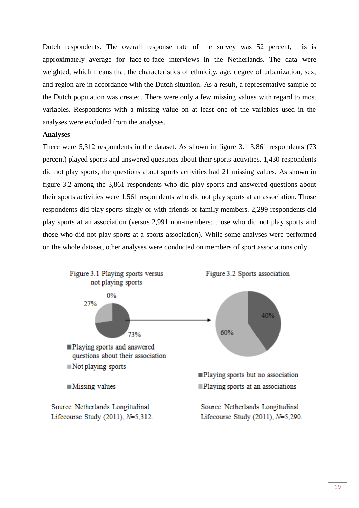Dutch respondents. The overall response rate of the survey was 52 percent, this is approximately average for face-to-face interviews in the Netherlands. The data were weighted, which means that the characteristics of ethnicity, age, degree of urbanization, sex, and region are in accordance with the Dutch situation. As a result, a representative sample of the Dutch population was created. There were only a few missing values with regard to most variables. Respondents with a missing value on at least one of the variables used in the analyses were excluded from the analyses.

#### **Analyses**

There were 5,312 respondents in the dataset. As shown in figure 3.1 3,861 respondents (73 percent) played sports and answered questions about their sports activities. 1,430 respondents did not play sports, the questions about sports activities had 21 missing values. As shown in figure 3.2 among the 3,861 respondents who did play sports and answered questions about their sports activities were 1,561 respondents who did not play sports at an association. Those respondents did play sports singly or with friends or family members. 2,299 respondents did play sports at an association (versus 2,991 non-members: those who did not play sports and those who did not play sports at a sports association). While some analyses were performed on the whole dataset, other analyses were conducted on members of sport associations only.

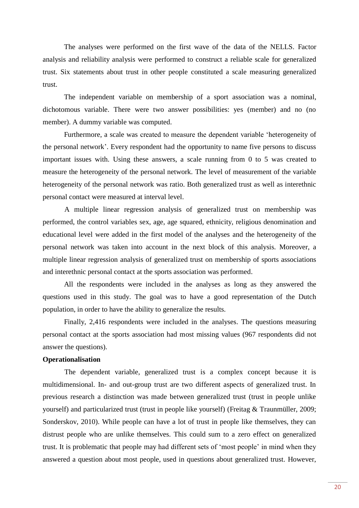The analyses were performed on the first wave of the data of the NELLS. Factor analysis and reliability analysis were performed to construct a reliable scale for generalized trust. Six statements about trust in other people constituted a scale measuring generalized trust.

The independent variable on membership of a sport association was a nominal, dichotomous variable. There were two answer possibilities: yes (member) and no (no member). A dummy variable was computed.

Furthermore, a scale was created to measure the dependent variable 'heterogeneity of the personal network'. Every respondent had the opportunity to name five persons to discuss important issues with. Using these answers, a scale running from 0 to 5 was created to measure the heterogeneity of the personal network. The level of measurement of the variable heterogeneity of the personal network was ratio. Both generalized trust as well as interethnic personal contact were measured at interval level.

A multiple linear regression analysis of generalized trust on membership was performed, the control variables sex, age, age squared, ethnicity, religious denomination and educational level were added in the first model of the analyses and the heterogeneity of the personal network was taken into account in the next block of this analysis. Moreover, a multiple linear regression analysis of generalized trust on membership of sports associations and interethnic personal contact at the sports association was performed.

All the respondents were included in the analyses as long as they answered the questions used in this study. The goal was to have a good representation of the Dutch population, in order to have the ability to generalize the results.

Finally, 2,416 respondents were included in the analyses. The questions measuring personal contact at the sports association had most missing values (967 respondents did not answer the questions).

### **Operationalisation**

The dependent variable, generalized trust is a complex concept because it is multidimensional. In- and out-group trust are two different aspects of generalized trust. In previous research a distinction was made between generalized trust (trust in people unlike yourself) and particularized trust (trust in people like yourself) (Freitag & Traunmüller, 2009; Sonderskov, 2010). While people can have a lot of trust in people like themselves, they can distrust people who are unlike themselves. This could sum to a zero effect on generalized trust. It is problematic that people may had different sets of 'most people' in mind when they answered a question about most people, used in questions about generalized trust. However,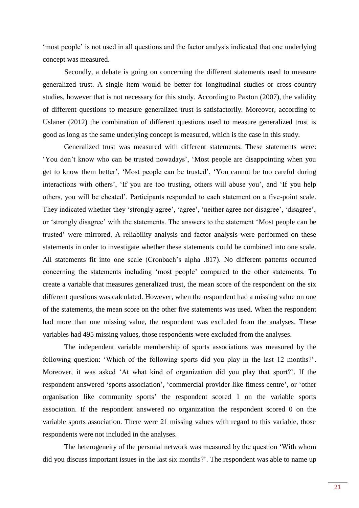'most people' is not used in all questions and the factor analysis indicated that one underlying concept was measured.

Secondly, a debate is going on concerning the different statements used to measure generalized trust. A single item would be better for longitudinal studies or cross-country studies, however that is not necessary for this study. According to Paxton (2007), the validity of different questions to measure generalized trust is satisfactorily. Moreover, according to Uslaner (2012) the combination of different questions used to measure generalized trust is good as long as the same underlying concept is measured, which is the case in this study.

Generalized trust was measured with different statements. These statements were: 'You don't know who can be trusted nowadays', 'Most people are disappointing when you get to know them better', 'Most people can be trusted', 'You cannot be too careful during interactions with others', 'If you are too trusting, others will abuse you', and 'If you help others, you will be cheated'. Participants responded to each statement on a five-point scale. They indicated whether they 'strongly agree', 'agree', 'neither agree nor disagree', 'disagree', or 'strongly disagree' with the statements. The answers to the statement 'Most people can be trusted' were mirrored. A reliability analysis and factor analysis were performed on these statements in order to investigate whether these statements could be combined into one scale. All statements fit into one scale (Cronbach's alpha .817). No different patterns occurred concerning the statements including 'most people' compared to the other statements. To create a variable that measures generalized trust, the mean score of the respondent on the six different questions was calculated. However, when the respondent had a missing value on one of the statements, the mean score on the other five statements was used. When the respondent had more than one missing value, the respondent was excluded from the analyses. These variables had 495 missing values, those respondents were excluded from the analyses.

The independent variable membership of sports associations was measured by the following question: 'Which of the following sports did you play in the last 12 months?'. Moreover, it was asked 'At what kind of organization did you play that sport?'. If the respondent answered 'sports association', 'commercial provider like fitness centre', or 'other organisation like community sports' the respondent scored 1 on the variable sports association. If the respondent answered no organization the respondent scored 0 on the variable sports association. There were 21 missing values with regard to this variable, those respondents were not included in the analyses.

The heterogeneity of the personal network was measured by the question 'With whom did you discuss important issues in the last six months?'. The respondent was able to name up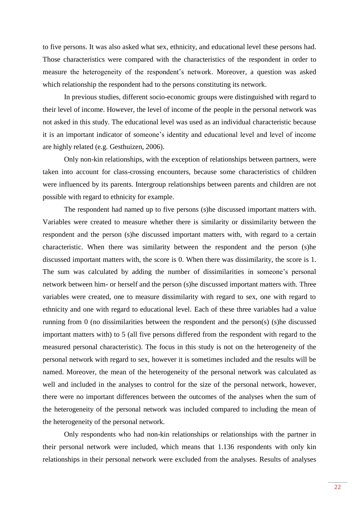to five persons. It was also asked what sex, ethnicity, and educational level these persons had. Those characteristics were compared with the characteristics of the respondent in order to measure the heterogeneity of the respondent's network. Moreover, a question was asked which relationship the respondent had to the persons constituting its network.

In previous studies, different socio-economic groups were distinguished with regard to their level of income. However, the level of income of the people in the personal network was not asked in this study. The educational level was used as an individual characteristic because it is an important indicator of someone's identity and educational level and level of income are highly related (e.g. Gesthuizen, 2006).

Only non-kin relationships, with the exception of relationships between partners, were taken into account for class-crossing encounters, because some characteristics of children were influenced by its parents. Intergroup relationships between parents and children are not possible with regard to ethnicity for example.

The respondent had named up to five persons (s)he discussed important matters with. Variables were created to measure whether there is similarity or dissimilarity between the respondent and the person (s)he discussed important matters with, with regard to a certain characteristic. When there was similarity between the respondent and the person (s)he discussed important matters with, the score is 0. When there was dissimilarity, the score is 1. The sum was calculated by adding the number of dissimilarities in someone's personal network between him- or herself and the person (s)he discussed important matters with. Three variables were created, one to measure dissimilarity with regard to sex, one with regard to ethnicity and one with regard to educational level. Each of these three variables had a value running from 0 (no dissimilarities between the respondent and the person(s) (s)he discussed important matters with) to 5 (all five persons differed from the respondent with regard to the measured personal characteristic). The focus in this study is not on the heterogeneity of the personal network with regard to sex, however it is sometimes included and the results will be named. Moreover, the mean of the heterogeneity of the personal network was calculated as well and included in the analyses to control for the size of the personal network, however, there were no important differences between the outcomes of the analyses when the sum of the heterogeneity of the personal network was included compared to including the mean of the heterogeneity of the personal network.

Only respondents who had non-kin relationships or relationships with the partner in their personal network were included, which means that 1.136 respondents with only kin relationships in their personal network were excluded from the analyses. Results of analyses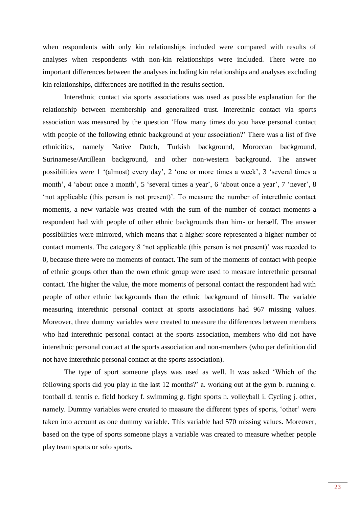when respondents with only kin relationships included were compared with results of analyses when respondents with non-kin relationships were included. There were no important differences between the analyses including kin relationships and analyses excluding kin relationships, differences are notified in the results section.

Interethnic contact via sports associations was used as possible explanation for the relationship between membership and generalized trust. Interethnic contact via sports association was measured by the question 'How many times do you have personal contact with people of the following ethnic background at your association?' There was a list of five ethnicities, namely Native Dutch, Turkish background, Moroccan background, Surinamese/Antillean background, and other non-western background. The answer possibilities were 1 '(almost) every day', 2 'one or more times a week', 3 'several times a month', 4 'about once a month', 5 'several times a year', 6 'about once a year', 7 'never', 8 'not applicable (this person is not present)'. To measure the number of interethnic contact moments, a new variable was created with the sum of the number of contact moments a respondent had with people of other ethnic backgrounds than him- or herself. The answer possibilities were mirrored, which means that a higher score represented a higher number of contact moments. The category 8 'not applicable (this person is not present)' was recoded to 0, because there were no moments of contact. The sum of the moments of contact with people of ethnic groups other than the own ethnic group were used to measure interethnic personal contact. The higher the value, the more moments of personal contact the respondent had with people of other ethnic backgrounds than the ethnic background of himself. The variable measuring interethnic personal contact at sports associations had 967 missing values. Moreover, three dummy variables were created to measure the differences between members who had interethnic personal contact at the sports association, members who did not have interethnic personal contact at the sports association and non-members (who per definition did not have interethnic personal contact at the sports association).

The type of sport someone plays was used as well. It was asked 'Which of the following sports did you play in the last 12 months?' a. working out at the gym b. running c. football d. tennis e. field hockey f. swimming g. fight sports h. volleyball i. Cycling j. other, namely. Dummy variables were created to measure the different types of sports, 'other' were taken into account as one dummy variable. This variable had 570 missing values. Moreover, based on the type of sports someone plays a variable was created to measure whether people play team sports or solo sports.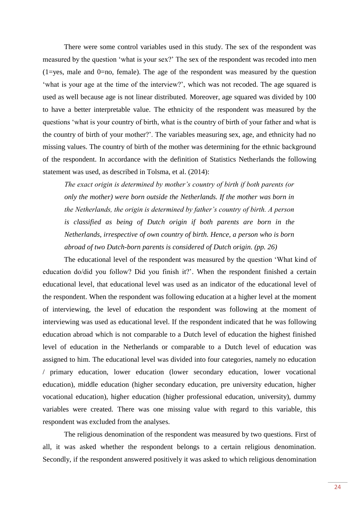There were some control variables used in this study. The sex of the respondent was measured by the question 'what is your sex?' The sex of the respondent was recoded into men  $(1 = yes, male and 0 = no, female).$  The age of the respondent was measured by the question 'what is your age at the time of the interview?', which was not recoded. The age squared is used as well because age is not linear distributed. Moreover, age squared was divided by 100 to have a better interpretable value. The ethnicity of the respondent was measured by the questions 'what is your country of birth, what is the country of birth of your father and what is the country of birth of your mother?'. The variables measuring sex, age, and ethnicity had no missing values. The country of birth of the mother was determining for the ethnic background of the respondent. In accordance with the definition of Statistics Netherlands the following statement was used, as described in Tolsma, et al. (2014):

*The exact origin is determined by mother's country of birth if both parents (or only the mother) were born outside the Netherlands. If the mother was born in the Netherlands, the origin is determined by father's country of birth. A person is classified as being of Dutch origin if both parents are born in the Netherlands, irrespective of own country of birth. Hence, a person who is born abroad of two Dutch-born parents is considered of Dutch origin. (pp. 26)* 

The educational level of the respondent was measured by the question 'What kind of education do/did you follow? Did you finish it?'. When the respondent finished a certain educational level, that educational level was used as an indicator of the educational level of the respondent. When the respondent was following education at a higher level at the moment of interviewing, the level of education the respondent was following at the moment of interviewing was used as educational level. If the respondent indicated that he was following education abroad which is not comparable to a Dutch level of education the highest finished level of education in the Netherlands or comparable to a Dutch level of education was assigned to him. The educational level was divided into four categories, namely no education / primary education, lower education (lower secondary education, lower vocational education), middle education (higher secondary education, pre university education, higher vocational education), higher education (higher professional education, university), dummy variables were created. There was one missing value with regard to this variable, this respondent was excluded from the analyses.

The religious denomination of the respondent was measured by two questions. First of all, it was asked whether the respondent belongs to a certain religious denomination. Secondly, if the respondent answered positively it was asked to which religious denomination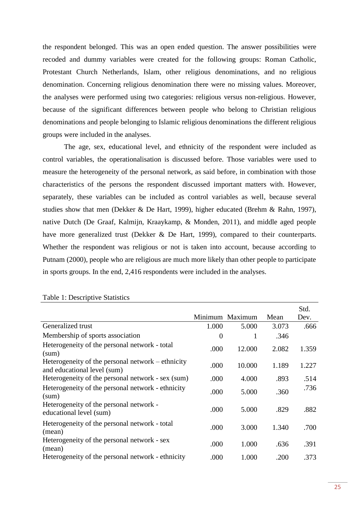the respondent belonged. This was an open ended question. The answer possibilities were recoded and dummy variables were created for the following groups: Roman Catholic, Protestant Church Netherlands, Islam, other religious denominations, and no religious denomination. Concerning religious denomination there were no missing values. Moreover, the analyses were performed using two categories: religious versus non-religious. However, because of the significant differences between people who belong to Christian religious denominations and people belonging to Islamic religious denominations the different religious groups were included in the analyses.

The age, sex, educational level, and ethnicity of the respondent were included as control variables, the operationalisation is discussed before. Those variables were used to measure the heterogeneity of the personal network, as said before, in combination with those characteristics of the persons the respondent discussed important matters with. However, separately, these variables can be included as control variables as well, because several studies show that men (Dekker & De Hart, 1999), higher educated (Brehm & Rahn, 1997), native Dutch (De Graaf, Kalmijn, Kraaykamp, & Monden, 2011), and middle aged people have more generalized trust (Dekker & De Hart, 1999), compared to their counterparts. Whether the respondent was religious or not is taken into account, because according to Putnam (2000), people who are religious are much more likely than other people to participate in sports groups. In the end, 2,416 respondents were included in the analyses.

|                                                                                  |                | Minimum Maximum | Mean  | Std.<br>Dev. |
|----------------------------------------------------------------------------------|----------------|-----------------|-------|--------------|
| Generalized trust                                                                | 1.000          | 5.000           | 3.073 | .666         |
| Membership of sports association                                                 | $\overline{0}$ | 1               | .346  |              |
| Heterogeneity of the personal network - total<br>(sum)                           | .000           | 12.000          | 2.082 | 1.359        |
| Heterogeneity of the personal network – ethnicity<br>and educational level (sum) | .000           | 10.000          | 1.189 | 1.227        |
| Heterogeneity of the personal network - sex (sum)                                | .000           | 4.000           | .893  | .514         |
| Heterogeneity of the personal network - ethnicity<br>(sum)                       | .000           | 5.000           | .360  | .736         |
| Heterogeneity of the personal network -<br>educational level (sum)               | .000           | 5.000           | .829  | .882         |
| Heterogeneity of the personal network - total<br>(mean)                          | .000           | 3.000           | 1.340 | .700         |
| Heterogeneity of the personal network - sex<br>(mean)                            | .000           | 1.000           | .636  | .391         |
| Heterogeneity of the personal network - ethnicity                                | .000           | 1.000           | .200  | .373         |

#### Table 1: Descriptive Statistics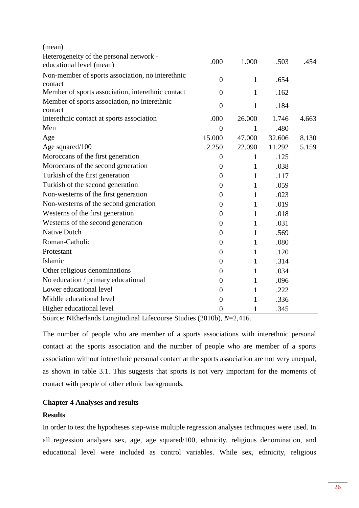| (mean)                                                              |                  |              |        |       |
|---------------------------------------------------------------------|------------------|--------------|--------|-------|
| Heterogeneity of the personal network -<br>educational level (mean) | .000             | 1.000        | .503   | .454  |
| Non-member of sports association, no interethnic<br>contact         | $\overline{0}$   | $\mathbf{1}$ | .654   |       |
| Member of sports association, interethnic contact                   | $\overline{0}$   | 1            | .162   |       |
| Member of sports association, no interethnic<br>contact             | $\overline{0}$   | $\mathbf{1}$ | .184   |       |
| Interethnic contact at sports association                           | .000             | 26.000       | 1.746  | 4.663 |
| Men                                                                 | $\overline{0}$   | 1            | .480   |       |
| Age                                                                 | 15.000           | 47.000       | 32.606 | 8.130 |
| Age squared/100                                                     | 2.250            | 22.090       | 11.292 | 5.159 |
| Moroccans of the first generation                                   | $\theta$         | 1            | .125   |       |
| Moroccans of the second generation                                  | $\boldsymbol{0}$ | $\mathbf{1}$ | .038   |       |
| Turkish of the first generation                                     | $\boldsymbol{0}$ | $\mathbf{1}$ | .117   |       |
| Turkish of the second generation                                    | $\boldsymbol{0}$ | $\mathbf{1}$ | .059   |       |
| Non-westerns of the first generation                                | $\boldsymbol{0}$ | $\mathbf{1}$ | .023   |       |
| Non-westerns of the second generation                               | $\overline{0}$   | $\mathbf{1}$ | .019   |       |
| Westerns of the first generation                                    | $\overline{0}$   | $\mathbf{1}$ | .018   |       |
| Westerns of the second generation                                   | $\boldsymbol{0}$ | $\mathbf{1}$ | .031   |       |
| <b>Native Dutch</b>                                                 | $\boldsymbol{0}$ | 1            | .569   |       |
| Roman-Catholic                                                      | $\overline{0}$   | $\mathbf{1}$ | .080   |       |
| Protestant                                                          | $\boldsymbol{0}$ | 1            | .120   |       |
| Islamic                                                             | $\boldsymbol{0}$ | $\mathbf{1}$ | .314   |       |
| Other religious denominations                                       | $\overline{0}$   | 1            | .034   |       |
| No education / primary educational                                  | $\overline{0}$   | 1            | .096   |       |
| Lower educational level                                             | $\overline{0}$   | $\mathbf{1}$ | .222   |       |
| Middle educational level                                            | $\overline{0}$   | $\mathbf{1}$ | .336   |       |
| Higher educational level                                            | $\overline{0}$   | 1            | .345   |       |

Source: NEherlands Longitudinal Lifecourse Studies (2010b), *N*=2,416.

The number of people who are member of a sports associations with interethnic personal contact at the sports association and the number of people who are member of a sports association without interethnic personal contact at the sports association are not very unequal, as shown in table 3.1. This suggests that sports is not very important for the moments of contact with people of other ethnic backgrounds.

# **Chapter 4 Analyses and results**

## **Results**

In order to test the hypotheses step-wise multiple regression analyses techniques were used. In all regression analyses sex, age, age squared/100, ethnicity, religious denomination, and educational level were included as control variables. While sex, ethnicity, religious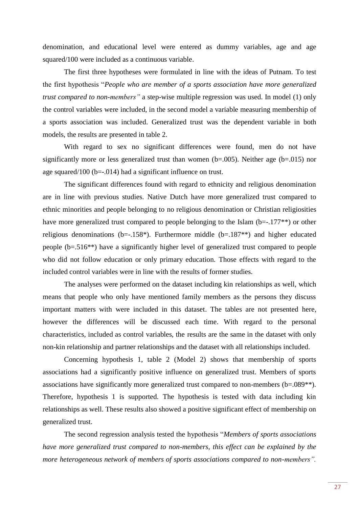denomination, and educational level were entered as dummy variables, age and age squared/100 were included as a continuous variable.

The first three hypotheses were formulated in line with the ideas of Putnam. To test the first hypothesis "*People who are member of a sports association have more generalized trust compared to non-members"* a step-wise multiple regression was used. In model (1) only the control variables were included, in the second model a variable measuring membership of a sports association was included. Generalized trust was the dependent variable in both models, the results are presented in table 2.

With regard to sex no significant differences were found, men do not have significantly more or less generalized trust than women  $(b=.005)$ . Neither age  $(b=.015)$  nor age squared/100 (b=-.014) had a significant influence on trust.

The significant differences found with regard to ethnicity and religious denomination are in line with previous studies. Native Dutch have more generalized trust compared to ethnic minorities and people belonging to no religious denomination or Christian religiosities have more generalized trust compared to people belonging to the Islam (b=-.177<sup>\*\*</sup>) or other religious denominations (b= $-0.158$ \*). Furthermore middle (b= $0.187$ \*\*) and higher educated people (b=.516\*\*) have a significantly higher level of generalized trust compared to people who did not follow education or only primary education. Those effects with regard to the included control variables were in line with the results of former studies.

The analyses were performed on the dataset including kin relationships as well, which means that people who only have mentioned family members as the persons they discuss important matters with were included in this dataset. The tables are not presented here, however the differences will be discussed each time. With regard to the personal characteristics, included as control variables, the results are the same in the dataset with only non-kin relationship and partner relationships and the dataset with all relationships included.

Concerning hypothesis 1, table 2 (Model 2) shows that membership of sports associations had a significantly positive influence on generalized trust. Members of sports associations have significantly more generalized trust compared to non-members (b=.089\*\*). Therefore, hypothesis 1 is supported. The hypothesis is tested with data including kin relationships as well. These results also showed a positive significant effect of membership on generalized trust.

The second regression analysis tested the hypothesis "*Members of sports associations have more generalized trust compared to non-members, this effect can be explained by the more heterogeneous network of members of sports associations compared to non-members".*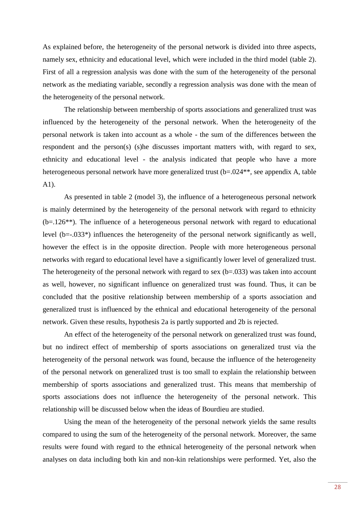As explained before, the heterogeneity of the personal network is divided into three aspects, namely sex, ethnicity and educational level, which were included in the third model (table 2). First of all a regression analysis was done with the sum of the heterogeneity of the personal network as the mediating variable, secondly a regression analysis was done with the mean of the heterogeneity of the personal network.

The relationship between membership of sports associations and generalized trust was influenced by the heterogeneity of the personal network. When the heterogeneity of the personal network is taken into account as a whole - the sum of the differences between the respondent and the person(s) (s)he discusses important matters with, with regard to sex, ethnicity and educational level - the analysis indicated that people who have a more heterogeneous personal network have more generalized trust (b=.024<sup>\*\*</sup>, see appendix A, table A1).

As presented in table 2 (model 3), the influence of a heterogeneous personal network is mainly determined by the heterogeneity of the personal network with regard to ethnicity (b=.126\*\*). The influence of a heterogeneous personal network with regard to educational level (b=-.033\*) influences the heterogeneity of the personal network significantly as well, however the effect is in the opposite direction. People with more heterogeneous personal networks with regard to educational level have a significantly lower level of generalized trust. The heterogeneity of the personal network with regard to sex  $(b=.033)$  was taken into account as well, however, no significant influence on generalized trust was found. Thus, it can be concluded that the positive relationship between membership of a sports association and generalized trust is influenced by the ethnical and educational heterogeneity of the personal network. Given these results, hypothesis 2a is partly supported and 2b is rejected.

An effect of the heterogeneity of the personal network on generalized trust was found, but no indirect effect of membership of sports associations on generalized trust via the heterogeneity of the personal network was found, because the influence of the heterogeneity of the personal network on generalized trust is too small to explain the relationship between membership of sports associations and generalized trust. This means that membership of sports associations does not influence the heterogeneity of the personal network. This relationship will be discussed below when the ideas of Bourdieu are studied.

Using the mean of the heterogeneity of the personal network yields the same results compared to using the sum of the heterogeneity of the personal network. Moreover, the same results were found with regard to the ethnical heterogeneity of the personal network when analyses on data including both kin and non-kin relationships were performed. Yet, also the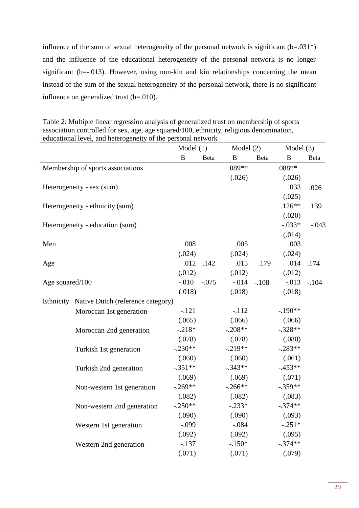influence of the sum of sexual heterogeneity of the personal network is significant  $(b=.031*)$ and the influence of the educational heterogeneity of the personal network is no longer significant ( $b=-013$ ). However, using non-kin and kin relationships concerning the mean instead of the sum of the sexual heterogeneity of the personal network, there is no significant influence on generalized trust (b=.010).

Table 2: Multiple linear regression analysis of generalized trust on membership of sports association controlled for sex, age, age squared/100, ethnicity, religious denomination, educational level, and heterogeneity of the personal network

|                 |                                             | Model(1)     |         | Model $(2)$  |         | Model $(3)$  |         |
|-----------------|---------------------------------------------|--------------|---------|--------------|---------|--------------|---------|
|                 |                                             | $\, {\bf B}$ | Beta    | $\, {\bf B}$ | Beta    | $\, {\bf B}$ | Beta    |
|                 | Membership of sports associations           |              |         | $.089**$     |         | .088**       |         |
|                 |                                             |              |         | (.026)       |         | (.026)       |         |
|                 | Heterogeneity - sex (sum)                   |              |         |              |         | .033         | .026    |
|                 |                                             |              |         |              |         | (.025)       |         |
|                 | Heterogeneity - ethnicity (sum)             |              |         |              |         | $.126**$     | .139    |
|                 |                                             |              |         |              |         | (.020)       |         |
|                 | Heterogeneity - education (sum)             |              |         |              |         | $-.033*$     | $-.043$ |
|                 |                                             |              |         |              |         | (.014)       |         |
| Men             |                                             | .008         |         | .005         |         | .003         |         |
|                 |                                             | (.024)       |         | (.024)       |         | (.024)       |         |
| Age             |                                             | .012         | .142    | .015         | .179    | .014         | .174    |
|                 |                                             | (.012)       |         | (.012)       |         | (.012)       |         |
| Age squared/100 |                                             | $-0.010$     | $-.075$ | $-0.014$     | $-.108$ | $-0.013$     | $-.104$ |
|                 |                                             | (.018)       |         | (.018)       |         | (.018)       |         |
|                 | Ethnicity Native Dutch (reference category) |              |         |              |         |              |         |
|                 | Moroccan 1st generation                     | $-.121$      |         | $-.112$      |         | $-.190**$    |         |
|                 |                                             | (.065)       |         | (.066)       |         | (.066)       |         |
|                 | Moroccan 2nd generation                     | $-.218*$     |         | $-.208**$    |         | $-.328**$    |         |
|                 |                                             | (.078)       |         | (.078)       |         | (.080)       |         |
|                 | Turkish 1st generation                      | $-.230**$    |         | $-0.219**$   |         | $-.283**$    |         |
|                 |                                             | (.060)       |         | (.060)       |         | (.061)       |         |
|                 | Turkish 2nd generation                      | $-.351**$    |         | $-.343**$    |         | $-0.453**$   |         |
|                 |                                             | (.069)       |         | (.069)       |         | (.071)       |         |
|                 | Non-western 1st generation                  | $-.269**$    |         | $-.266**$    |         | $-.359**$    |         |
|                 |                                             | (.082)       |         | (.082)       |         | (.083)       |         |
|                 | Non-western 2nd generation                  | $-.250**$    |         | $-.233*$     |         | $-.374**$    |         |
|                 |                                             | (.090)       |         | (.090)       |         | (.093)       |         |
|                 | Western 1st generation                      | $-.099$      |         | $-.084$      |         | $-.251*$     |         |
|                 |                                             | (.092)       |         | (.092)       |         | (.095)       |         |
|                 | Western 2nd generation                      | $-.137$      |         | $-.150*$     |         | $-.374**$    |         |
|                 |                                             | (.071)       |         | (.071)       |         | (.079)       |         |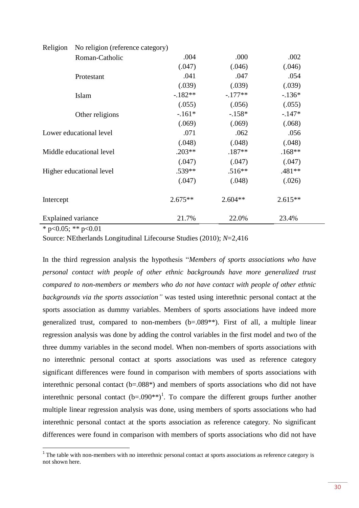| Religion                  | No religion (reference category) |           |           |           |
|---------------------------|----------------------------------|-----------|-----------|-----------|
|                           | Roman-Catholic                   | .004      | .000      | .002      |
|                           |                                  | (.047)    | (.046)    | (.046)    |
|                           | Protestant                       | .041      | .047      | .054      |
|                           |                                  | (.039)    | (.039)    | (.039)    |
|                           | Islam                            | $-182**$  | $-.177**$ | $-.136*$  |
|                           |                                  | (.055)    | (.056)    | (.055)    |
|                           | Other religions                  | $-.161*$  | $-.158*$  | $-.147*$  |
|                           |                                  | (.069)    | (.069)    | (.068)    |
| Lower educational level   |                                  | .071      | .062      | .056      |
|                           |                                  | (.048)    | (.048)    | (.048)    |
|                           | Middle educational level         | $.203**$  | $.187**$  | $.168**$  |
|                           |                                  | (.047)    | (.047)    | (.047)    |
|                           | Higher educational level         | $.539**$  | $.516**$  | .481**    |
|                           |                                  | (.047)    | (.048)    | (.026)    |
| Intercept                 |                                  | $2.675**$ | $2.604**$ | $2.615**$ |
| <b>Explained variance</b> |                                  | 21.7%     | 22.0%     | 23.4%     |

 $*$  p<0.05; \*\* p<0.01

 $\overline{a}$ 

Source: NEtherlands Longitudinal Lifecourse Studies (2010); *N*=2,416

In the third regression analysis the hypothesis "*Members of sports associations who have personal contact with people of other ethnic backgrounds have more generalized trust compared to non-members or members who do not have contact with people of other ethnic backgrounds via the sports association"* was tested using interethnic personal contact at the sports association as dummy variables. Members of sports associations have indeed more generalized trust, compared to non-members (b=.089\*\*). First of all, a multiple linear regression analysis was done by adding the control variables in the first model and two of the three dummy variables in the second model. When non-members of sports associations with no interethnic personal contact at sports associations was used as reference category significant differences were found in comparison with members of sports associations with interethnic personal contact  $(b=.088*)$  and members of sports associations who did not have interethnic personal contact  $(b=.090**)^1$ . To compare the different groups further another multiple linear regression analysis was done, using members of sports associations who had interethnic personal contact at the sports association as reference category. No significant differences were found in comparison with members of sports associations who did not have

 $1$ <sup>1</sup> The table with non-members with no interethnic personal contact at sports associations as reference category is not shown here.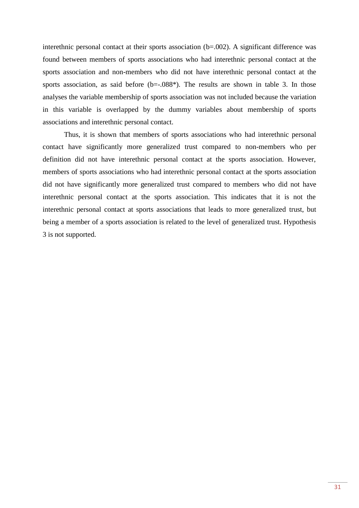interethnic personal contact at their sports association (b=.002). A significant difference was found between members of sports associations who had interethnic personal contact at the sports association and non-members who did not have interethnic personal contact at the sports association, as said before  $(b=-.088^*)$ . The results are shown in table 3. In those analyses the variable membership of sports association was not included because the variation in this variable is overlapped by the dummy variables about membership of sports associations and interethnic personal contact.

Thus, it is shown that members of sports associations who had interethnic personal contact have significantly more generalized trust compared to non-members who per definition did not have interethnic personal contact at the sports association. However, members of sports associations who had interethnic personal contact at the sports association did not have significantly more generalized trust compared to members who did not have interethnic personal contact at the sports association. This indicates that it is not the interethnic personal contact at sports associations that leads to more generalized trust, but being a member of a sports association is related to the level of generalized trust. Hypothesis 3 is not supported.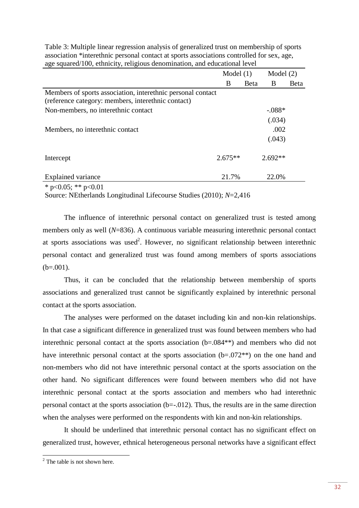|                                                                                                                   | Model $(1)$ |              | Model $(2)$ |             |
|-------------------------------------------------------------------------------------------------------------------|-------------|--------------|-------------|-------------|
|                                                                                                                   | B           | <b>B</b> eta | B           | <b>Beta</b> |
| Members of sports association, interethnic personal contact<br>(reference category: members, interethnic contact) |             |              |             |             |
| Non-members, no interethnic contact                                                                               |             |              | $-.088*$    |             |
|                                                                                                                   |             |              | (.034)      |             |
| Members, no interethnic contact                                                                                   |             |              | .002        |             |
|                                                                                                                   |             |              | (.043)      |             |
| Intercept                                                                                                         | $2.675**$   |              | $2.692**$   |             |
| <b>Explained variance</b>                                                                                         | 21.7%       |              | 22.0%       |             |
| * $n\ge 0$ 05 · ** $n\ge 0$ 01                                                                                    |             |              |             |             |

Table 3: Multiple linear regression analysis of generalized trust on membership of sports association \*interethnic personal contact at sports associations controlled for sex, age, age squared/100, ethnicity, religious denomination, and educational level

 $p<0.05$ ; \*\*  $p<0.01$ 

Source: NEtherlands Longitudinal Lifecourse Studies (2010); *N*=2,416

The influence of interethnic personal contact on generalized trust is tested among members only as well (*N*=836). A continuous variable measuring interethnic personal contact at sports associations was used<sup>2</sup>. However, no significant relationship between interethnic personal contact and generalized trust was found among members of sports associations  $(b=.001)$ .

Thus, it can be concluded that the relationship between membership of sports associations and generalized trust cannot be significantly explained by interethnic personal contact at the sports association.

The analyses were performed on the dataset including kin and non-kin relationships. In that case a significant difference in generalized trust was found between members who had interethnic personal contact at the sports association (b=.084\*\*) and members who did not have interethnic personal contact at the sports association (b=.072<sup>\*\*</sup>) on the one hand and non-members who did not have interethnic personal contact at the sports association on the other hand. No significant differences were found between members who did not have interethnic personal contact at the sports association and members who had interethnic personal contact at the sports association (b=-.012). Thus, the results are in the same direction when the analyses were performed on the respondents with kin and non-kin relationships.

It should be underlined that interethnic personal contact has no significant effect on generalized trust, however, ethnical heterogeneous personal networks have a significant effect

 $2^2$  The table is not shown here.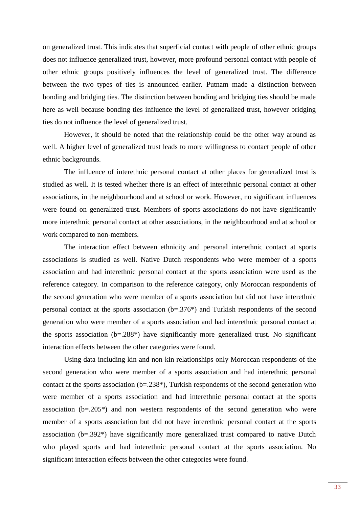on generalized trust. This indicates that superficial contact with people of other ethnic groups does not influence generalized trust, however, more profound personal contact with people of other ethnic groups positively influences the level of generalized trust. The difference between the two types of ties is announced earlier. Putnam made a distinction between bonding and bridging ties. The distinction between bonding and bridging ties should be made here as well because bonding ties influence the level of generalized trust, however bridging ties do not influence the level of generalized trust.

However, it should be noted that the relationship could be the other way around as well. A higher level of generalized trust leads to more willingness to contact people of other ethnic backgrounds.

The influence of interethnic personal contact at other places for generalized trust is studied as well. It is tested whether there is an effect of interethnic personal contact at other associations, in the neighbourhood and at school or work. However, no significant influences were found on generalized trust. Members of sports associations do not have significantly more interethnic personal contact at other associations, in the neighbourhood and at school or work compared to non-members.

The interaction effect between ethnicity and personal interethnic contact at sports associations is studied as well. Native Dutch respondents who were member of a sports association and had interethnic personal contact at the sports association were used as the reference category. In comparison to the reference category, only Moroccan respondents of the second generation who were member of a sports association but did not have interethnic personal contact at the sports association (b=.376\*) and Turkish respondents of the second generation who were member of a sports association and had interethnic personal contact at the sports association (b=.288\*) have significantly more generalized trust. No significant interaction effects between the other categories were found.

Using data including kin and non-kin relationships only Moroccan respondents of the second generation who were member of a sports association and had interethnic personal contact at the sports association (b=.238\*), Turkish respondents of the second generation who were member of a sports association and had interethnic personal contact at the sports association (b=.205\*) and non western respondents of the second generation who were member of a sports association but did not have interethnic personal contact at the sports association (b=.392\*) have significantly more generalized trust compared to native Dutch who played sports and had interethnic personal contact at the sports association. No significant interaction effects between the other categories were found.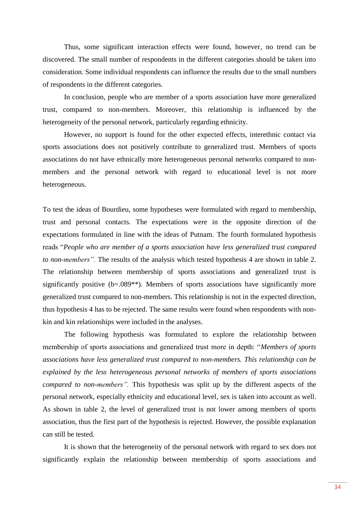Thus, some significant interaction effects were found, however, no trend can be discovered. The small number of respondents in the different categories should be taken into consideration. Some individual respondents can influence the results due to the small numbers of respondents in the different categories.

In conclusion, people who are member of a sports association have more generalized trust, compared to non-members. Moreover, this relationship is influenced by the heterogeneity of the personal network, particularly regarding ethnicity.

However, no support is found for the other expected effects, interethnic contact via sports associations does not positively contribute to generalized trust. Members of sports associations do not have ethnically more heterogeneous personal networks compared to nonmembers and the personal network with regard to educational level is not more heterogeneous.

To test the ideas of Bourdieu, some hypotheses were formulated with regard to membership, trust and personal contacts. The expectations were in the opposite direction of the expectations formulated in line with the ideas of Putnam. The fourth formulated hypothesis reads "*People who are member of a sports association have less generalized trust compared to non-members".* The results of the analysis which tested hypothesis 4 are shown in table 2. The relationship between membership of sports associations and generalized trust is significantly positive (b=.089<sup>\*\*</sup>). Members of sports associations have significantly more generalized trust compared to non-members. This relationship is not in the expected direction, thus hypothesis 4 has to be rejected. The same results were found when respondents with nonkin and kin relationships were included in the analyses.

The following hypothesis was formulated to explore the relationship between membership of sports associations and generalized trust more in depth: "*Members of sports associations have less generalized trust compared to non-members. This relationship can be explained by the less heterogeneous personal networks of members of sports associations compared to non-members".* This hypothesis was split up by the different aspects of the personal network, especially ethnicity and educational level, sex is taken into account as well. As shown in table 2, the level of generalized trust is not lower among members of sports association, thus the first part of the hypothesis is rejected. However, the possible explanation can still be tested.

It is shown that the heterogeneity of the personal network with regard to sex does not significantly explain the relationship between membership of sports associations and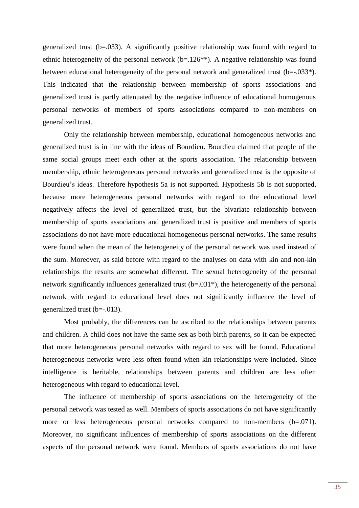generalized trust  $(b=.033)$ . A significantly positive relationship was found with regard to ethnic heterogeneity of the personal network  $(b=126**)$ . A negative relationship was found between educational heterogeneity of the personal network and generalized trust (b= $-0.033*$ ). This indicated that the relationship between membership of sports associations and generalized trust is partly attenuated by the negative influence of educational homogenous personal networks of members of sports associations compared to non-members on generalized trust.

Only the relationship between membership, educational homogeneous networks and generalized trust is in line with the ideas of Bourdieu. Bourdieu claimed that people of the same social groups meet each other at the sports association. The relationship between membership, ethnic heterogeneous personal networks and generalized trust is the opposite of Bourdieu's ideas. Therefore hypothesis 5a is not supported. Hypothesis 5b is not supported, because more heterogeneous personal networks with regard to the educational level negatively affects the level of generalized trust, but the bivariate relationship between membership of sports associations and generalized trust is positive and members of sports associations do not have more educational homogeneous personal networks. The same results were found when the mean of the heterogeneity of the personal network was used instead of the sum. Moreover, as said before with regard to the analyses on data with kin and non-kin relationships the results are somewhat different. The sexual heterogeneity of the personal network significantly influences generalized trust (b=.031\*), the heterogeneity of the personal network with regard to educational level does not significantly influence the level of generalized trust (b=-.013).

Most probably, the differences can be ascribed to the relationships between parents and children. A child does not have the same sex as both birth parents, so it can be expected that more heterogeneous personal networks with regard to sex will be found. Educational heterogeneous networks were less often found when kin relationships were included. Since intelligence is heritable, relationships between parents and children are less often heterogeneous with regard to educational level.

The influence of membership of sports associations on the heterogeneity of the personal network was tested as well. Members of sports associations do not have significantly more or less heterogeneous personal networks compared to non-members (b=.071). Moreover, no significant influences of membership of sports associations on the different aspects of the personal network were found. Members of sports associations do not have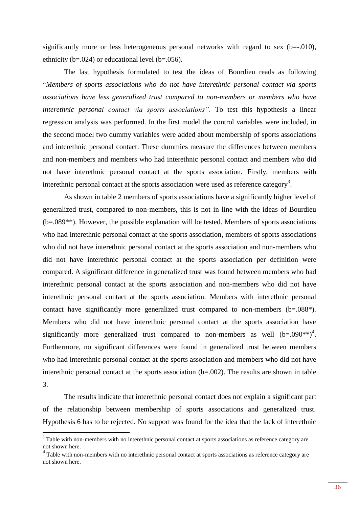significantly more or less heterogeneous personal networks with regard to sex  $(b=-010)$ , ethnicity ( $b=.024$ ) or educational level ( $b=.056$ ).

The last hypothesis formulated to test the ideas of Bourdieu reads as following "*Members of sports associations who do not have interethnic personal contact via sports associations have less generalized trust compared to non-members or members who have interethnic personal contact via sports associations".* To test this hypothesis a linear regression analysis was performed. In the first model the control variables were included, in the second model two dummy variables were added about membership of sports associations and interethnic personal contact. These dummies measure the differences between members and non-members and members who had interethnic personal contact and members who did not have interethnic personal contact at the sports association. Firstly, members with interethnic personal contact at the sports association were used as reference category<sup>3</sup>.

As shown in table 2 members of sports associations have a significantly higher level of generalized trust, compared to non-members, this is not in line with the ideas of Bourdieu (b=.089\*\*). However, the possible explanation will be tested. Members of sports associations who had interethnic personal contact at the sports association, members of sports associations who did not have interethnic personal contact at the sports association and non-members who did not have interethnic personal contact at the sports association per definition were compared. A significant difference in generalized trust was found between members who had interethnic personal contact at the sports association and non-members who did not have interethnic personal contact at the sports association. Members with interethnic personal contact have significantly more generalized trust compared to non-members (b=.088\*). Members who did not have interethnic personal contact at the sports association have significantly more generalized trust compared to non-members as well  $(b=.090**)^4$ . Furthermore, no significant differences were found in generalized trust between members who had interethnic personal contact at the sports association and members who did not have interethnic personal contact at the sports association (b=.002). The results are shown in table 3.

The results indicate that interethnic personal contact does not explain a significant part of the relationship between membership of sports associations and generalized trust. Hypothesis 6 has to be rejected. No support was found for the idea that the lack of interethnic

 $\overline{a}$ 

<sup>&</sup>lt;sup>3</sup> Table with non-members with no interethnic personal contact at sports associations as reference category are not shown here.

<sup>&</sup>lt;sup>4</sup> Table with non-members with no interethnic personal contact at sports associations as reference category are not shown here.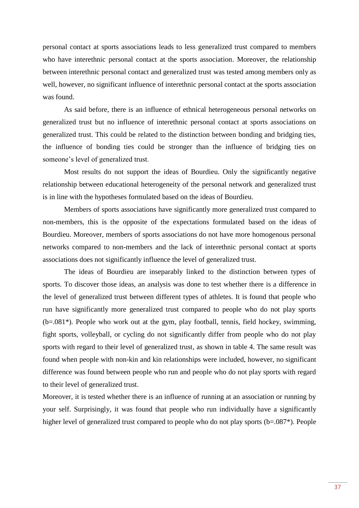personal contact at sports associations leads to less generalized trust compared to members who have interethnic personal contact at the sports association. Moreover, the relationship between interethnic personal contact and generalized trust was tested among members only as well, however, no significant influence of interethnic personal contact at the sports association was found.

As said before, there is an influence of ethnical heterogeneous personal networks on generalized trust but no influence of interethnic personal contact at sports associations on generalized trust. This could be related to the distinction between bonding and bridging ties, the influence of bonding ties could be stronger than the influence of bridging ties on someone's level of generalized trust.

Most results do not support the ideas of Bourdieu. Only the significantly negative relationship between educational heterogeneity of the personal network and generalized trust is in line with the hypotheses formulated based on the ideas of Bourdieu.

Members of sports associations have significantly more generalized trust compared to non-members, this is the opposite of the expectations formulated based on the ideas of Bourdieu. Moreover, members of sports associations do not have more homogenous personal networks compared to non-members and the lack of interethnic personal contact at sports associations does not significantly influence the level of generalized trust.

The ideas of Bourdieu are inseparably linked to the distinction between types of sports. To discover those ideas, an analysis was done to test whether there is a difference in the level of generalized trust between different types of athletes. It is found that people who run have significantly more generalized trust compared to people who do not play sports (b=.081\*). People who work out at the gym, play football, tennis, field hockey, swimming, fight sports, volleyball, or cycling do not significantly differ from people who do not play sports with regard to their level of generalized trust, as shown in table 4. The same result was found when people with non-kin and kin relationships were included, however, no significant difference was found between people who run and people who do not play sports with regard to their level of generalized trust.

Moreover, it is tested whether there is an influence of running at an association or running by your self. Surprisingly, it was found that people who run individually have a significantly higher level of generalized trust compared to people who do not play sports (b=.087<sup>\*</sup>). People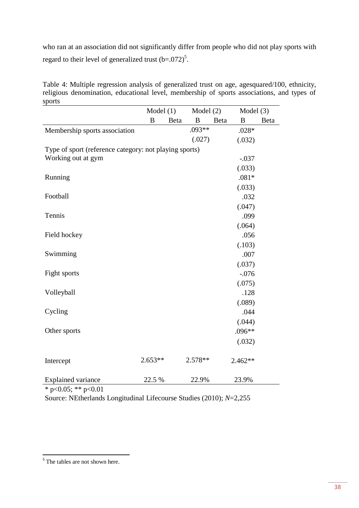who ran at an association did not significantly differ from people who did not play sports with regard to their level of generalized trust  $(b=.072)^5$ .

Table 4: Multiple regression analysis of generalized trust on age, agesquared/100, ethnicity, religious denomination, educational level, membership of sports associations, and types of sports

|                                                        | Model $(1)$      |      | Model $(2)$ |      | Model $(3)$ |      |
|--------------------------------------------------------|------------------|------|-------------|------|-------------|------|
|                                                        | $\boldsymbol{B}$ | Beta | B           | Beta | B           | Beta |
| Membership sports association                          |                  |      | $.093**$    |      | $.028*$     |      |
|                                                        |                  |      | (.027)      |      | (.032)      |      |
| Type of sport (reference category: not playing sports) |                  |      |             |      |             |      |
| Working out at gym                                     |                  |      |             |      | $-.037$     |      |
|                                                        |                  |      |             |      | (.033)      |      |
| Running                                                |                  |      |             |      | $.081*$     |      |
|                                                        |                  |      |             |      | (.033)      |      |
| Football                                               |                  |      |             |      | .032        |      |
|                                                        |                  |      |             |      | (.047)      |      |
| Tennis                                                 |                  |      |             |      | .099        |      |
|                                                        |                  |      |             |      | (.064)      |      |
| Field hockey                                           |                  |      |             |      | .056        |      |
|                                                        |                  |      |             |      | (.103)      |      |
| Swimming                                               |                  |      |             |      | .007        |      |
|                                                        |                  |      |             |      | (.037)      |      |
| Fight sports                                           |                  |      |             |      | $-.076$     |      |
|                                                        |                  |      |             |      | (.075)      |      |
| Volleyball                                             |                  |      |             |      | .128        |      |
|                                                        |                  |      |             |      | (.089)      |      |
| Cycling                                                |                  |      |             |      | .044        |      |
|                                                        |                  |      |             |      | (.044)      |      |
| Other sports                                           |                  |      |             |      | $.096**$    |      |
|                                                        |                  |      |             |      | (.032)      |      |
| Intercept                                              | $2.653**$        |      | 2.578**     |      | $2.462**$   |      |
| <b>Explained variance</b>                              | 22.5 %           |      | 22.9%       |      | 23.9%       |      |

\* p<0.05; \*\* p<0.01

Source: NEtherlands Longitudinal Lifecourse Studies (2010); *N*=2,255

<sup>&</sup>lt;sup>5</sup> The tables are not shown here.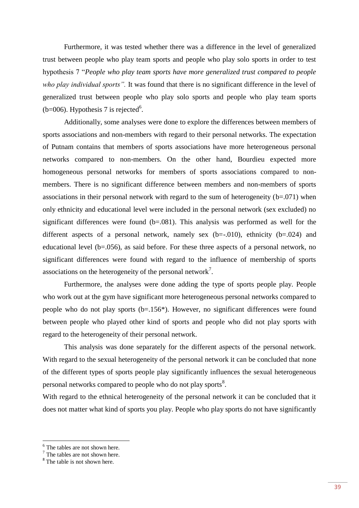Furthermore, it was tested whether there was a difference in the level of generalized trust between people who play team sports and people who play solo sports in order to test hypothesis 7 "*People who play team sports have more generalized trust compared to people who play individual sports".* It was found that there is no significant difference in the level of generalized trust between people who play solo sports and people who play team sports ( $b=006$ ). Hypothesis 7 is rejected<sup>6</sup>.

Additionally, some analyses were done to explore the differences between members of sports associations and non-members with regard to their personal networks. The expectation of Putnam contains that members of sports associations have more heterogeneous personal networks compared to non-members. On the other hand, Bourdieu expected more homogeneous personal networks for members of sports associations compared to nonmembers. There is no significant difference between members and non-members of sports associations in their personal network with regard to the sum of heterogeneity  $(b=0.071)$  when only ethnicity and educational level were included in the personal network (sex excluded) no significant differences were found  $(b=.081)$ . This analysis was performed as well for the different aspects of a personal network, namely sex  $(b=-0.010)$ , ethnicity  $(b=.024)$  and educational level (b=.056), as said before. For these three aspects of a personal network, no significant differences were found with regard to the influence of membership of sports associations on the heterogeneity of the personal network<sup>7</sup>.

Furthermore, the analyses were done adding the type of sports people play. People who work out at the gym have significant more heterogeneous personal networks compared to people who do not play sports (b=.156\*). However, no significant differences were found between people who played other kind of sports and people who did not play sports with regard to the heterogeneity of their personal network.

This analysis was done separately for the different aspects of the personal network. With regard to the sexual heterogeneity of the personal network it can be concluded that none of the different types of sports people play significantly influences the sexual heterogeneous personal networks compared to people who do not play sports $^8$ .

With regard to the ethnical heterogeneity of the personal network it can be concluded that it does not matter what kind of sports you play. People who play sports do not have significantly

 $\overline{a}$ 

<sup>&</sup>lt;sup>6</sup> The tables are not shown here.

 $7$  The tables are not shown here.

<sup>&</sup>lt;sup>8</sup> The table is not shown here.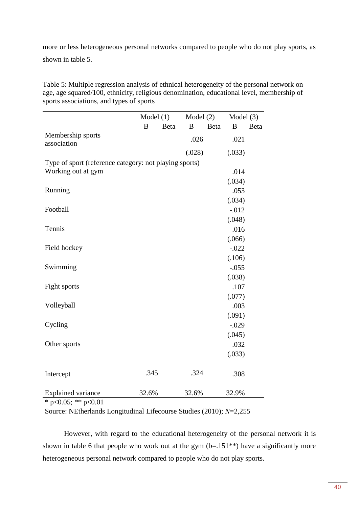more or less heterogeneous personal networks compared to people who do not play sports, as shown in table 5.

Table 5: Multiple regression analysis of ethnical heterogeneity of the personal network on age, age squared/100, ethnicity, religious denomination, educational level, membership of sports associations, and types of sports

|                                                        | Model $(1)$ |      | Model $(2)$ |      | Model $(3)$ |      |
|--------------------------------------------------------|-------------|------|-------------|------|-------------|------|
|                                                        | B           | Beta | B           | Beta | B           | Beta |
| Membership sports<br>association                       |             |      | .026        |      | .021        |      |
|                                                        |             |      | (.028)      |      | (.033)      |      |
| Type of sport (reference category: not playing sports) |             |      |             |      |             |      |
| Working out at gym                                     |             |      |             |      | .014        |      |
|                                                        |             |      |             |      | (.034)      |      |
| Running                                                |             |      |             |      | .053        |      |
|                                                        |             |      |             |      | (.034)      |      |
| Football                                               |             |      |             |      | $-.012$     |      |
|                                                        |             |      |             |      | (.048)      |      |
| Tennis                                                 |             |      |             |      | .016        |      |
|                                                        |             |      |             |      | (.066)      |      |
| Field hockey                                           |             |      |             |      | $-.022$     |      |
|                                                        |             |      |             |      | (.106)      |      |
| Swimming                                               |             |      |             |      | $-.055$     |      |
|                                                        |             |      |             |      | (.038)      |      |
| Fight sports                                           |             |      |             |      | .107        |      |
|                                                        |             |      |             |      | (.077)      |      |
| Volleyball                                             |             |      |             |      | .003        |      |
|                                                        |             |      |             |      | (.091)      |      |
| Cycling                                                |             |      |             |      | $-.029$     |      |
|                                                        |             |      |             |      | (.045)      |      |
| Other sports                                           |             |      |             |      | .032        |      |
|                                                        |             |      |             |      | (.033)      |      |
|                                                        |             |      |             |      |             |      |
| Intercept                                              | .345        |      | .324        |      | .308        |      |
|                                                        |             |      |             |      |             |      |
| <b>Explained variance</b>                              | 32.6%       |      | 32.6%       |      | 32.9%       |      |

\* p<0.05; \*\* p<0.01

Source: NEtherlands Longitudinal Lifecourse Studies (2010); *N*=2,255

However, with regard to the educational heterogeneity of the personal network it is shown in table 6 that people who work out at the gym  $(b=.151**)$  have a significantly more heterogeneous personal network compared to people who do not play sports.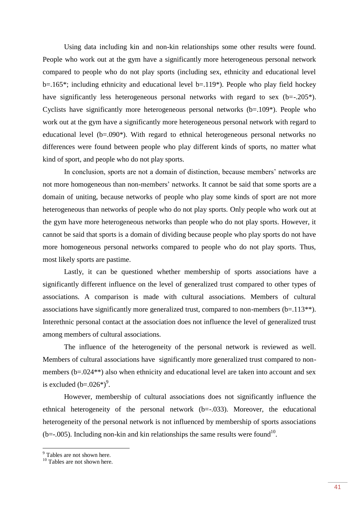Using data including kin and non-kin relationships some other results were found. People who work out at the gym have a significantly more heterogeneous personal network compared to people who do not play sports (including sex, ethnicity and educational level b=.165\*; including ethnicity and educational level b=.119\*). People who play field hockey have significantly less heterogeneous personal networks with regard to sex (b=-.205<sup>\*</sup>). Cyclists have significantly more heterogeneous personal networks  $(b=109^*)$ . People who work out at the gym have a significantly more heterogeneous personal network with regard to educational level (b=.090\*). With regard to ethnical heterogeneous personal networks no differences were found between people who play different kinds of sports, no matter what kind of sport, and people who do not play sports.

In conclusion, sports are not a domain of distinction, because members' networks are not more homogeneous than non-members' networks. It cannot be said that some sports are a domain of uniting, because networks of people who play some kinds of sport are not more heterogeneous than networks of people who do not play sports. Only people who work out at the gym have more heterogeneous networks than people who do not play sports. However, it cannot be said that sports is a domain of dividing because people who play sports do not have more homogeneous personal networks compared to people who do not play sports. Thus, most likely sports are pastime.

Lastly, it can be questioned whether membership of sports associations have a significantly different influence on the level of generalized trust compared to other types of associations. A comparison is made with cultural associations. Members of cultural associations have significantly more generalized trust, compared to non-members (b=.113\*\*). Interethnic personal contact at the association does not influence the level of generalized trust among members of cultural associations.

The influence of the heterogeneity of the personal network is reviewed as well. Members of cultural associations have significantly more generalized trust compared to nonmembers (b=.024\*\*) also when ethnicity and educational level are taken into account and sex is excluded  $(b=.026^*)^9$ .

However, membership of cultural associations does not significantly influence the ethnical heterogeneity of the personal network (b=-.033). Moreover, the educational heterogeneity of the personal network is not influenced by membership of sports associations  $(b=-.005)$ . Including non-kin and kin relationships the same results were found<sup>10</sup>.

<sup>&</sup>lt;sup>9</sup> Tables are not shown here.

<sup>&</sup>lt;sup>10</sup> Tables are not shown here.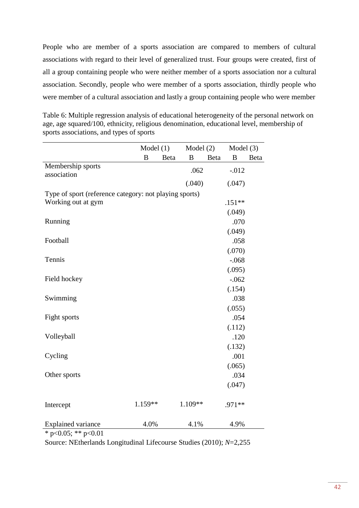People who are member of a sports association are compared to members of cultural associations with regard to their level of generalized trust. Four groups were created, first of all a group containing people who were neither member of a sports association nor a cultural association. Secondly, people who were member of a sports association, thirdly people who were member of a cultural association and lastly a group containing people who were member

|                                                        | Model $(1)$  |      | Model $(2)$ |      | Model $(3)$      |      |
|--------------------------------------------------------|--------------|------|-------------|------|------------------|------|
|                                                        | $\, {\bf B}$ | Beta | B           | Beta | $\boldsymbol{B}$ | Beta |
| Membership sports<br>association                       |              |      | .062        |      | $-0.012$         |      |
|                                                        |              |      | (.040)      |      | (.047)           |      |
| Type of sport (reference category: not playing sports) |              |      |             |      |                  |      |
| Working out at gym                                     |              |      |             |      | $.151**$         |      |
|                                                        |              |      |             |      | (.049)           |      |
| Running                                                |              |      |             |      | .070             |      |
|                                                        |              |      |             |      | (.049)           |      |
| Football                                               |              |      |             |      | .058             |      |
|                                                        |              |      |             |      | (.070)           |      |
| Tennis                                                 |              |      |             |      | $-.068$          |      |
|                                                        |              |      |             |      | (.095)           |      |
| Field hockey                                           |              |      |             |      | $-.062$          |      |
|                                                        |              |      |             |      | (.154)           |      |
| Swimming                                               |              |      |             |      | .038             |      |
|                                                        |              |      |             |      | (.055)           |      |
| Fight sports                                           |              |      |             |      | .054             |      |
|                                                        |              |      |             |      | (.112)           |      |
| Volleyball                                             |              |      |             |      | .120             |      |
|                                                        |              |      |             |      | (.132)           |      |
| Cycling                                                |              |      |             |      | .001             |      |
|                                                        |              |      |             |      | (.065)           |      |
| Other sports                                           |              |      |             |      | .034             |      |
|                                                        |              |      |             |      | (.047)           |      |
|                                                        |              |      |             |      |                  |      |
| Intercept                                              | 1.159**      |      | 1.109**     |      | $.971**$         |      |
|                                                        |              |      |             |      |                  |      |
| <b>Explained variance</b>                              | 4.0%         |      | 4.1%        |      | 4.9%             |      |

Table 6: Multiple regression analysis of educational heterogeneity of the personal network on age, age squared/100, ethnicity, religious denomination, educational level, membership of sports associations, and types of sports

\* p<0.05; \*\* p<0.01

Source: NEtherlands Longitudinal Lifecourse Studies (2010); *N*=2,255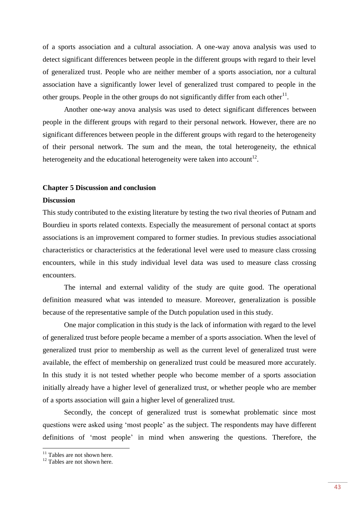of a sports association and a cultural association. A one-way anova analysis was used to detect significant differences between people in the different groups with regard to their level of generalized trust. People who are neither member of a sports association, nor a cultural association have a significantly lower level of generalized trust compared to people in the other groups. People in the other groups do not significantly differ from each other $^{11}$ .

Another one-way anova analysis was used to detect significant differences between people in the different groups with regard to their personal network. However, there are no significant differences between people in the different groups with regard to the heterogeneity of their personal network. The sum and the mean, the total heterogeneity, the ethnical heterogeneity and the educational heterogeneity were taken into account<sup>12</sup>.

#### **Chapter 5 Discussion and conclusion**

#### **Discussion**

This study contributed to the existing literature by testing the two rival theories of Putnam and Bourdieu in sports related contexts. Especially the measurement of personal contact at sports associations is an improvement compared to former studies. In previous studies associational characteristics or characteristics at the federational level were used to measure class crossing encounters, while in this study individual level data was used to measure class crossing encounters.

The internal and external validity of the study are quite good. The operational definition measured what was intended to measure. Moreover, generalization is possible because of the representative sample of the Dutch population used in this study.

One major complication in this study is the lack of information with regard to the level of generalized trust before people became a member of a sports association. When the level of generalized trust prior to membership as well as the current level of generalized trust were available, the effect of membership on generalized trust could be measured more accurately. In this study it is not tested whether people who become member of a sports association initially already have a higher level of generalized trust, or whether people who are member of a sports association will gain a higher level of generalized trust.

Secondly, the concept of generalized trust is somewhat problematic since most questions were asked using 'most people' as the subject. The respondents may have different definitions of 'most people' in mind when answering the questions. Therefore, the

 $\overline{a}$ 

<sup>&</sup>lt;sup>11</sup> Tables are not shown here.

 $12$  Tables are not shown here.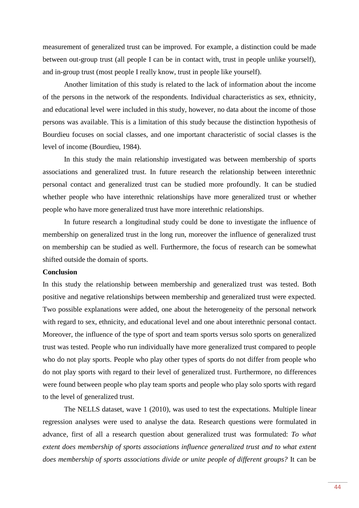measurement of generalized trust can be improved. For example, a distinction could be made between out-group trust (all people I can be in contact with, trust in people unlike yourself), and in-group trust (most people I really know, trust in people like yourself).

Another limitation of this study is related to the lack of information about the income of the persons in the network of the respondents. Individual characteristics as sex, ethnicity, and educational level were included in this study, however, no data about the income of those persons was available. This is a limitation of this study because the distinction hypothesis of Bourdieu focuses on social classes, and one important characteristic of social classes is the level of income (Bourdieu, 1984).

In this study the main relationship investigated was between membership of sports associations and generalized trust. In future research the relationship between interethnic personal contact and generalized trust can be studied more profoundly. It can be studied whether people who have interethnic relationships have more generalized trust or whether people who have more generalized trust have more interethnic relationships.

In future research a longitudinal study could be done to investigate the influence of membership on generalized trust in the long run, moreover the influence of generalized trust on membership can be studied as well. Furthermore, the focus of research can be somewhat shifted outside the domain of sports.

#### **Conclusion**

In this study the relationship between membership and generalized trust was tested. Both positive and negative relationships between membership and generalized trust were expected. Two possible explanations were added, one about the heterogeneity of the personal network with regard to sex, ethnicity, and educational level and one about interethnic personal contact. Moreover, the influence of the type of sport and team sports versus solo sports on generalized trust was tested. People who run individually have more generalized trust compared to people who do not play sports. People who play other types of sports do not differ from people who do not play sports with regard to their level of generalized trust. Furthermore, no differences were found between people who play team sports and people who play solo sports with regard to the level of generalized trust.

The NELLS dataset, wave 1 (2010), was used to test the expectations. Multiple linear regression analyses were used to analyse the data. Research questions were formulated in advance, first of all a research question about generalized trust was formulated: *To what extent does membership of sports associations influence generalized trust and to what extent does membership of sports associations divide or unite people of different groups?* It can be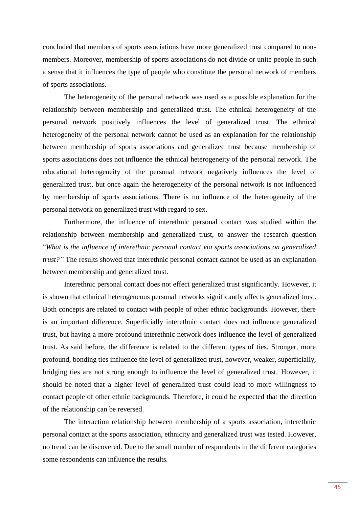concluded that members of sports associations have more generalized trust compared to nonmembers. Moreover, membership of sports associations do not divide or unite people in such a sense that it influences the type of people who constitute the personal network of members of sports associations.

The heterogeneity of the personal network was used as a possible explanation for the relationship between membership and generalized trust. The ethnical heterogeneity of the personal network positively influences the level of generalized trust. The ethnical heterogeneity of the personal network cannot be used as an explanation for the relationship between membership of sports associations and generalized trust because membership of sports associations does not influence the ethnical heterogeneity of the personal network. The educational heterogeneity of the personal network negatively influences the level of generalized trust, but once again the heterogeneity of the personal network is not influenced by membership of sports associations. There is no influence of the heterogeneity of the personal network on generalized trust with regard to sex.

Furthermore, the influence of interethnic personal contact was studied within the relationship between membership and generalized trust, to answer the research question "*What is the influence of interethnic personal contact via sports associations on generalized trust?"* The results showed that interethnic personal contact cannot be used as an explanation between membership and generalized trust.

Interethnic personal contact does not effect generalized trust significantly. However, it is shown that ethnical heterogeneous personal networks significantly affects generalized trust. Both concepts are related to contact with people of other ethnic backgrounds. However, there is an important difference. Superficially interethnic contact does not influence generalized trust, but having a more profound interethnic network does influence the level of generalized trust. As said before, the difference is related to the different types of ties. Stronger, more profound, bonding ties influence the level of generalized trust, however, weaker, superficially, bridging ties are not strong enough to influence the level of generalized trust. However, it should be noted that a higher level of generalized trust could lead to more willingness to contact people of other ethnic backgrounds. Therefore, it could be expected that the direction of the relationship can be reversed.

The interaction relationship between membership of a sports association, interethnic personal contact at the sports association, ethnicity and generalized trust was tested. However, no trend can be discovered. Due to the small number of respondents in the different categories some respondents can influence the results.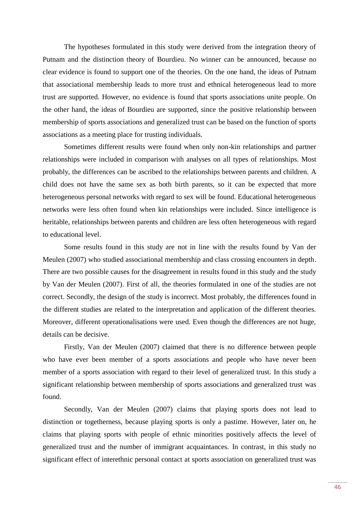The hypotheses formulated in this study were derived from the integration theory of Putnam and the distinction theory of Bourdieu. No winner can be announced, because no clear evidence is found to support one of the theories. On the one hand, the ideas of Putnam that associational membership leads to more trust and ethnical heterogeneous lead to more trust are supported. However, no evidence is found that sports associations unite people. On the other hand, the ideas of Bourdieu are supported, since the positive relationship between membership of sports associations and generalized trust can be based on the function of sports associations as a meeting place for trusting individuals.

Sometimes different results were found when only non-kin relationships and partner relationships were included in comparison with analyses on all types of relationships. Most probably, the differences can be ascribed to the relationships between parents and children. A child does not have the same sex as both birth parents, so it can be expected that more heterogeneous personal networks with regard to sex will be found. Educational heterogeneous networks were less often found when kin relationships were included. Since intelligence is heritable, relationships between parents and children are less often heterogeneous with regard to educational level.

Some results found in this study are not in line with the results found by Van der Meulen (2007) who studied associational membership and class crossing encounters in depth. There are two possible causes for the disagreement in results found in this study and the study by Van der Meulen (2007). First of all, the theories formulated in one of the studies are not correct. Secondly, the design of the study is incorrect. Most probably, the differences found in the different studies are related to the interpretation and application of the different theories. Moreover, different operationalisations were used. Even though the differences are not huge, details can be decisive.

Firstly, Van der Meulen (2007) claimed that there is no difference between people who have ever been member of a sports associations and people who have never been member of a sports association with regard to their level of generalized trust. In this study a significant relationship between membership of sports associations and generalized trust was found.

Secondly, Van der Meulen (2007) claims that playing sports does not lead to distinction or togetherness, because playing sports is only a pastime. However, later on, he claims that playing sports with people of ethnic minorities positively affects the level of generalized trust and the number of immigrant acquaintances. In contrast, in this study no significant effect of interethnic personal contact at sports association on generalized trust was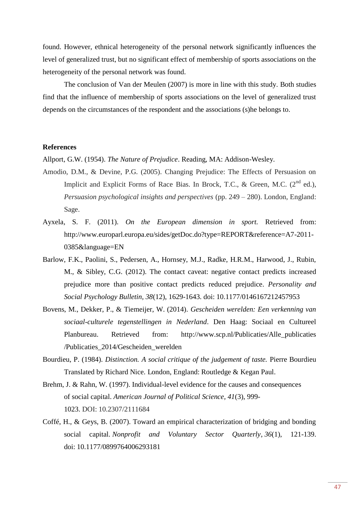found. However, ethnical heterogeneity of the personal network significantly influences the level of generalized trust, but no significant effect of membership of sports associations on the heterogeneity of the personal network was found.

The conclusion of Van der Meulen (2007) is more in line with this study. Both studies find that the influence of membership of sports associations on the level of generalized trust depends on the circumstances of the respondent and the associations (s)he belongs to.

#### **References**

Allport, G.W. (1954). *The Nature of Prejudice*. Reading, MA: Addison-Wesley.

- Amodio, D.M., & Devine, P.G. (2005). Changing Prejudice: The Effects of Persuasion on Implicit and Explicit Forms of Race Bias. In Brock, T.C., & Green, M.C.  $(2^{nd}$  ed.), *Persuasion psychological insights and perspectives* (pp. 249 – 280). London, England: Sage.
- Ayxela, S. F. (2011). *On the European dimension in sport.* Retrieved from: http://www.europarl.europa.eu/sides/getDoc.do?type=REPORT&reference=A7-2011- 0385&language=EN
- Barlow, F.K., Paolini, S., Pedersen, A., Hornsey, M.J., Radke, H.R.M., Harwood, J., Rubin, M., & Sibley, C.G. (2012). The contact caveat: negative contact predicts increased prejudice more than positive contact predicts reduced prejudice. *Personality and Social Psychology Bulletin, 38*(12), 1629-1643. doi: 10.1177/0146167212457953
- Bovens, M., Dekker, P., & Tiemeijer, W. (2014). *Gescheiden werelden: Een verkenning van sociaal-culturele tegenstellingen in Nederland*. Den Haag: Sociaal en Cultureel Planbureau. Retrieved from: http://www.scp.nl/Publicaties/Alle\_publicaties /Publicaties\_2014/Gescheiden\_werelden
- Bourdieu, P. (1984). *Distinction. A social critique of the judgement of taste.* Pierre Bourdieu Translated by Richard Nice*.* London, England: Routledge & Kegan Paul.
- Brehm, J. & Rahn, W. (1997). Individual-level evidence for the causes and consequences of social capital. *American Journal of Political Science, 41*(3), 999- 1023. DOI: 10.2307/2111684
- Coffé, H., & Geys, B. (2007). Toward an empirical characterization of bridging and bonding social capital. *Nonprofit and Voluntary Sector Quarterly*, *36*(1), 121-139. doi: 10.1177/0899764006293181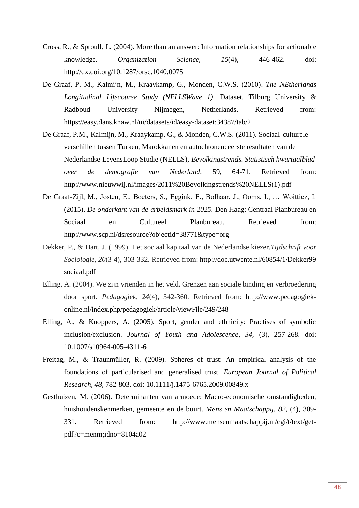- Cross, R., & Sproull, L. (2004). More than an answer: Information relationships for actionable knowledge. *Organization Science, 15*(4), 446-462. doi: http://dx.doi.org/10.1287/orsc.1040.0075
- De Graaf, P. M., Kalmijn, M., Kraaykamp, G., Monden, C.W.S. (2010). *The NEtherlands Longitudinal Lifecourse Study (NELLSWave 1).* Dataset. Tilburg University & Radboud University Nijmegen, Netherlands. Retrieved from: https://easy.dans.knaw.nl/ui/datasets/id/easy-dataset:34387/tab/2
- De Graaf, P.M., Kalmijn, M., Kraaykamp, G., & Monden, C.W.S. (2011). Sociaal-culturele verschillen tussen Turken, Marokkanen en autochtonen: eerste resultaten van de Nederlandse LevensLoop Studie (NELLS), *Bevolkingstrends. Statistisch kwartaalblad over de demografie van Nederland*, 59, 64-71. Retrieved from: http://www.nieuwwij.nl/images/2011%20Bevolkingstrends%20NELLS(1).pdf
- De Graaf-Zijl, M., Josten, E., Boeters, S., Eggink, E., Bolhaar, J., Ooms, I., … Woittiez, I. (2015). *De onderkant van de arbeidsmark in 2025*. Den Haag: Centraal Planbureau en Sociaal en Cultureel Planbureau. Retrieved from: http://www.scp.nl/dsresource?objectid=38771&type=org
- Dekker, P., & Hart, J. (1999). Het sociaal kapitaal van de Nederlandse kiezer.*Tijdschrift voor Sociologie*, *20*(3-4), 303-332. Retrieved from: http://doc.utwente.nl/60854/1/Dekker99 sociaal.pdf
- Elling, A. (2004). We zijn vrienden in het veld. Grenzen aan sociale binding en verbroedering door sport. *Pedagogiek, 24*(4), 342-360. Retrieved from: http://www.pedagogiekonline.nl/index.php/pedagogiek/article/viewFile/249/248
- Elling, A., & Knoppers, A. (2005). Sport, gender and ethnicity: Practises of symbolic inclusion/exclusion. *Journal of Youth and Adolescence, 34,* (3), 257-268. doi: 10.1007/s10964-005-4311-6
- Freitag, M., & Traunmüller, R. (2009). Spheres of trust: An empirical analysis of the foundations of particularised and generalised trust. *European Journal of Political Research, 48,* 782-803. doi: 10.1111/j.1475-6765.2009.00849.x
- Gesthuizen, M. (2006). Determinanten van armoede: Macro-economische omstandigheden, huishoudenskenmerken, gemeente en de buurt. *Mens en Maatschappij, 82,* (4), 309- 331. Retrieved from: http://www.mensenmaatschappij.nl/cgi/t/text/getpdf?c=menm;idno=8104a02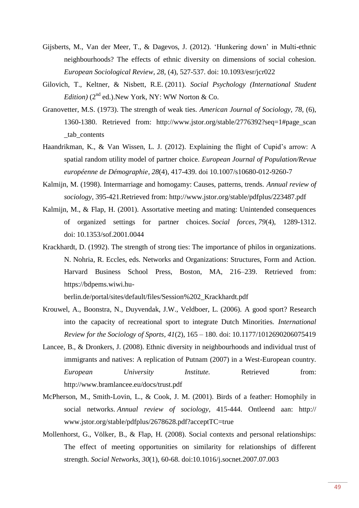- Gijsberts, M., Van der Meer, T., & Dagevos, J. (2012). 'Hunkering down' in Multi-ethnic neighbourhoods? The effects of ethnic diversity on dimensions of social cohesion. *European Sociological Review, 28,* (4), 527-537. doi: 10.1093/esr/jcr022
- Gilovich, T., Keltner, & Nisbett, R.E. (2011). *Social Psychology (International Student Edition*)  $(2^{nd}$  ed.). New York, NY: WW Norton & Co.
- Granovetter, M.S. (1973). The strength of weak ties. *American Journal of Sociology, 78,* (6), 1360-1380. Retrieved from: http://www.jstor.org/stable/2776392?seq=1#page\_scan \_tab\_contents
- Haandrikman, K., & Van Wissen, L. J. (2012). Explaining the flight of Cupid's arrow: A spatial random utility model of partner choice. *European Journal of Population/Revue européenne de Démographie*, *28*(4), 417-439. doi 10.1007/s10680-012-9260-7
- Kalmijn, M. (1998). Intermarriage and homogamy: Causes, patterns, trends. *Annual review of sociology*, 395-421.Retrieved from: http://www.jstor.org/stable/pdfplus/223487.pdf
- Kalmijn, M., & Flap, H. (2001). Assortative meeting and mating: Unintended consequences of organized settings for partner choices. *Social forces*, *79*(4), 1289-1312. doi: 10.1353/sof.2001.0044
- Krackhardt, D. (1992). The strength of strong ties: The importance of philos in organizations. N. Nohria, R. Eccles, eds. Networks and Organizations: Structures, Form and Action. Harvard Business School Press, Boston, MA, 216–239. Retrieved from: https://bdpems.wiwi.hu-

berlin.de/portal/sites/default/files/Session%202\_Krackhardt.pdf

- Krouwel, A., Boonstra, N., Duyvendak, J.W., Veldboer, L. (2006). A good sport? Research into the capacity of recreational sport to integrate Dutch Minorities. *International Review for the Sociology of Sports, 41*(2), 165 – 180. doi: 10.1177/1012690206075419
- Lancee, B., & Dronkers, J. (2008). Ethnic diversity in neighbourhoods and individual trust of immigrants and natives: A replication of Putnam (2007) in a West-European country. *European University Institute.* Retrieved from: http://www.bramlancee.eu/docs/trust.pdf
- McPherson, M., Smith-Lovin, L., & Cook, J. M. (2001). Birds of a feather: Homophily in social networks. *Annual review of sociology*, 415-444. Ontleend aan: http:// www.jstor.org/stable/pdfplus/2678628.pdf?acceptTC=true
- Mollenhorst, G., Völker, B., & Flap, H. (2008). Social contexts and personal relationships: The effect of meeting opportunities on similarity for relationships of different strength. *Social Networks*, *30*(1), 60-68. doi:10.1016/j.socnet.2007.07.003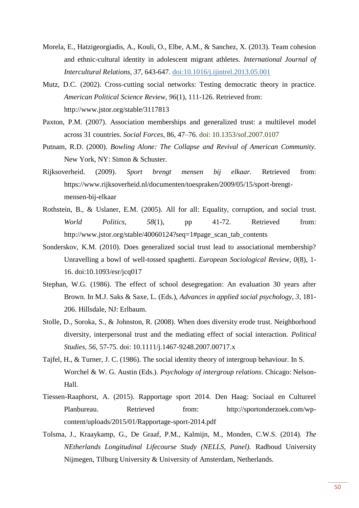- Morela, E., Hatzigeorgiadis, A., Kouli, O., Elbe, A.M., & Sanchez, X. (2013). Team cohesion and ethnic-cultural identity in adolescent migrant athletes. *International Journal of Intercultural Relations, 37,* 643-647. [doi:10.1016/j.ijintrel.2013.05.001](http://dx.doi.org/10.1016/j.ijintrel.2013.05.001)
- Mutz, D.C. (2002). Cross-cutting social networks: Testing democratic theory in practice. *American Political Science Review, 96*(1), 111-126. Retrieved from: http://www.jstor.org/stable/3117813
- Paxton, P.M. (2007). Association memberships and generalized trust: a multilevel model across 31 countries. *Social Forces*, 86, 47–76. doi: 10.1353/sof.2007.0107
- Putnam, R.D. (2000). *Bowling Alone: The Collapse and Revival of American Community.*  New York, NY: Simon & Schuster.
- Rijksoverheid. (2009). *Sport brengt mensen bij elkaar.* Retrieved from: https://www.rijksoverheid.nl/documenten/toespraken/2009/05/15/sport-brengtmensen-bij-elkaar
- Rothstein, B., & Uslaner, E.M. (2005). All for all: Equality, corruption, and social trust. *World Politics, 58*(1), pp 41-72. Retrieved from: http://www.jstor.org/stable/40060124?seq=1#page\_scan\_tab\_contents
- Sonderskov, K.M. (2010). Does generalized social trust lead to associational membership? Unravelling a bowl of well-tossed spaghetti. *European Sociological Review, 0*(8), 1- 16. doi:10.1093/esr/jcq017
- Stephan, W.G. (1986). The effect of school desegregation: An evaluation 30 years after Brown. In M.J. Saks & Saxe, L. (Eds.), *Advances in applied social psychology, 3,* 181- 206. Hillsdale, NJ: Erlbaum.
- Stolle, D., Soroka, S., & Johnston, R. (2008). When does diversity erode trust. Neighborhood diversity, interpersonal trust and the mediating effect of social interaction. *Political Studies, 56,* 57-75. doi: 10.1111/j.1467-9248.2007.00717.x
- Tajfel, H., & Turner, J. C. (1986). The social identity theory of intergroup behaviour. In S. Worchel & W. G. Austin (Eds.). *Psychology of intergroup relations*. Chicago: Nelson-Hall.
- Tiessen-Raaphorst, A. (2015). Rapportage sport 2014. Den Haag: Sociaal en Cultureel Planbureau. Retrieved from: http://sportonderzoek.com/wpcontent/uploads/2015/01/Rapportage-sport-2014.pdf
- Tolsma, J., Kraaykamp, G., De Graaf, P.M., Kalmijn, M., Monden, C.W.S. (2014). *The NEtherlands Longitudinal Lifecourse Study (NELLS, Panel).* Radboud University Nijmegen, Tilburg University & University of Amsterdam, Netherlands.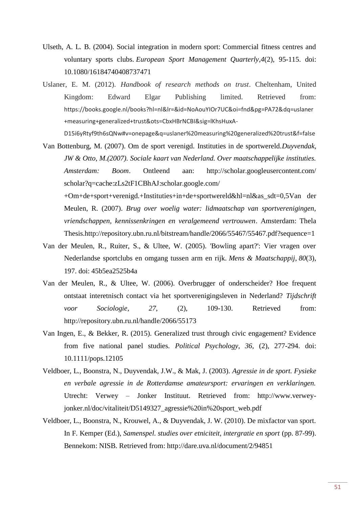- Ulseth, A. L. B. (2004). Social integration in modern sport: Commercial fitness centres and voluntary sports clubs. *European Sport Management Quarterly*,*4*(2), 95-115. doi: 10.1080/16184740408737471
- Uslaner, E. M. (2012). *Handbook of research methods on trust*. Cheltenham, United Kingdom: Edward Elgar Publishing limited. Retrieved from: https://books.google.nl/books?hl=nl&lr=&id=NoAouYIOr7UC&oi=fnd&pg=PA72&dq=uslaner +measuring+generalized+trust&ots=CbxHBrNCBI&sig=lKhsHuxA-

D15i6yRtyf9th6sQNw#v=onepage&q=uslaner%20measuring%20generalized%20trust&f=false

Van Bottenburg, M. (2007). Om de sport verenigd. Instituties in de sportwereld.*Duyvendak, JW & Otto, M.(2007). Sociale kaart van Nederland. Over maatschappelijke instituties. Amsterdam: Boom*. Ontleend aan: http://scholar.googleusercontent.com/ scholar?q=cache:zLs2tF1CBhAJ:scholar.google.com/

+Om+de+sport+verenigd.+Instituties+in+de+sportwereld&hl=nl&as\_sdt=0,5Van der Meulen, R. (2007). *Brug over woelig water: lidmaatschap van sportverenigingen, vriendschappen, kennissenkringen en veralgemeend vertrouwen*. Amsterdam: Thela Thesis.http://repository.ubn.ru.nl/bitstream/handle/2066/55467/55467.pdf?sequence=1

- Van der Meulen, R., Ruiter, S., & Ultee, W. (2005). 'Bowling apart?': Vier vragen over Nederlandse sportclubs en omgang tussen arm en rijk. *Mens & Maatschappij*, *80*(3), 197. doi: 45b5ea2525b4a
- Van der Meulen, R., & Ultee, W. (2006). Overbrugger of onderscheider? Hoe frequent ontstaat interetnisch contact via het sportverenigingsleven in Nederland? *Tijdschrift voor Sociologie, 27,* (2), 109-130. Retrieved from: http://repository.ubn.ru.nl/handle/2066/55173
- Van Ingen, E., & Bekker, R. (2015). Generalized trust through civic engagement? Evidence from five national panel studies. *Political Psychology, 36,* (2), 277-294. doi: 10.1111/pops.12105
- Veldboer, L., Boonstra, N., Duyvendak, J.W., & Mak, J. (2003). *Agressie in de sport. Fysieke en verbale agressie in de Rotterdamse amateursport: ervaringen en verklaringen.*  Utrecht: Verwey – Jonker Instituut. Retrieved from: http://www.verweyjonker.nl/doc/vitaliteit/D5149327\_agressie%20in%20sport\_web.pdf
- Veldboer, L., Boonstra, N., Krouwel, A., & Duyvendak, J. W. (2010). De mixfactor van sport. In F. Kemper (Ed.), *Samenspel. studies over etniciteit, intergratie en sport* (pp. 87-99). Bennekom: NISB. Retrieved from: http://dare.uva.nl/document/2/94851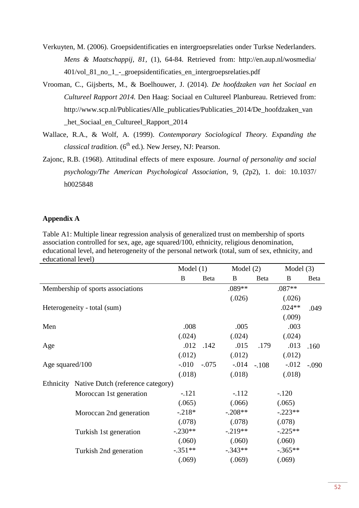- Verkuyten, M. (2006). Groepsidentificaties en intergroepsrelaties onder Turkse Nederlanders. *Mens & Maatschappij, 81,* (1), 64-84. Retrieved from: http://en.aup.nl/wosmedia/ 401/vol\_81\_no\_1\_-\_groepsidentificaties\_en\_intergroepsrelaties.pdf
- Vrooman, C., Gijsberts, M., & Boelhouwer, J. (2014). *De hoofdzaken van het Sociaal en Cultureel Rapport 2014.* Den Haag: Sociaal en Cultureel Planbureau. Retrieved from: http://www.scp.nl/Publicaties/Alle\_publicaties/Publicaties\_2014/De\_hoofdzaken\_van \_het\_Sociaal\_en\_Cultureel\_Rapport\_2014
- Wallace, R.A., & Wolf, A. (1999). *Contemporary Sociological Theory. Expanding the classical tradition.*  $(6^{th}$  ed.). New Jersey, NJ: Pearson.
- Zajonc, R.B. (1968). Attitudinal effects of mere exposure. *Journal of personality and social psychology/The American Psychological Association*, 9, (2p2), 1. doi: 10.1037/ h0025848

### **Appendix A**

Table A1: Multiple linear regression analysis of generalized trust on membership of sports association controlled for sex, age, age squared/100, ethnicity, religious denomination, educational level, and heterogeneity of the personal network (total, sum of sex, ethnicity, and educational level)

|                 |                                             |           | Model $(1)$ |            | Model $(2)$    |           | Model $(3)$ |
|-----------------|---------------------------------------------|-----------|-------------|------------|----------------|-----------|-------------|
|                 |                                             | B         | Beta        | B          | Beta           | B         | Beta        |
|                 | Membership of sports associations           |           |             | .089**     |                | $.087**$  |             |
|                 |                                             |           |             | (.026)     |                | (.026)    |             |
|                 | Heterogeneity - total (sum)                 |           |             |            |                | $.024**$  | .049        |
|                 |                                             |           |             |            |                | (.009)    |             |
| Men             |                                             | .008      |             | .005       |                | .003      |             |
|                 |                                             | (.024)    |             | (.024)     |                | (.024)    |             |
| Age             |                                             | .012      | .142        | .015       | .179           | .013      | .160        |
|                 |                                             | (.012)    |             | (.012)     |                | (.012)    |             |
| Age squared/100 |                                             | $-.010$   | $-.075$     |            | $-0.014 - 108$ | $-0.012$  | $-.090$     |
|                 |                                             | (.018)    |             | (.018)     |                | (.018)    |             |
|                 | Ethnicity Native Dutch (reference category) |           |             |            |                |           |             |
|                 | Moroccan 1st generation                     | $-.121$   |             | $-.112$    |                | $-120$    |             |
|                 |                                             | (.065)    |             | (.066)     |                | (.065)    |             |
|                 | Moroccan 2nd generation                     | $-218*$   |             | $-.208**$  |                | $-.223**$ |             |
|                 |                                             | (.078)    |             | (.078)     |                | (.078)    |             |
|                 | Turkish 1st generation                      | $-.230**$ |             | $-0.219**$ |                | $-.225**$ |             |
|                 |                                             | (.060)    |             | (.060)     |                | (.060)    |             |
|                 | Turkish 2nd generation                      | $-.351**$ |             | $-.343**$  |                | $-.365**$ |             |
|                 |                                             | (.069)    |             | (.069)     |                | (.069)    |             |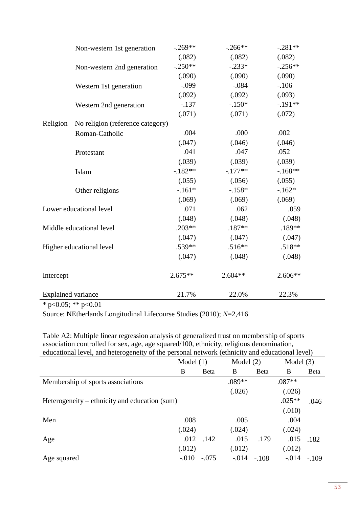|                           | Non-western 1st generation       | $-.269**$ | $-.266**$ | $-.281**$ |
|---------------------------|----------------------------------|-----------|-----------|-----------|
|                           |                                  | (.082)    | (.082)    | (.082)    |
|                           | Non-western 2nd generation       | $-.250**$ | $-.233*$  | $-.256**$ |
|                           |                                  | (.090)    | (.090)    | (.090)    |
|                           | Western 1st generation           | $-.099$   | $-.084$   | $-.106$   |
|                           |                                  | (.092)    | (.092)    | (.093)    |
|                           | Western 2nd generation           | $-.137$   | $-.150*$  | $-.191**$ |
|                           |                                  | (.071)    | (.071)    | (.072)    |
| Religion                  | No religion (reference category) |           |           |           |
|                           | Roman-Catholic                   | .004      | .000      | .002      |
|                           |                                  | (.047)    | (.046)    | (.046)    |
|                           | Protestant                       | .041      | .047      | .052      |
|                           |                                  | (.039)    | (.039)    | (.039)    |
|                           | Islam                            | $-182**$  | $-.177**$ | $-168**$  |
|                           |                                  | (.055)    | (.056)    | (.055)    |
|                           | Other religions                  | $-.161*$  | $-158*$   | $-162*$   |
|                           |                                  | (.069)    | (.069)    | (.069)    |
|                           | Lower educational level          | .071      | .062      | .059      |
|                           |                                  | (.048)    | (.048)    | (.048)    |
|                           | Middle educational level         | $.203**$  | $.187**$  | .189**    |
|                           |                                  | (.047)    | (.047)    | (.047)    |
|                           | Higher educational level         | .539**    | $.516**$  | .518**    |
|                           |                                  | (.047)    | (.048)    | (.048)    |
| Intercept                 |                                  | $2.675**$ | $2.604**$ | $2.606**$ |
| <b>Explained variance</b> |                                  | 21.7%     | 22.0%     | 22.3%     |

 $\frac{1}{\text{* }p<0.05; \text{** }p<0.01}$ 

Source: NEtherlands Longitudinal Lifecourse Studies (2010); *N*=2,416

Table A2: Multiple linear regression analysis of generalized trust on membership of sports association controlled for sex, age, age squared/100, ethnicity, religious denomination, educational level, and heterogeneity of the personal network (ethnicity and educational level)

|                                               | Model $(1)$ |              | Model $(2)$ |              | Model $(3)$ |              |
|-----------------------------------------------|-------------|--------------|-------------|--------------|-------------|--------------|
|                                               | B           | <b>B</b> eta | B           | <b>B</b> eta | B           | <b>B</b> eta |
| Membership of sports associations             |             |              | .089**      |              | $.087**$    |              |
|                                               |             |              | (.026)      |              | (.026)      |              |
| Heterogeneity – ethnicity and education (sum) |             |              |             |              | $.025**$    | .046         |
|                                               |             |              |             |              | (.010)      |              |
| Men                                           | .008        |              | .005        |              | .004        |              |
|                                               | (.024)      |              | (.024)      |              | (.024)      |              |
| Age                                           | .012        | .142         | .015        | .179         | .015        | .182         |
|                                               | (.012)      |              | (.012)      |              | (.012)      |              |
| Age squared                                   | $-.010$     | $-.075$      | $-.014$     | $-.108$      | $-.014$     | $-109$       |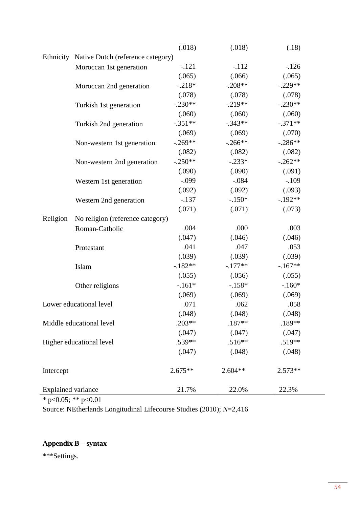|                           |                                             | (.018)    | (.018)    | (.18)     |  |  |  |  |
|---------------------------|---------------------------------------------|-----------|-----------|-----------|--|--|--|--|
|                           | Ethnicity Native Dutch (reference category) |           |           |           |  |  |  |  |
|                           | Moroccan 1st generation                     | $-.121$   | $-112$    | $-126$    |  |  |  |  |
|                           |                                             | (.065)    | (.066)    | (.065)    |  |  |  |  |
|                           | Moroccan 2nd generation                     | $-.218*$  | $-.208**$ | $-.229**$ |  |  |  |  |
|                           |                                             | (.078)    | (.078)    | (.078)    |  |  |  |  |
|                           | Turkish 1st generation                      | $-.230**$ | $-.219**$ | $-.230**$ |  |  |  |  |
|                           |                                             | (.060)    | (.060)    | (.060)    |  |  |  |  |
|                           | Turkish 2nd generation                      | $-.351**$ | $-.343**$ | $-.371**$ |  |  |  |  |
|                           |                                             | (.069)    | (.069)    | (.070)    |  |  |  |  |
|                           | Non-western 1st generation                  | $-.269**$ | $-.266**$ | $-.286**$ |  |  |  |  |
|                           |                                             | (.082)    | (.082)    | (.082)    |  |  |  |  |
|                           | Non-western 2nd generation                  | $-.250**$ | $-.233*$  | $-.262**$ |  |  |  |  |
|                           |                                             | (.090)    | (.090)    | (.091)    |  |  |  |  |
|                           | Western 1st generation                      | $-.099$   | $-.084$   | $-.109$   |  |  |  |  |
|                           |                                             | (.092)    | (.092)    | (.093)    |  |  |  |  |
|                           | Western 2nd generation                      | $-.137$   | $-.150*$  | $-.192**$ |  |  |  |  |
|                           |                                             | (.071)    | (.071)    | (.073)    |  |  |  |  |
| Religion                  | No religion (reference category)            |           |           |           |  |  |  |  |
|                           | Roman-Catholic                              | .004      | .000      | .003      |  |  |  |  |
|                           |                                             | (.047)    | (.046)    | (.046)    |  |  |  |  |
|                           | Protestant                                  | .041      | .047      | .053      |  |  |  |  |
|                           |                                             | (.039)    | (.039)    | (.039)    |  |  |  |  |
|                           | Islam                                       | $-182**$  | $-.177**$ | $-.167**$ |  |  |  |  |
|                           |                                             | (.055)    | (.056)    | (.055)    |  |  |  |  |
|                           | Other religions                             | $-.161*$  | $-.158*$  | $-.160*$  |  |  |  |  |
|                           |                                             | (.069)    | (.069)    | (.069)    |  |  |  |  |
|                           | Lower educational level                     | .071      | .062      | .058      |  |  |  |  |
|                           |                                             | (.048)    | (.048)    | (.048)    |  |  |  |  |
|                           | Middle educational level                    | $.203**$  | $.187**$  | .189**    |  |  |  |  |
|                           |                                             | (.047)    | (.047)    | (.047)    |  |  |  |  |
|                           | Higher educational level                    | $.539**$  | $.516**$  | .519**    |  |  |  |  |
|                           |                                             | (.047)    | (.048)    | (.048)    |  |  |  |  |
| Intercept                 |                                             | $2.675**$ | $2.604**$ | $2.573**$ |  |  |  |  |
| <b>Explained variance</b> |                                             | 21.7%     | 22.0%     | 22.3%     |  |  |  |  |

 $\frac{1.1 \times 10^{-4} \text{ m} \cdot \text{m}}{4 \times 0.05$ ; \*\* p<0.01

Source: NEtherlands Longitudinal Lifecourse Studies (2010); *N*=2,416

# **Appendix B – syntax**

\*\*\*Settings.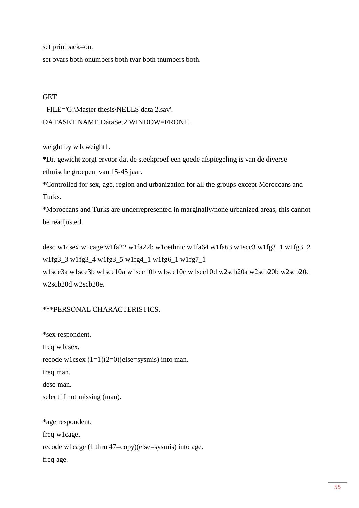set printback=on.

set ovars both onumbers both tvar both tnumbers both.

### **GET**

 FILE='G:\Master thesis\NELLS data 2.sav'. DATASET NAME DataSet2 WINDOW=FRONT.

weight by w1cweight1.

\*Dit gewicht zorgt ervoor dat de steekproef een goede afspiegeling is van de diverse ethnische groepen van 15-45 jaar.

\*Controlled for sex, age, region and urbanization for all the groups except Moroccans and Turks.

\*Moroccans and Turks are underrepresented in marginally/none urbanized areas, this cannot be readjusted.

desc w1csex w1cage w1fa22 w1fa22b w1cethnic w1fa64 w1fa63 w1scc3 w1fg3\_1 w1fg3\_2 w1fg3\_3 w1fg3\_4 w1fg3\_5 w1fg4\_1 w1fg6\_1 w1fg7\_1 w1sce3a w1sce3b w1sce10a w1sce10b w1sce10c w1sce10d w2scb20a w2scb20b w2scb20c w2scb20d w2scb20e.

# \*\*\*PERSONAL CHARACTERISTICS.

\*sex respondent. freq w1csex. recode w1csex  $(1=1)(2=0)$ (else=sysmis) into man. freq man. desc man. select if not missing (man). \*age respondent. freq w1cage. recode w1cage (1 thru 47=copy)(else=sysmis) into age. freq age.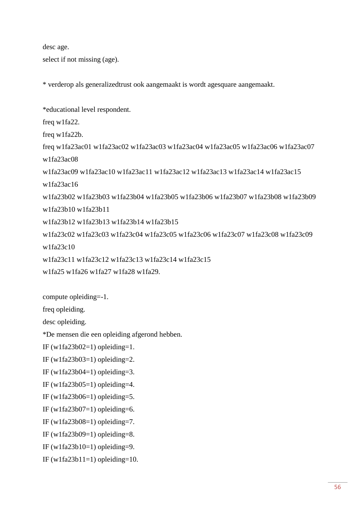desc age.

select if not missing (age).

\* verderop als generalizedtrust ook aangemaakt is wordt agesquare aangemaakt.

\*educational level respondent.

freq w1fa22.

freq w1fa22b.

freq w1fa23ac01 w1fa23ac02 w1fa23ac03 w1fa23ac04 w1fa23ac05 w1fa23ac06 w1fa23ac07 w1fa23ac08

w1fa23ac09 w1fa23ac10 w1fa23ac11 w1fa23ac12 w1fa23ac13 w1fa23ac14 w1fa23ac15

w1fa23ac16

w1fa23b02 w1fa23b03 w1fa23b04 w1fa23b05 w1fa23b06 w1fa23b07 w1fa23b08 w1fa23b09 w1fa23b10 w1fa23b11

w1fa23b12 w1fa23b13 w1fa23b14 w1fa23b15

w1fa23c02 w1fa23c03 w1fa23c04 w1fa23c05 w1fa23c06 w1fa23c07 w1fa23c08 w1fa23c09 w1fa23c10

w1fa23c11 w1fa23c12 w1fa23c13 w1fa23c14 w1fa23c15

w1fa25 w1fa26 w1fa27 w1fa28 w1fa29.

compute opleiding=-1.

freq opleiding.

desc opleiding.

\*De mensen die een opleiding afgerond hebben.

IF (w1fa23b02=1) opleiding=1.

```
IF (w1fa23b03=1) opleiding=2.
```

```
IF (w1fa23b04=1) opleiding=3.
```

```
IF (w1fa23b05=1) opleiding=4.
```
IF (w1fa23b06=1) opleiding=5.

IF (w1fa23b07=1) opleiding=6.

IF (w1fa23b08=1) opleiding=7.

IF (w1fa23b09=1) opleiding=8.

IF (w1fa23b10=1) opleiding=9.

IF (w1fa23b11=1) opleiding=10.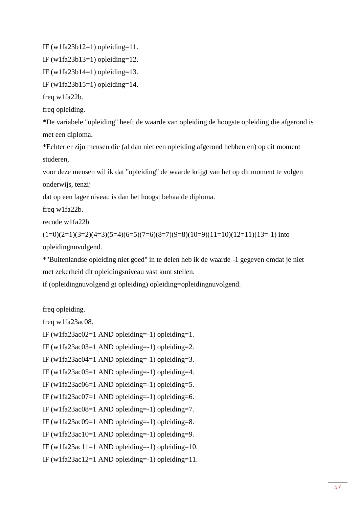IF (w1fa23b12=1) opleiding=11.

IF (w1fa23b13=1) opleiding=12.

IF (w1fa23b14=1) opleiding=13.

IF (w1fa23b15=1) opleiding=14.

freq w1fa22b.

freq opleiding.

\*De variabele "opleiding" heeft de waarde van opleiding de hoogste opleiding die afgerond is met een diploma.

\*Echter er zijn mensen die (al dan niet een opleiding afgerond hebben en) op dit moment studeren,

voor deze mensen wil ik dat "opleiding" de waarde krijgt van het op dit moment te volgen onderwijs, tenzij

dat op een lager niveau is dan het hoogst behaalde diploma.

freq w1fa22b.

recode w1fa22b

 $(1=0)(2=1)(3=2)(4=3)(5=4)(6=5)(7=6)(8=7)(9=8)(10=9)(11=10)(12=11)(13=-1)$  into opleidingnuvolgend.

\*"Buitenlandse opleiding niet goed" in te delen heb ik de waarde -1 gegeven omdat je niet met zekerheid dit opleidingsniveau vast kunt stellen.

if (opleidingnuvolgend gt opleiding) opleiding=opleidingnuvolgend.

freq opleiding.

freq w1fa23ac08.

IF (w1fa23ac02=1 AND opleiding=-1) opleiding=1.

IF (w1fa23ac03=1 AND opleiding=-1) opleiding=2.

IF (w1fa23ac04=1 AND opleiding=-1) opleiding=3.

IF (w1fa23ac05=1 AND opleiding=-1) opleiding=4.

IF (w1fa23ac06=1 AND opleiding=-1) opleiding=5.

IF (w1fa23ac07=1 AND opleiding=-1) opleiding=6.

IF (w1fa23ac08=1 AND opleiding=-1) opleiding=7.

IF (w1fa23ac09=1 AND opleiding=-1) opleiding=8.

IF (w1fa23ac10=1 AND opleiding=-1) opleiding=9.

IF (w1fa23ac11=1 AND opleiding=-1) opleiding=10.

IF (w1fa23ac12=1 AND opleiding=-1) opleiding=11.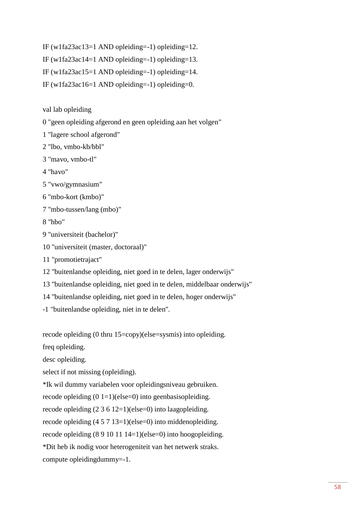IF (w1fa23ac13=1 AND opleiding=-1) opleiding=12.

IF (w1fa23ac14=1 AND opleiding=-1) opleiding=13.

IF (w1fa23ac15=1 AND opleiding=-1) opleiding=14.

IF (w1fa23ac16=1 AND opleiding=-1) opleiding=0.

val lab opleiding

0 "geen opleiding afgerond en geen opleiding aan het volgen"

1 "lagere school afgerond"

2 "lbo, vmbo-kb/bbl"

3 "mavo, vmbo-tl"

4 "havo"

5 "vwo/gymnasium"

6 "mbo-kort (kmbo)"

7 "mbo-tussen/lang (mbo)"

8 "hbo"

9 "universiteit (bachelor)"

10 "universiteit (master, doctoraal)"

11 "promotietrajact"

12 "buitenlandse opleiding, niet goed in te delen, lager onderwijs"

13 "buitenlandse opleiding, niet goed in te delen, middelbaar onderwijs"

14 "buitenlandse opleiding, niet goed in te delen, hoger onderwijs"

-1 "buitenlandse opleiding, niet in te delen".

recode opleiding (0 thru 15=copy)(else=sysmis) into opleiding.

freq opleiding.

desc opleiding.

select if not missing (opleiding).

\*Ik wil dummy variabelen voor opleidingsniveau gebruiken.

recode opleiding  $(0 1=1)(else=0)$  into geenbasisopleiding.

recode opleiding (2 3 6 12=1)(else=0) into laagopleiding.

recode opleiding (4 5 7 13=1)(else=0) into middenopleiding.

recode opleiding (8 9 10 11 14=1)(else=0) into hoogopleiding.

\*Dit heb ik nodig voor heterogeniteit van het netwerk straks.

compute opleidingdummy=-1.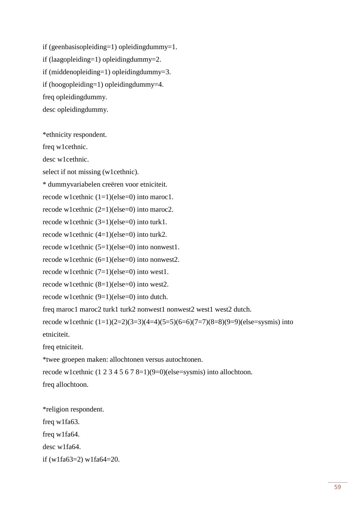if (geenbasisopleiding=1) opleidingdummy=1. if (laagopleiding=1) opleidingdummy=2. if (middenopleiding=1) opleidingdummy=3. if (hoogopleiding=1) opleidingdummy=4. freq opleidingdummy. desc opleidingdummy.

\*ethnicity respondent.

freq w1cethnic.

desc w1cethnic.

select if not missing (w1cethnic).

\* dummyvariabelen creëren voor etniciteit.

recode w1cethnic  $(1=1)(else=0)$  into maroc1.

recode w1cethnic (2=1)(else=0) into maroc2.

recode w1cethnic (3=1)(else=0) into turk1.

recode w1cethnic (4=1)(else=0) into turk2.

recode w1cethnic (5=1)(else=0) into nonwest1.

recode w1cethnic (6=1)(else=0) into nonwest2.

recode w1cethnic (7=1)(else=0) into west1.

recode w1cethnic (8=1)(else=0) into west2.

recode w1cethnic (9=1)(else=0) into dutch.

freq maroc1 maroc2 turk1 turk2 nonwest1 nonwest2 west1 west2 dutch.

recode w1cethnic  $(1=1)(2=2)(3=3)(4=4)(5=5)(6=6)(7=7)(8=8)(9=9)(else=sysmis)$  into etniciteit.

freq etniciteit.

\*twee groepen maken: allochtonen versus autochtonen.

recode w1cethnic (1 2 3 4 5 6 7 8=1)(9=0)(else=sysmis) into allochtoon.

freq allochtoon.

\*religion respondent. freq w1fa63. freq w1fa64. desc w1fa64. if (w1fa63=2) w1fa64=20.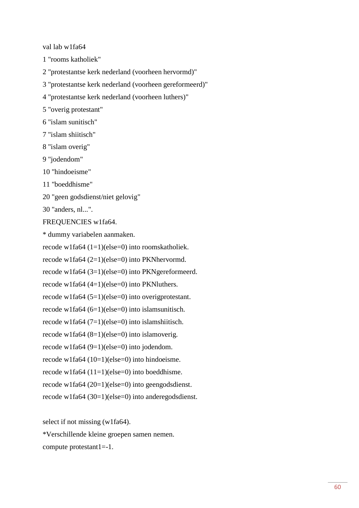val lab w1fa64

1 "rooms katholiek"

2 "protestantse kerk nederland (voorheen hervormd)"

3 "protestantse kerk nederland (voorheen gereformeerd)"

4 "protestantse kerk nederland (voorheen luthers)"

5 "overig protestant"

6 "islam sunitisch"

7 "islam shiitisch"

8 "islam overig"

9 "jodendom"

10 "hindoeisme"

11 "boeddhisme"

20 "geen godsdienst/niet gelovig"

30 "anders, nl...".

FREQUENCIES w1fa64.

\* dummy variabelen aanmaken.

recode w1fa64 (1=1)(else=0) into roomskatholiek.

recode w1fa64 (2=1)(else=0) into PKNhervormd.

recode w1fa64 (3=1)(else=0) into PKNgereformeerd.

recode w1fa64 (4=1)(else=0) into PKNluthers.

recode w1fa64 (5=1)(else=0) into overigprotestant.

recode w1fa64 (6=1)(else=0) into islamsunitisch.

recode w1fa64  $(7=1)$ (else=0) into islamshiitisch.

recode w1fa64 (8=1)(else=0) into islamoverig.

recode w1fa64 (9=1)(else=0) into jodendom.

recode w1fa64 (10=1)(else=0) into hindoeisme.

recode w1fa64 (11=1)(else=0) into boeddhisme.

recode w1fa64 (20=1)(else=0) into geengodsdienst.

recode w1fa64 (30=1)(else=0) into anderegodsdienst.

select if not missing (w1fa64).

\*Verschillende kleine groepen samen nemen.

compute protestant1=-1.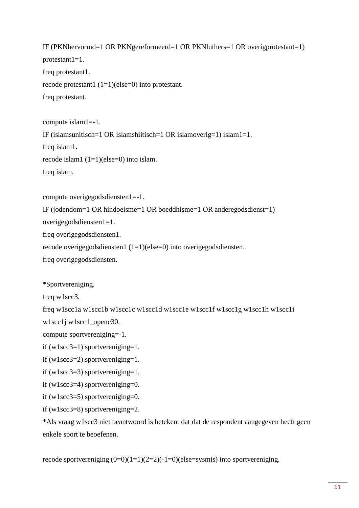IF (PKNhervormd=1 OR PKNgereformeerd=1 OR PKNluthers=1 OR overigprotestant=1) protestant $1=1$ . freq protestant1. recode protestant1 (1=1)(else=0) into protestant. freq protestant.

compute islam1=-1. IF (islamsunitisch=1 OR islamshiitisch=1 OR islamoverig=1) islam1=1. freq islam1. recode islam1  $(1=1)(else=0)$  into islam. freq islam.

```
compute overigegodsdiensten1=-1.
```

```
IF (jodendom=1 OR hindoeisme=1 OR boeddhisme=1 OR anderegodsdienst=1)
```
overigegodsdiensten1=1.

freq overigegodsdiensten1.

```
recode overigegodsdiensten1 (1=1)(else=0) into overigegodsdiensten.
```
freq overigegodsdiensten.

\*Sportvereniging.

freq w1scc3.

freq w1scc1a w1scc1b w1scc1c w1scc1d w1scc1e w1scc1f w1scc1g w1scc1h w1scc1i

w1scc1j w1scc1\_openc30.

compute sportvereniging=-1.

if (w1scc3=1) sportvereniging=1.

if (w1scc3=2) sportvereniging=1.

if (w1scc3=3) sportvereniging=1.

if (w1scc3=4) sportvereniging=0.

if (w1scc3=5) sportvereniging=0.

if (w1scc3=8) sportvereniging=2.

\*Als vraag w1scc3 niet beantwoord is betekent dat dat de respondent aangegeven heeft geen enkele sport te beoefenen.

recode sportvereniging  $(0=0)(1=1)(2=2)(-1=0)(else=sysmis)$  into sportvereniging.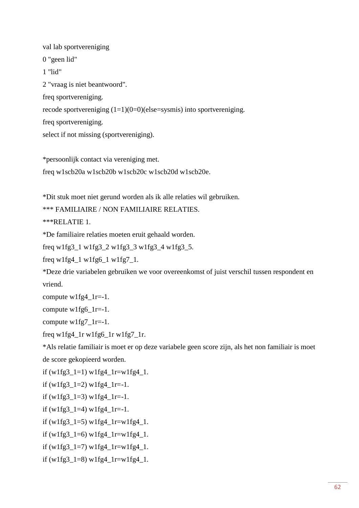val lab sportvereniging 0 "geen lid" 1 "lid" 2 "vraag is niet beantwoord". freq sportvereniging. recode sportvereniging  $(1=1)(0=0)$ (else=sysmis) into sportvereniging. freq sportvereniging. select if not missing (sportvereniging).

\*persoonlijk contact via vereniging met. freq w1scb20a w1scb20b w1scb20c w1scb20d w1scb20e.

\*Dit stuk moet niet gerund worden als ik alle relaties wil gebruiken.

\*\*\* FAMILIAIRE / NON FAMILIAIRE RELATIES.

\*\*\*RELATIE 1.

\*De familiaire relaties moeten eruit gehaald worden.

freq w1fg3\_1 w1fg3\_2 w1fg3\_3 w1fg3\_4 w1fg3\_5.

freq  $w1fg4_1 w1fg6_1 w1fg7_1$ .

\*Deze drie variabelen gebruiken we voor overeenkomst of juist verschil tussen respondent en vriend.

compute w1fg4\_1r=-1.

compute w1fg6\_1r=-1.

compute w1fg7  $1r=-1$ .

freq w1fg4\_1r w1fg6\_1r w1fg7\_1r.

\*Als relatie familiair is moet er op deze variabele geen score zijn, als het non familiair is moet de score gekopieerd worden.

```
if (w1fg3_1=1) w1fg4_1r=w1fg4_1.
```
if  $(w1fg3_1=2)$   $w1fg4_1r=-1$ .

if  $(w1fg3_1=3) w1fg4_1r=-1.$ 

if  $(w1fg3_1=4)$   $w1fg4_1r=-1$ .

if  $(w1fg3_1=5)$   $w1fg4_1r=w1fg4_1$ .

if (w1fg3\_1=6) w1fg4\_1r=w1fg4\_1.

if (w1fg3\_1=7) w1fg4\_1r=w1fg4\_1.

if (w1fg3\_1=8) w1fg4\_1r=w1fg4\_1.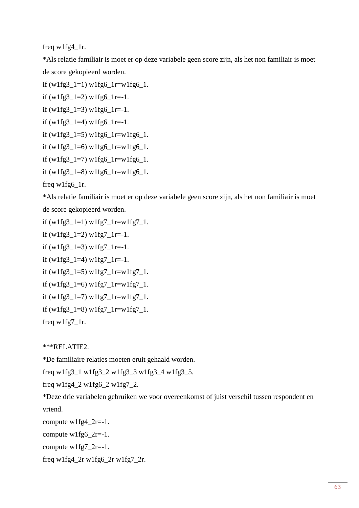freq w1fg4\_1r.

\*Als relatie familiair is moet er op deze variabele geen score zijn, als het non familiair is moet de score gekopieerd worden.

```
if (w1fg3_1=1) w1fg6_1r=w1fg6_1.
```

```
if (w1fg3_1=2) w1fg6_1r=-1.
```

```
if (w1fg3_1=3) w1fg6_1r=-1.
```

```
if (w1fg3_1=4) w1fg6_1r=-1.
```

```
if (w1fg3_1=5) w1fg6_1r=w1fg6_1.
```

```
if (w1fg3_1=6) w1fg6_1r=w1fg6_1.
```

```
if (w1fg3_1=7) w1fg6_1r=w1fg6_1.
```

```
if (w1fg3_1=8) w1fg6_1r=w1fg6_1.
```
freq w1fg6\_1r.

\*Als relatie familiair is moet er op deze variabele geen score zijn, als het non familiair is moet de score gekopieerd worden.

```
if (w1fg3_1=1) w1fg7_1=wlfg7_1.
```

```
if (w1fg3_1=2) w1fg7_1r=-1.
```
if  $(w1fg3_1=3) w1fg7_1=-1.$ 

if  $(w1fg3_1=4)$   $w1fg7_1=-1$ .

if (w1fg3\_1=5) w1fg7\_1r=w1fg7\_1.

if (w1fg3\_1=6) w1fg7\_1r=w1fg7\_1.

if (w1fg3\_1=7) w1fg7\_1r=w1fg7\_1.

if  $(w1fg3_1=8)$   $w1fg7_1=$  $w1fg7_1$ .

freq w1fg7\_1r.

# \*\*\*RELATIE2.

\*De familiaire relaties moeten eruit gehaald worden.

freq w1fg3\_1 w1fg3\_2 w1fg3\_3 w1fg3\_4 w1fg3\_5.

freq w1fg4\_2 w1fg6\_2 w1fg7\_2.

\*Deze drie variabelen gebruiken we voor overeenkomst of juist verschil tussen respondent en vriend.

compute  $w1fg4_2r=-1$ .

compute  $w1fg6_2r=-1$ .

compute  $w1fg7_2r=-1$ .

freq w1fg4\_2r w1fg6\_2r w1fg7\_2r.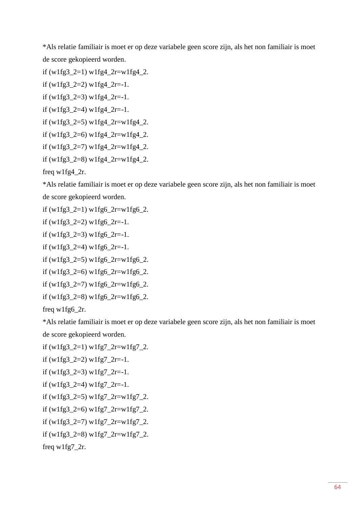\*Als relatie familiair is moet er op deze variabele geen score zijn, als het non familiair is moet de score gekopieerd worden.

```
if (w1fg3 2=1) w1fg4 2r=w1fg4 2.
```
- if  $(w1fg3_2=2)$   $w1fg4_2r=-1$ .
- if  $(w1fg3_2=3)$   $w1fg4_2r=-1$ .
- if (w1fg3  $2=4$ ) w1fg4  $2r=-1$ .
- if (w1fg3\_2=5) w1fg4\_2r=w1fg4\_2.
- if (w1fg3\_2=6) w1fg4\_2r=w1fg4\_2.
- if (w1fg3\_2=7) w1fg4\_2r=w1fg4\_2.
- if (w1fg3\_2=8) w1fg4\_2r=w1fg4\_2.

freq w1fg4\_2r.

\*Als relatie familiair is moet er op deze variabele geen score zijn, als het non familiair is moet de score gekopieerd worden.

```
if (w1fg3_2=1) w1fg6_2r=w1fg6_2.
```
if  $(w1fg3_2=2)$   $w1fg6_2=-1$ .

if (w1fg3  $2=3$ ) w1fg6  $2r=-1$ .

if  $(w1fg3_2=4)$   $w1fg6_2r=-1$ .

if (w1fg3\_2=5) w1fg6\_2r=w1fg6\_2.

if (w1fg3\_2=6) w1fg6\_2r=w1fg6\_2.

if (w1fg3\_2=7) w1fg6\_2r=w1fg6\_2.

```
if (w1fg3_2=8) w1fg6_2r=w1fg6_2.
```
freq w1fg6\_2r.

\*Als relatie familiair is moet er op deze variabele geen score zijn, als het non familiair is moet de score gekopieerd worden.

if  $(w1fg3_2=1) w1fg7_2r=w1fg7_2.$ 

```
if (w1fg3_2=2) w1fg7_2r=-1.
```

```
if (w1fg3_2=3) w1fg7_2r=-1.
```

```
if (w1fg3_2=4) w1fg7_2r=-1.
```

```
if (w1fg3_2=5) w1fg7_2r=w1fg7_2.
```

```
if (w1fg3_2=6) w1fg7_2r=w1fg7_2.
```

```
if (w1fg3_2=7) w1fg7_2r=w1fg7_2.
```

```
if (w1fg3_2=8) w1fg7_2r=w1fg7_2.
```
freq w1fg7\_2r.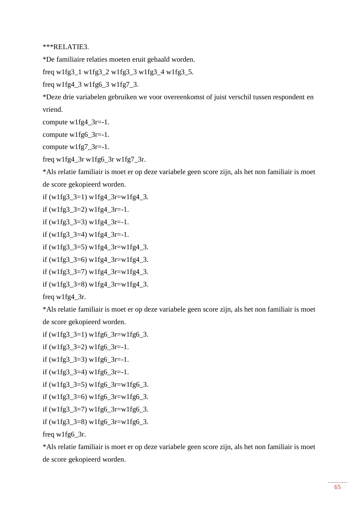\*\*\*RELATIE3.

\*De familiaire relaties moeten eruit gehaald worden.

freq w1fg3 $1$  w1fg3 $2$  w1fg3 $3$  w1fg3 $4$  w1fg3 $5$ .

freq w1fg4\_3 w1fg6\_3 w1fg7\_3.

\*Deze drie variabelen gebruiken we voor overeenkomst of juist verschil tussen respondent en vriend.

compute w1fg4\_3r=-1.

compute w1fg6\_3r=-1.

compute  $w1fg7_3r=-1$ .

freq w1fg4\_3r w1fg6\_3r w1fg7\_3r.

\*Als relatie familiair is moet er op deze variabele geen score zijn, als het non familiair is moet de score gekopieerd worden.

if (w1fg3\_3=1) w1fg4\_3r=w1fg4\_3.

if  $(w1fg3_3=2) w1fg4_3r=-1.$ 

if (w1fg3  $3=3$ ) w1fg4  $3r=-1$ .

if (w1fg3\_3=4) w1fg4\_3r=-1.

if (w1fg3\_3=5) w1fg4\_3r=w1fg4\_3.

if (w1fg3\_3=6) w1fg4\_3r=w1fg4\_3.

if (w1fg3\_3=7) w1fg4\_3r=w1fg4\_3.

if (w1fg3\_3=8) w1fg4\_3r=w1fg4\_3.

freq w1fg4\_3r.

\*Als relatie familiair is moet er op deze variabele geen score zijn, als het non familiair is moet de score gekopieerd worden.

if  $(w1fg3_3=1)$  w1fg6 $-3r=w1fg6_3$ .

if  $(w1fg3_3=2)$   $w1fg6_3r=-1$ .

if  $(w1fg3_3=3)$   $w1fg6_3r=-1$ .

if  $(w1fg3_3=4)$  w $1fg6_3r=-1.$ 

```
if (w1fg3_3=5) w1fg6_3r=w1fg6_3.
```

```
if (w1fg3_3=6) w1fg6_3r=w1fg6_3.
```

```
if (w1fg3_3=7) w1fg6_3r=w1fg6_3.
```

```
if (w1fg3_3=8) w1fg6_3r=w1fg6_3.
```

```
freq w1fg6_3r.
```
\*Als relatie familiair is moet er op deze variabele geen score zijn, als het non familiair is moet de score gekopieerd worden.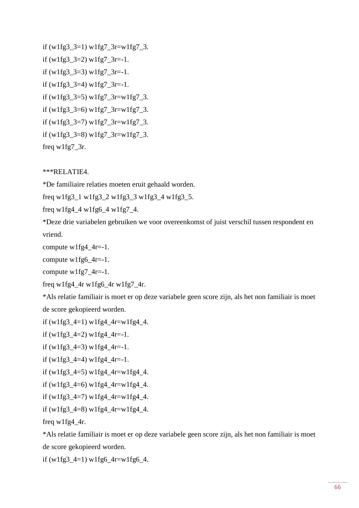```
if (w1fg3_3=1) w1fg7_3r=w1fg7_3.
if (w1fg3_3=2) w1fg7_3r=-1.
if (w1fg3_3=3) w1fg7_3r=-1.
if (w1fg3_3=4) w1fg7_3r=-1.
if (w1fg3_3=5) w1fg7_3r=w1fg7_3.
if (w1fg3_3=6) w1fg7_3r=w1fg7_3.
if (w1fg3_3=7) w1fg7_3r=w1fg7_3.
if (w1fg3_3=8) w1fg7_3r=w1fg7_3.
freq w1fg7_3r.
```
\*\*\*RELATIE4.

\*De familiaire relaties moeten eruit gehaald worden.

freq w1fg3\_1 w1fg3\_2 w1fg3\_3 w1fg3\_4 w1fg3\_5.

freq w1fg $4$ \_4 w1fg $6$ \_4 w1fg $7$ \_4.

\*Deze drie variabelen gebruiken we voor overeenkomst of juist verschil tussen respondent en vriend.

compute  $w1fg4_4r=-1$ .

compute w1fg6\_4r=-1.

compute  $w1fg7_4r=-1$ .

freq w1fg4\_4r w1fg6\_4r w1fg7\_4r.

\*Als relatie familiair is moet er op deze variabele geen score zijn, als het non familiair is moet de score gekopieerd worden.

if (w1fg3\_4=1) w1fg4\_4r=w1fg4\_4.

if  $(w1fg3_4=2)$   $w1fg4_4=-1$ .

if  $(w1fg3_4=3)$   $w1fg4_4=-1$ .

if  $(w1fg3_4=4)$   $w1fg4_4=-1$ .

if (w1fg3\_4=5) w1fg4\_4r=w1fg4\_4.

if (w1fg3\_4=6) w1fg4\_4r=w1fg4\_4.

if (w1fg3\_4=7) w1fg4\_4r=w1fg4\_4.

if 
$$
(w1fg3_4=8) w1fg4_4r=w1fg4_4
$$
.

freq w1fg4\_4r.

\*Als relatie familiair is moet er op deze variabele geen score zijn, als het non familiair is moet de score gekopieerd worden.

if  $(w1fg3_4=1)$  w1fg6\_4r=w1fg6\_4.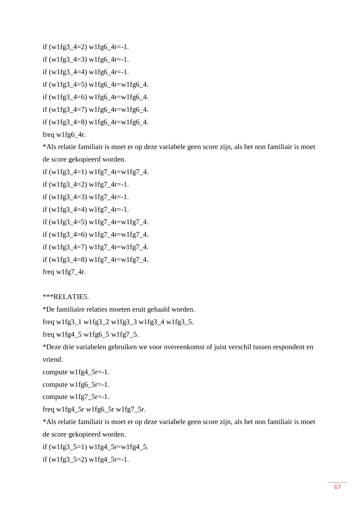if  $(w1fg3_4=2)$   $w1fg6_4r=-1$ .

if (w1fg3  $4=3$ ) w1fg6  $4r=-1$ .

if (w1fg3  $4=4$ ) w1fg6  $4r=-1$ .

if (w1fg3\_4=5) w1fg6\_4r=w1fg6\_4.

if (w1fg3  $4=6$ ) w1fg6  $4r=$ w1fg6  $4$ .

if (w1fg3\_4=7) w1fg6\_4r=w1fg6\_4.

```
if (w1fg3_4=8) w1fg6_4r=w1fg6_4.
```
freq w1fg6\_4r.

\*Als relatie familiair is moet er op deze variabele geen score zijn, als het non familiair is moet de score gekopieerd worden.

if  $(w1fg3_4=1) w1fg7_4r=w1fg7_4.$ 

if  $(w1fg3_4=2) w1fg7_4r=-1.$ 

if  $(w1fg3_4=3) w1fg7_4r=-1.$ 

if  $(w1fg3_4=4)$   $w1fg7_4r=-1$ .

if (w1fg3\_4=5) w1fg7\_4r=w1fg7\_4.

if (w1fg3\_4=6) w1fg7\_4r=w1fg7\_4.

if (w1fg3\_4=7) w1fg7\_4r=w1fg7\_4.

if (w1fg3\_4=8) w1fg7\_4r=w1fg7\_4.

freq w1fg7\_4r.

\*\*\*RELATIE5.

\*De familiaire relaties moeten eruit gehaald worden.

freq w1fg3\_1 w1fg3\_2 w1fg3\_3 w1fg3\_4 w1fg3\_5.

freq w1fg4\_5 w1fg6\_5 w1fg7\_5.

\*Deze drie variabelen gebruiken we voor overeenkomst of juist verschil tussen respondent en vriend.

compute w1fg4\_5r=-1.

compute w1fg6\_5r=-1.

compute w1fg7\_5r=-1.

freq w1fg4\_5r w1fg6\_5r w1fg7\_5r.

\*Als relatie familiair is moet er op deze variabele geen score zijn, als het non familiair is moet de score gekopieerd worden.

if (w1fg3\_5=1) w1fg4\_5r=w1fg4\_5.

if  $(w1fg3_5=2)$   $w1fg4_5r=-1$ .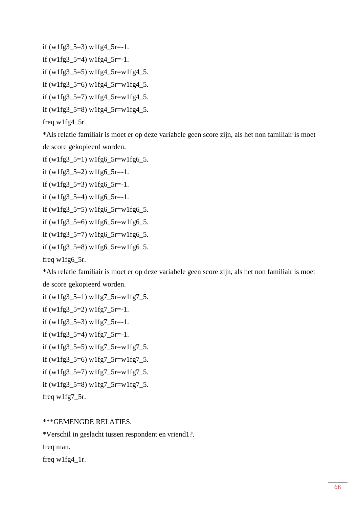```
if (w1fg3_5=3) w1fg4_5r=-1.
if (w1fg3 5=4) w1fg4 5r=-1.
if (w1fg3_5=5) w1fg4_5r=w1fg4_5.
if (w1fg3_5=6) w1fg4_5r=w1fg4_5.
if (w1fg3_5=7) w1fg4_5r=w1fg4_5.
if (w1fg3_5=8) w1fg4_5r=w1fg4_5.
```

```
freq w1fg4_5r.
```
\*Als relatie familiair is moet er op deze variabele geen score zijn, als het non familiair is moet de score gekopieerd worden.

```
if (w1fg3_5=1) w1fg6_5r=w1fg6_5.
```
if  $(w1fg3_5=2)$  w1fg6\_5r=-1.

if  $(w1fg3_5=3)$   $w1fg6_5r=-1$ .

if  $(w1fg3_5=4)$   $w1fg6_5r=-1$ .

```
if (w1fg3_5=5) w1fg6_5r=w1fg6_5.
```

```
if (w1fg3_5=6) w1fg6_5r=w1fg6_5.
```

```
if (w1fg35=7) w1fg65r=w1fg65.
```

```
if (w1fg3_5=8) w1fg6_5r=w1fg6_5.
```
freq w1fg6\_5r.

\*Als relatie familiair is moet er op deze variabele geen score zijn, als het non familiair is moet de score gekopieerd worden.

```
if (w1fg3_5=1) w1fg7_5r=w1fg7_5.
```
if  $(w1fg3_5=2) w1fg7_5r=-1.$ 

if  $(w1fg3_5=3) w1fg7_5r=-1.$ 

if  $(w1fg3_5=4) w1fg7_5r=-1.$ 

if (w1fg3\_5=5) w1fg7\_5r=w1fg7\_5.

if (w1fg3\_5=6) w1fg7\_5r=w1fg7\_5.

if (w1fg3\_5=7) w1fg7\_5r=w1fg7\_5.

if (w1fg3\_5=8) w1fg7\_5r=w1fg7\_5.

freq w1fg7\_5r.

### \*\*\*GEMENGDE RELATIES.

\*Verschil in geslacht tussen respondent en vriend1?.

freq man.

freq w1fg4\_1r.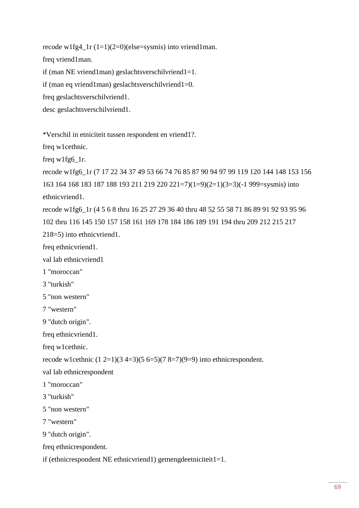recode w1fg4\_1r  $(1=1)(2=0)$ (else=sysmis) into vriend1man.

freq vriend1man.

if (man NE vriend1man) geslachtsverschilvriend1=1.

if (man eq vriend1man) geslachtsverschilvriend1=0.

freq geslachtsverschilvriend1.

desc geslachtsverschilvriend1.

\*Verschil in etniciteit tussen respondent en vriend1?.

freq w1cethnic.

freq w1fg6\_1r.

```
recode w1fg6_1r (7 17 22 34 37 49 53 66 74 76 85 87 90 94 97 99 119 120 144 148 153 156 
163 164 168 183 187 188 193 211 219 220 221=7)(1=9)(2=1)(3=3)(-1 999=sysmis) into 
ethnicvriend1.
recode w1fg6_1r (4 5 6 8 thru 16 25 27 29 36 40 thru 48 52 55 58 71 86 89 91 92 93 95 96
```
102 thru 116 145 150 157 158 161 169 178 184 186 189 191 194 thru 209 212 215 217 218=5) into ethnicvriend1.

freq ethnicvriend1.

val lab ethnicvriend1

1 "moroccan"

3 "turkish"

5 "non western"

7 "western"

9 "dutch origin".

freq ethnicvriend1.

freq w1cethnic.

recode w1cethnic  $(1 2=1)(3 4=3)(5 6=5)(7 8=7)(9=9)$  into ethnicrespondent.

val lab ethnicrespondent

- 1 "moroccan"
- 3 "turkish"
- 5 "non western"
- 7 "western"

```
9 "dutch origin".
```

```
freq ethnicrespondent.
```
if (ethnicrespondent NE ethnicvriend1) gemengdeetniciteit1=1.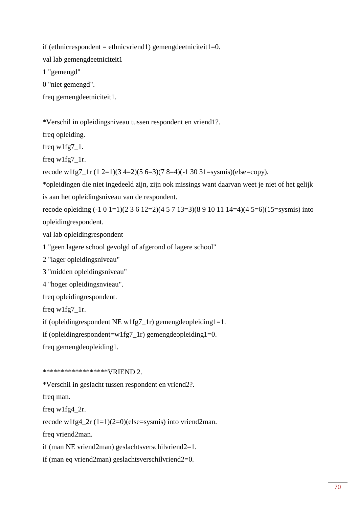if (ethnicrespondent = ethnicvriend1) gemengdeetniciteit1=0.

val lab gemengdeetniciteit1

1 "gemengd"

0 "niet gemengd".

freq gemengdeetniciteit1.

\*Verschil in opleidingsniveau tussen respondent en vriend1?.

freq opleiding.

freq  $w1fg7_1$ .

freq w1fg7\_1r.

recode w1fg7\_1r (1 2=1)(3 4=2)(5 6=3)(7 8=4)(-1 30 31=sysmis)(else=copy).

\*opleidingen die niet ingedeeld zijn, zijn ook missings want daarvan weet je niet of het gelijk is aan het opleidingsniveau van de respondent.

recode opleiding (-1 0 1=1)(2 3 6 12=2)(4 5 7 13=3)(8 9 10 11 14=4)(4 5=6)(15=sysmis) into opleidingrespondent.

val lab opleidingrespondent

1 "geen lagere school gevolgd of afgerond of lagere school"

2 "lager opleidingsniveau"

3 "midden opleidingsniveau"

4 "hoger opleidingsnvieau".

freq opleidingrespondent.

freq w1fg7\_1r.

if (opleidingrespondent NE w1fg7\_1r) gemengdeopleiding1=1.

if (opleidingrespondent=w1fg7\_1r) gemengdeopleiding1=0.

freq gemengdeopleiding1.

### \*\*\*\*\*\*\*\*\*\*\*\*\*\*\*\*\*\*VRIEND 2.

\*Verschil in geslacht tussen respondent en vriend2?.

freq man.

freq w1fg4\_2r.

recode w1fg4\_2r (1=1)(2=0)(else=sysmis) into vriend2man.

freq vriend2man.

if (man NE vriend2man) geslachtsverschilvriend2=1.

if (man eq vriend2man) geslachtsverschilvriend2=0.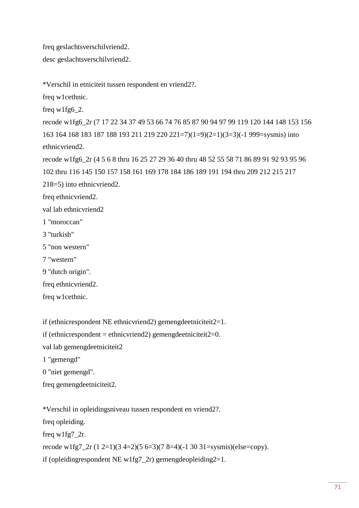freq geslachtsverschilvriend2.

desc geslachtsverschilvriend2.

\*Verschil in etniciteit tussen respondent en vriend2?.

freq w1cethnic.

freq w1fg6\_2.

recode w1fg6\_2r (7 17 22 34 37 49 53 66 74 76 85 87 90 94 97 99 119 120 144 148 153 156 163 164 168 183 187 188 193 211 219 220 221=7)(1=9)(2=1)(3=3)(-1 999=sysmis) into ethnicvriend2.

recode w1fg6\_2r (4 5 6 8 thru 16 25 27 29 36 40 thru 48 52 55 58 71 86 89 91 92 93 95 96 102 thru 116 145 150 157 158 161 169 178 184 186 189 191 194 thru 209 212 215 217 218=5) into ethnicvriend2.

freq ethnicvriend2.

val lab ethnicvriend2

1 "moroccan"

3 "turkish"

5 "non western"

7 "western"

9 "dutch origin".

freq ethnicvriend2.

freq w1cethnic.

if (ethnicrespondent NE ethnicvriend2) gemengdeetniciteit2=1.

if (ethnicrespondent = ethnicvriend2) gemengdeetniciteit $2=0$ .

val lab gemengdeetniciteit2

1 "gemengd"

0 "niet gemengd".

freq gemengdeetniciteit2.

\*Verschil in opleidingsniveau tussen respondent en vriend2?.

freq opleiding.

freq w1fg7\_2r.

recode w1fg7\_2r  $(1 2=1)(3 4=2)(5 6=3)(7 8=4)(-1 30 31=sysmis)(else=copy).$ 

if (opleidingrespondent NE w1fg7\_2r) gemengdeopleiding2=1.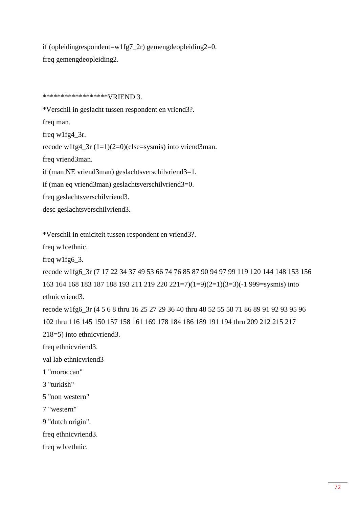if (opleidingrespondent=w1fg7\_2r) gemengdeopleiding2=0. freq gemengdeopleiding2.

\*\*\*\*\*\*\*\*\*\*\*\*\*\*\*\*\*\*VRIEND 3.

\*Verschil in geslacht tussen respondent en vriend3?. freq man. freq w1fg4\_3r. recode w1fg4\_3r (1=1)(2=0)(else=sysmis) into vriend3man. freq vriend3man. if (man NE vriend3man) geslachtsverschilvriend3=1. if (man eq vriend3man) geslachtsverschilvriend3=0. freq geslachtsverschilvriend3. desc geslachtsverschilvriend3.

\*Verschil in etniciteit tussen respondent en vriend3?.

freq w1cethnic.

freq w1fg6\_3.

recode w1fg6\_3r (7 17 22 34 37 49 53 66 74 76 85 87 90 94 97 99 119 120 144 148 153 156 163 164 168 183 187 188 193 211 219 220 221=7)(1=9)(2=1)(3=3)(-1 999=sysmis) into ethnicvriend3.

recode w1fg6\_3r (4 5 6 8 thru 16 25 27 29 36 40 thru 48 52 55 58 71 86 89 91 92 93 95 96 102 thru 116 145 150 157 158 161 169 178 184 186 189 191 194 thru 209 212 215 217 218=5) into ethnicvriend3.

freq ethnicvriend3.

val lab ethnicvriend3

1 "moroccan"

3 "turkish"

5 "non western"

7 "western"

9 "dutch origin".

freq ethnicvriend3.

freq w1cethnic.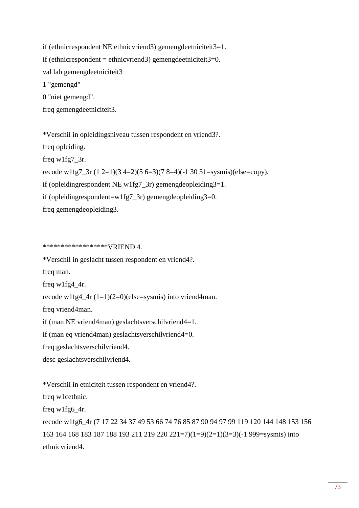if (ethnicrespondent NE ethnicvriend3) gemengdeetniciteit3=1. if (ethnicrespondent = ethnicvriend3) gemengdeetniciteit $3=0$ . val lab gemengdeetniciteit3 1 "gemengd" 0 "niet gemengd". freq gemengdeetniciteit3.

\*Verschil in opleidingsniveau tussen respondent en vriend3?. freq opleiding. freq w1fg7\_3r. recode w1fg7\_3r (1 2=1)(3 4=2)(5 6=3)(7 8=4)(-1 30 31=sysmis)(else=copy). if (opleidingrespondent NE w1fg7\_3r) gemengdeopleiding3=1. if (opleidingrespondent=w1fg7\_3r) gemengdeopleiding3=0. freq gemengdeopleiding3.

\*\*\*\*\*\*\*\*\*\*\*\*\*\*\*\*\*\*VRIEND 4.

\*Verschil in geslacht tussen respondent en vriend4?. freq man. freq w1fg4\_4r. recode w1fg4\_4r (1=1)(2=0)(else=sysmis) into vriend4man. freq vriend4man. if (man NE vriend4man) geslachtsverschilvriend4=1. if (man eq vriend4man) geslachtsverschilvriend4=0. freq geslachtsverschilvriend4. desc geslachtsverschilvriend4.

\*Verschil in etniciteit tussen respondent en vriend4?.

freq w1cethnic.

freq w1fg6\_4r.

recode w1fg6\_4r (7 17 22 34 37 49 53 66 74 76 85 87 90 94 97 99 119 120 144 148 153 156 163 164 168 183 187 188 193 211 219 220 221=7)(1=9)(2=1)(3=3)(-1 999=sysmis) into ethnicvriend4.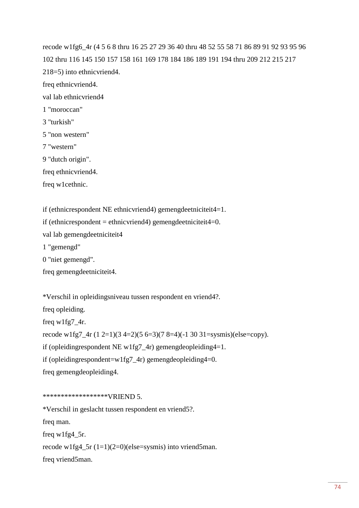recode w1fg6\_4r (4 5 6 8 thru 16 25 27 29 36 40 thru 48 52 55 58 71 86 89 91 92 93 95 96 102 thru 116 145 150 157 158 161 169 178 184 186 189 191 194 thru 209 212 215 217 218=5) into ethnicvriend4. freq ethnicvriend4. val lab ethnicvriend4 1 "moroccan" 3 "turkish" 5 "non western" 7 "western" 9 "dutch origin". freq ethnicvriend4. freq w1cethnic.

if (ethnicrespondent NE ethnicvriend4) gemengdeetniciteit4=1.

if (ethnicrespondent = ethnic vriend4) gemengdeetniciteit4=0.

val lab gemengdeetniciteit4

1 "gemengd"

0 "niet gemengd".

freq gemengdeetniciteit4.

\*Verschil in opleidingsniveau tussen respondent en vriend4?. freq opleiding. freq w1fg7\_4r. recode w1fg7\_4r (1 2=1)(3 4=2)(5 6=3)(7 8=4)(-1 30 31=sysmis)(else=copy). if (opleidingrespondent NE w1fg7\_4r) gemengdeopleiding4=1. if (opleidingrespondent=w1fg7\_4r) gemengdeopleiding4=0. freq gemengdeopleiding4.

\*\*\*\*\*\*\*\*\*\*\*\*\*\*\*\*\*\*VRIEND 5.

\*Verschil in geslacht tussen respondent en vriend5?.

freq man.

freq w1fg4\_5r.

recode w1fg4\_5r (1=1)(2=0)(else=sysmis) into vriend5man.

freq vriend5man.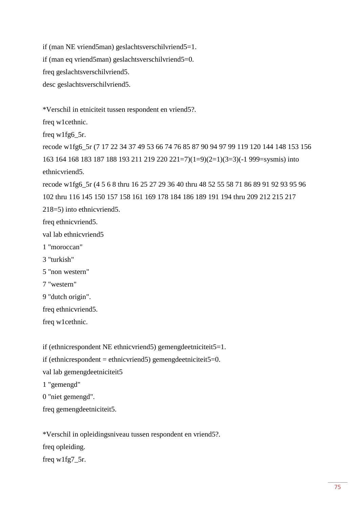if (man NE vriend5man) geslachtsverschilvriend5=1. if (man eq vriend5man) geslachtsverschilvriend5=0. freq geslachtsverschilvriend5. desc geslachtsverschilvriend5.

\*Verschil in etniciteit tussen respondent en vriend5?.

freq w1cethnic.

freq w1fg6\_5r.

recode w1fg6\_5r (7 17 22 34 37 49 53 66 74 76 85 87 90 94 97 99 119 120 144 148 153 156 163 164 168 183 187 188 193 211 219 220 221=7)(1=9)(2=1)(3=3)(-1 999=sysmis) into ethnicvriend5.

recode w1fg6\_5r (4 5 6 8 thru 16 25 27 29 36 40 thru 48 52 55 58 71 86 89 91 92 93 95 96 102 thru 116 145 150 157 158 161 169 178 184 186 189 191 194 thru 209 212 215 217 218=5) into ethnicvriend5.

freq ethnicvriend5.

val lab ethnicvriend5

- 1 "moroccan"
- 3 "turkish"

5 "non western"

7 "western"

9 "dutch origin".

freq ethnicvriend5.

freq w1cethnic.

if (ethnicrespondent NE ethnicvriend5) gemengdeetniciteit5=1.

if (ethnicrespondent = ethnicvriend5) gemengdeetniciteit5=0.

val lab gemengdeetniciteit5

1 "gemengd"

0 "niet gemengd".

freq gemengdeetniciteit5.

\*Verschil in opleidingsniveau tussen respondent en vriend5?. freq opleiding. freq w1fg7\_5r.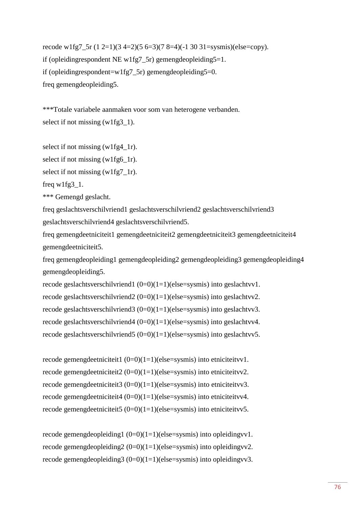recode w1fg7\_5r  $(1 2=1)(3 4=2)(5 6=3)(7 8=4)(-1 30 31=sysmis)(else=copy).$ if (opleiding respondent NE w1fg  $\overline{2}$  5r) gemengdeopleiding  $\overline{5}=1$ . if (opleiding respondent=w1fg7\_5r) gemengdeopleiding  $5=0$ . freq gemengdeopleiding5.

\*\*\*Totale variabele aanmaken voor som van heterogene verbanden. select if not missing (w1fg3\_1).

select if not missing (w1fg4\_1r).

select if not missing (w1fg6\_1r).

select if not missing (w1fg7\_1r).

freq w1fg3\_1.

\*\*\* Gemengd geslacht.

freq geslachtsverschilvriend1 geslachtsverschilvriend2 geslachtsverschilvriend3 geslachtsverschilvriend4 geslachtsverschilvriend5.

freq gemengdeetniciteit1 gemengdeetniciteit2 gemengdeetniciteit3 gemengdeetniciteit4 gemengdeetniciteit5.

freq gemengdeopleiding1 gemengdeopleiding2 gemengdeopleiding3 gemengdeopleiding4 gemengdeopleiding5.

recode geslachtsverschilvriend1 (0=0)(1=1)(else=sysmis) into geslachtvv1. recode geslachtsverschilvriend2 (0=0)(1=1)(else=sysmis) into geslachtvv2. recode geslachtsverschilvriend3 (0=0)(1=1)(else=sysmis) into geslachtvv3. recode geslachtsverschilvriend4 (0=0)(1=1)(else=sysmis) into geslachtvv4. recode geslachtsverschilvriend5 (0=0)(1=1)(else=sysmis) into geslachtvv5.

recode gemengdeetniciteit1  $(0=0)(1=1)(else=sysmis)$  into etniciteityv1. recode gemengdeetniciteit2  $(0=0)(1=1)(else=sysmis)$  into etniciteityv2. recode gemengdeetniciteit3  $(0=0)(1=1)(else=sysmis)$  into etniciteityv3. recode gemengdeetniciteit4 (0=0)(1=1)(else=sysmis) into etniciteitvv4. recode gemengdeetniciteit5  $(0=0)(1=1)(else=sysmis)$  into etniciteityv5.

recode gemengdeopleiding1 (0=0)(1=1)(else=sysmis) into opleidingvv1. recode gemengdeopleiding  $2(0=0)(1=1)(else=sysmis)$  into opleiding vv2. recode gemengdeopleiding $3(0=0)(1=1)(else=sysmis)$  into opleidingvv3.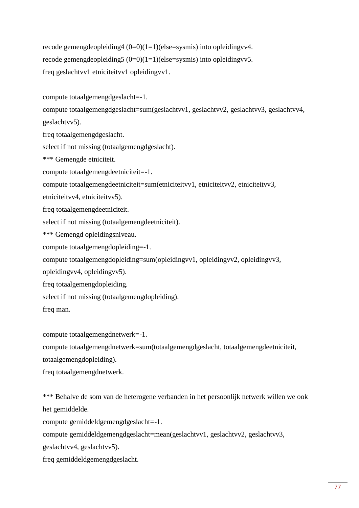recode gemengdeopleiding $4(0=0)(1=1)(else=sysmis)$  into opleidingvv4. recode gemengdeopleiding  $(0=0)(1=1)(else=sysmis)$  into opleiding vv5. freq geslachtvv1 etniciteitvv1 opleidingvv1.

compute totaalgemengdgeslacht=-1.

compute totaalgemengdgeslacht=sum(geslachtvv1, geslachtvv2, geslachtvv3, geslachtvv4, geslachtvv5).

freq totaalgemengdgeslacht.

select if not missing (totaalgemengdgeslacht).

\*\*\* Gemengde etniciteit.

compute totaalgemengdeetniciteit=-1.

compute totaalgemengdeetniciteit=sum(etniciteitvv1, etniciteitvv2, etniciteitvv3,

etniciteitvv4, etniciteitvv5).

freq totaalgemengdeetniciteit.

select if not missing (totaalgemengdeetniciteit).

- \*\*\* Gemengd opleidingsniveau.
- compute totaalgemengdopleiding=-1.

compute totaalgemengdopleiding=sum(opleidingvv1, opleidingvv2, opleidingvv3,

opleidingvv4, opleidingvv5).

freq totaalgemengdopleiding.

select if not missing (totaalgemengdopleiding).

freq man.

compute totaalgemengdnetwerk=-1.

compute totaalgemengdnetwerk=sum(totaalgemengdgeslacht, totaalgemengdeetniciteit,

totaalgemengdopleiding).

freq totaalgemengdnetwerk.

\*\*\* Behalve de som van de heterogene verbanden in het persoonlijk netwerk willen we ook het gemiddelde.

compute gemiddeldgemengdgeslacht=-1.

compute gemiddeldgemengdgeslacht=mean(geslachtvv1, geslachtvv2, geslachtvv3,

geslachtvv4, geslachtvv5).

freq gemiddeldgemengdgeslacht.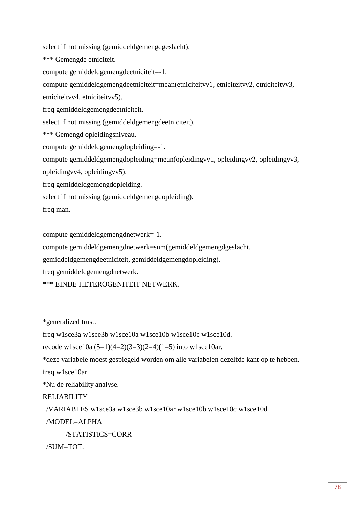select if not missing (gemiddeldgemengdgeslacht).

\*\*\* Gemengde etniciteit.

compute gemiddeldgemengdeetniciteit=-1.

compute gemiddeldgemengdeetniciteit=mean(etniciteitvv1, etniciteitvv2, etniciteitvv3,

etniciteitvv4, etniciteitvv5).

freq gemiddeldgemengdeetniciteit.

select if not missing (gemiddeldgemengdeetniciteit).

\*\*\* Gemengd opleidingsniveau.

compute gemiddeldgemengdopleiding=-1.

compute gemiddeldgemengdopleiding=mean(opleidingvv1, opleidingvv2, opleidingvv3,

opleidingvv4, opleidingvv5).

freq gemiddeldgemengdopleiding.

select if not missing (gemiddeldgemengdopleiding).

freq man.

compute gemiddeldgemengdnetwerk=-1.

compute gemiddeldgemengdnetwerk=sum(gemiddeldgemengdgeslacht,

gemiddeldgemengdeetniciteit, gemiddeldgemengdopleiding).

freq gemiddeldgemengdnetwerk.

\*\*\* EINDE HETEROGENITEIT NETWERK.

\*generalized trust.

freq w1sce3a w1sce3b w1sce10a w1sce10b w1sce10c w1sce10d.

recode w1sce10a  $(5=1)(4=2)(3=3)(2=4)(1=5)$  into w1sce10ar.

\*deze variabele moest gespiegeld worden om alle variabelen dezelfde kant op te hebben.

freq w1sce10ar.

\*Nu de reliability analyse.

# RELIABILITY

/VARIABLES w1sce3a w1sce3b w1sce10ar w1sce10b w1sce10c w1sce10d

 $/MODEL = ALPHA$ 

/STATISTICS=CORR

/SUM=TOT.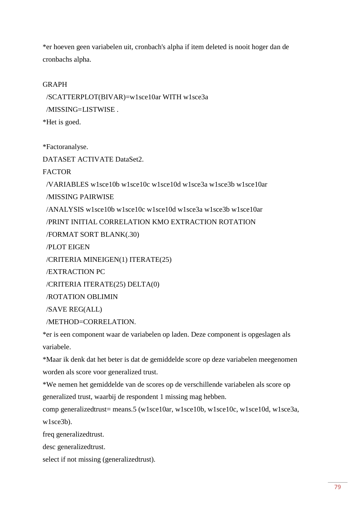\*er hoeven geen variabelen uit, cronbach's alpha if item deleted is nooit hoger dan de cronbachs alpha.

# GRAPH

 /SCATTERPLOT(BIVAR)=w1sce10ar WITH w1sce3a /MISSING=LISTWISE .

\*Het is goed.

\*Factoranalyse.

DATASET ACTIVATE DataSet2.

**FACTOR** 

/VARIABLES w1sce10b w1sce10c w1sce10d w1sce3a w1sce3b w1sce10ar

/MISSING PAIRWISE

/ANALYSIS w1sce10b w1sce10c w1sce10d w1sce3a w1sce3b w1sce10ar

/PRINT INITIAL CORRELATION KMO EXTRACTION ROTATION

/FORMAT SORT BLANK(.30)

/PLOT EIGEN

/CRITERIA MINEIGEN(1) ITERATE(25)

/EXTRACTION PC

/CRITERIA ITERATE(25) DELTA(0)

/ROTATION OBLIMIN

/SAVE REG(ALL)

/METHOD=CORRELATION.

\*er is een component waar de variabelen op laden. Deze component is opgeslagen als variabele.

\*Maar ik denk dat het beter is dat de gemiddelde score op deze variabelen meegenomen worden als score voor generalized trust.

\*We nemen het gemiddelde van de scores op de verschillende variabelen als score op generalized trust, waarbij de respondent 1 missing mag hebben.

comp generalizedtrust= means.5 (w1sce10ar, w1sce10b, w1sce10c, w1sce10d, w1sce3a, w1sce3b).

freq generalizedtrust.

desc generalizedtrust.

select if not missing (generalizedtrust).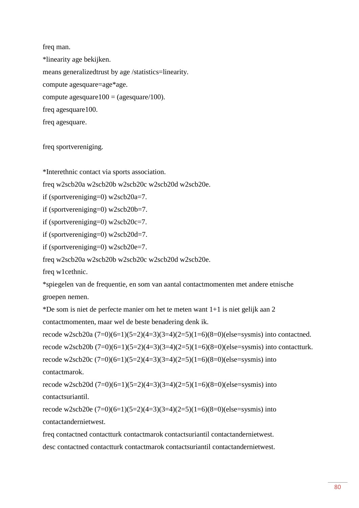freq man. \*linearity age bekijken. means generalizedtrust by age /statistics=linearity. compute agesquare=age\*age. compute agesquare100 = (agesquare/100). freq agesquare100. freq agesquare.

freq sportvereniging.

\*Interethnic contact via sports association.

freq w2scb20a w2scb20b w2scb20c w2scb20d w2scb20e.

if (sportvereniging=0) w2scb20a=7.

if (sportvereniging=0) w2scb20b=7.

if (sportvereniging=0) w2scb20c=7.

if (sportvereniging=0) w2scb20d=7.

if (sportvereniging=0) w2scb20e=7.

freq w2scb20a w2scb20b w2scb20c w2scb20d w2scb20e.

freq w1cethnic.

\*spiegelen van de frequentie, en som van aantal contactmomenten met andere etnische groepen nemen.

\*De som is niet de perfecte manier om het te meten want 1+1 is niet gelijk aan 2

contactmomenten, maar wel de beste benadering denk ik.

recode w2scb20a  $(7=0)(6=1)(5=2)(4=3)(3=4)(2=5)(1=6)(8=0)(else=sysmis)$  into contactned. recode w2scb20b  $(7=0)(6=1)(5=2)(4=3)(3=4)(2=5)(1=6)(8=0)(else=sysmis)$  into contactturk. recode w2scb20c  $(7=0)(6=1)(5=2)(4=3)(3=4)(2=5)(1=6)(8=0)(else=sysmis)$  into contactmarok.

recode w2scb20d  $(7=0)(6=1)(5=2)(4=3)(3=4)(2=5)(1=6)(8=0)(else=sysmis)$  into contactsuriantil.

recode w2scb20e  $(7=0)(6=1)(5=2)(4=3)(3=4)(2=5)(1=6)(8=0)(else=sysmis)$  into contactandernietwest.

freq contactned contactturk contactmarok contactsuriantil contactandernietwest. desc contactned contactturk contactmarok contactsuriantil contactandernietwest.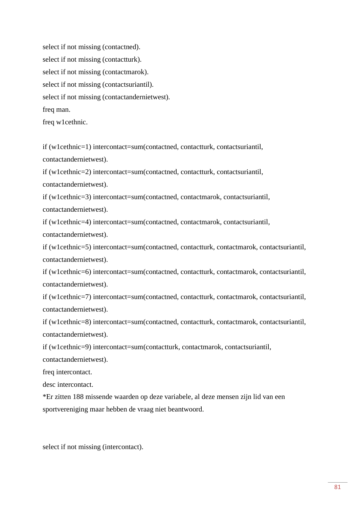select if not missing (contactned). select if not missing (contactturk). select if not missing (contactmarok). select if not missing (contactsuriantil). select if not missing (contactandernietwest). freq man.

freq w1cethnic.

if (w1cethnic=1) intercontact=sum(contactned, contactturk, contactsuriantil, contactandernietwest).

if (w1cethnic=2) intercontact=sum(contactned, contactturk, contactsuriantil, contactandernietwest).

if (w1cethnic=3) intercontact=sum(contactned, contactmarok, contactsuriantil, contactandernietwest).

if (w1cethnic=4) intercontact=sum(contactned, contactmarok, contactsuriantil,

contactandernietwest).

if (w1cethnic=5) intercontact=sum(contactned, contactturk, contactmarok, contactsuriantil, contactandernietwest).

if (w1cethnic=6) intercontact=sum(contactned, contactturk, contactmarok, contactsuriantil, contactandernietwest).

if (w1cethnic=7) intercontact=sum(contactned, contactturk, contactmarok, contactsuriantil, contactandernietwest).

if (w1cethnic=8) intercontact=sum(contactned, contactturk, contactmarok, contactsuriantil, contactandernietwest).

if (w1cethnic=9) intercontact=sum(contactturk, contactmarok, contactsuriantil,

contactandernietwest).

freq intercontact.

desc intercontact.

\*Er zitten 188 missende waarden op deze variabele, al deze mensen zijn lid van een sportvereniging maar hebben de vraag niet beantwoord.

select if not missing (intercontact).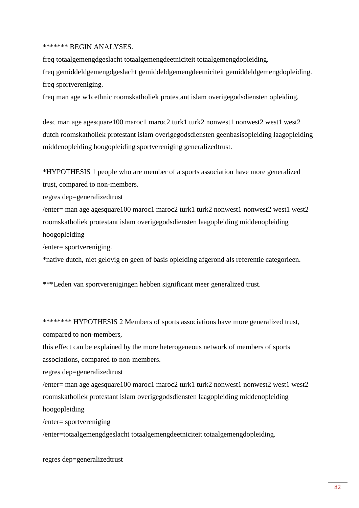### \*\*\*\*\*\*\* BEGIN ANALYSES.

freq totaalgemengdgeslacht totaalgemengdeetniciteit totaalgemengdopleiding. freq gemiddeldgemengdgeslacht gemiddeldgemengdeetniciteit gemiddeldgemengdopleiding. freq sportvereniging.

freq man age w1cethnic roomskatholiek protestant islam overigegodsdiensten opleiding.

desc man age agesquare100 maroc1 maroc2 turk1 turk2 nonwest1 nonwest2 west1 west2 dutch roomskatholiek protestant islam overigegodsdiensten geenbasisopleiding laagopleiding middenopleiding hoogopleiding sportvereniging generalizedtrust.

\*HYPOTHESIS 1 people who are member of a sports association have more generalized trust, compared to non-members.

regres dep=generalizedtrust

 $/$ enter= man age agesquare100 maroc1 maroc2 turk1 turk2 nonwest1 nonwest2 west1 west2 roomskatholiek protestant islam overigegodsdiensten laagopleiding middenopleiding hoogopleiding

/enter= sportvereniging.

\*native dutch, niet gelovig en geen of basis opleiding afgerond als referentie categorieen.

\*\*\*Leden van sportverenigingen hebben significant meer generalized trust.

\*\*\*\*\*\*\*\* HYPOTHESIS 2 Members of sports associations have more generalized trust, compared to non-members,

this effect can be explained by the more heterogeneous network of members of sports associations, compared to non-members.

regres dep=generalizedtrust

 $/$ enter= man age agesquare100 maroc1 maroc2 turk1 turk2 nonwest1 nonwest2 west1 west2 roomskatholiek protestant islam overigegodsdiensten laagopleiding middenopleiding hoogopleiding

/enter= sportvereniging

/enter=totaalgemengdgeslacht totaalgemengdeetniciteit totaalgemengdopleiding.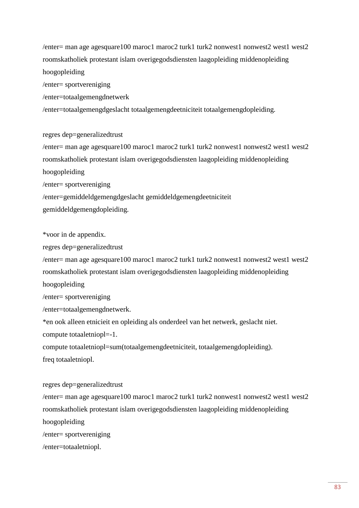$/$ enter= man age agesquare100 maroc1 maroc2 turk1 turk2 nonwest1 nonwest2 west1 west2 roomskatholiek protestant islam overigegodsdiensten laagopleiding middenopleiding hoogopleiding

/enter= sportvereniging

/enter=totaalgemengdnetwerk

/enter=totaalgemengdgeslacht totaalgemengdeetniciteit totaalgemengdopleiding.

regres dep=generalizedtrust

 $/$ enter= man age agesquare100 maroc1 maroc2 turk1 turk2 nonwest1 nonwest2 west1 west2 roomskatholiek protestant islam overigegodsdiensten laagopleiding middenopleiding hoogopleiding /enter= sportvereniging /enter=gemiddeldgemengdgeslacht gemiddeldgemengdeetniciteit

gemiddeldgemengdopleiding.

\*voor in de appendix.

regres dep=generalizedtrust

 $/$ enter= man age agesquare100 maroc1 maroc2 turk1 turk2 nonwest1 nonwest2 west1 west2 roomskatholiek protestant islam overigegodsdiensten laagopleiding middenopleiding hoogopleiding

/enter= sportvereniging

/enter=totaalgemengdnetwerk.

\*en ook alleen etnicieit en opleiding als onderdeel van het netwerk, geslacht niet. compute totaaletniopl=-1.

compute totaaletniopl=sum(totaalgemengdeetniciteit, totaalgemengdopleiding). freq totaaletniopl.

regres dep=generalizedtrust

/enter= man age agesquare100 maroc1 maroc2 turk1 turk2 nonwest1 nonwest2 west1 west2 roomskatholiek protestant islam overigegodsdiensten laagopleiding middenopleiding hoogopleiding /enter= sportvereniging /enter=totaaletniopl.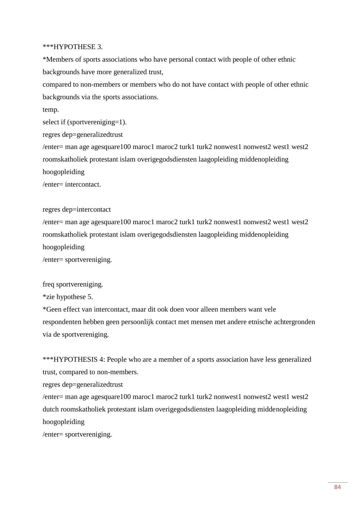### \*\*\*HYPOTHESE 3.

\*Members of sports associations who have personal contact with people of other ethnic backgrounds have more generalized trust,

compared to non-members or members who do not have contact with people of other ethnic backgrounds via the sports associations.

temp.

select if (sportvereniging=1).

regres dep=generalizedtrust

 $/$ enter= man age agesquare100 maroc1 maroc2 turk1 turk2 nonwest1 nonwest2 west1 west2 roomskatholiek protestant islam overigegodsdiensten laagopleiding middenopleiding hoogopleiding

/enter= intercontact.

regres dep=intercontact

 $/$ enter= man age agesquare100 maroc1 maroc2 turk1 turk2 nonwest1 nonwest2 west1 west2 roomskatholiek protestant islam overigegodsdiensten laagopleiding middenopleiding hoogopleiding

/enter= sportvereniging.

freq sportvereniging.

\*zie hypothese 5.

\*Geen effect van intercontact, maar dit ook doen voor alleen members want vele respondenten hebben geen persoonlijk contact met mensen met andere etnische achtergronden via de sportvereniging.

\*\*\*HYPOTHESIS 4: People who are a member of a sports association have less generalized trust, compared to non-members.

regres dep=generalizedtrust

 $/$ enter= man age agesquare100 maroc1 maroc2 turk1 turk2 nonwest1 nonwest2 west1 west2 dutch roomskatholiek protestant islam overigegodsdiensten laagopleiding middenopleiding hoogopleiding

/enter= sportvereniging.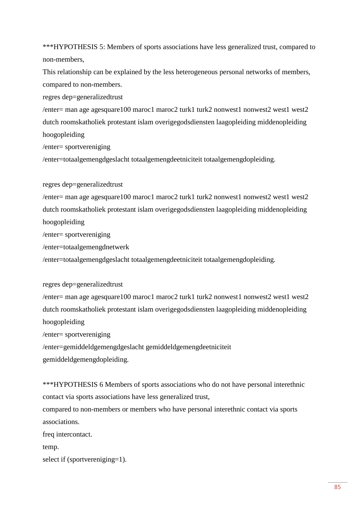\*\*\*HYPOTHESIS 5: Members of sports associations have less generalized trust, compared to non-members,

This relationship can be explained by the less heterogeneous personal networks of members, compared to non-members.

regres dep=generalizedtrust

 $/$ enter= man age agesquare100 maroc1 maroc2 turk1 turk2 nonwest1 nonwest2 west1 west2 dutch roomskatholiek protestant islam overigegodsdiensten laagopleiding middenopleiding hoogopleiding

/enter= sportvereniging

/enter=totaalgemengdgeslacht totaalgemengdeetniciteit totaalgemengdopleiding.

regres dep=generalizedtrust

/enter= man age agesquare100 maroc1 maroc2 turk1 turk2 nonwest1 nonwest2 west1 west2 dutch roomskatholiek protestant islam overigegodsdiensten laagopleiding middenopleiding hoogopleiding

/enter= sportvereniging

/enter=totaalgemengdnetwerk

/enter=totaalgemengdgeslacht totaalgemengdeetniciteit totaalgemengdopleiding.

regres dep=generalizedtrust

 $/$ enter= man age agesquare100 maroc1 maroc2 turk1 turk2 nonwest1 nonwest2 west1 west2 dutch roomskatholiek protestant islam overigegodsdiensten laagopleiding middenopleiding hoogopleiding

/enter= sportvereniging

/enter=gemiddeldgemengdgeslacht gemiddeldgemengdeetniciteit gemiddeldgemengdopleiding.

\*\*\*HYPOTHESIS 6 Members of sports associations who do not have personal interethnic contact via sports associations have less generalized trust, compared to non-members or members who have personal interethnic contact via sports associations. freq intercontact. temp. select if (sportvereniging=1).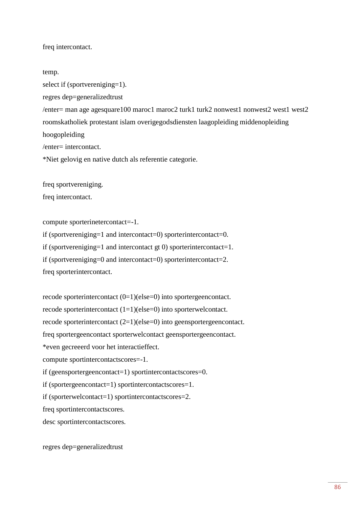freq intercontact.

temp.

select if (sportvereniging=1).

regres dep=generalizedtrust

 $/$ enter= man age agesquare100 maroc1 maroc2 turk1 turk2 nonwest1 nonwest2 west1 west2 roomskatholiek protestant islam overigegodsdiensten laagopleiding middenopleiding hoogopleiding

/enter= intercontact.

\*Niet gelovig en native dutch als referentie categorie.

freq sportvereniging.

freq intercontact.

compute sporterinetercontact=-1.

if (sportvereniging=1 and intercontact=0) sporterintercontact=0.

if (sportvereniging=1 and intercontact gt 0) sporterintercontact=1.

if (sportvereniging=0 and intercontact=0) sporterintercontact=2.

freq sporterintercontact.

recode sporterintercontact (0=1)(else=0) into sportergeencontact. recode sporterintercontact (1=1)(else=0) into sporterwelcontact. recode sporterintercontact (2=1)(else=0) into geensportergeencontact. freq sportergeencontact sporterwelcontact geensportergeencontact. \*even gecreeerd voor het interactieffect. compute sportintercontactscores=-1. if (geensportergeencontact=1) sportintercontactscores=0. if (sportergeencontact=1) sportintercontactscores=1. if (sporterwelcontact=1) sportintercontactscores=2. freq sportintercontactscores. desc sportintercontactscores.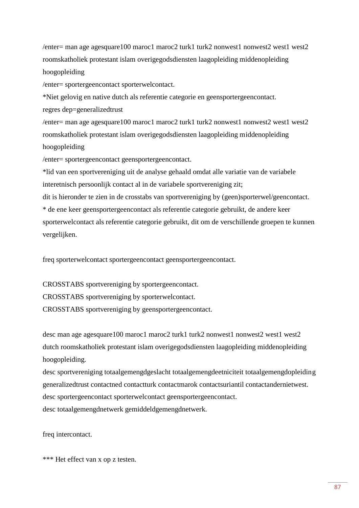$/$ enter= man age agesquare100 maroc1 maroc2 turk1 turk2 nonwest1 nonwest2 west1 west2 roomskatholiek protestant islam overigegodsdiensten laagopleiding middenopleiding hoogopleiding

/enter= sportergeencontact sporterwelcontact.

\*Niet gelovig en native dutch als referentie categorie en geensportergeencontact. regres dep=generalizedtrust

 $/$ enter= man age agesquare100 maroc1 maroc2 turk1 turk2 nonwest1 nonwest2 west1 west2 roomskatholiek protestant islam overigegodsdiensten laagopleiding middenopleiding hoogopleiding

/enter= sportergeencontact geensportergeencontact.

\*lid van een sportvereniging uit de analyse gehaald omdat alle variatie van de variabele interetnisch persoonlijk contact al in de variabele sportvereniging zit;

dit is hieronder te zien in de crosstabs van sportvereniging by (geen)sporterwel/geencontact. \* de ene keer geensportergeencontact als referentie categorie gebruikt, de andere keer sporterwelcontact als referentie categorie gebruikt, dit om de verschillende groepen te kunnen vergelijken.

freq sporterwelcontact sportergeencontact geensportergeencontact.

CROSSTABS sportvereniging by sportergeencontact. CROSSTABS sportvereniging by sporterwelcontact. CROSSTABS sportvereniging by geensportergeencontact.

desc man age agesquare100 maroc1 maroc2 turk1 turk2 nonwest1 nonwest2 west1 west2 dutch roomskatholiek protestant islam overigegodsdiensten laagopleiding middenopleiding hoogopleiding.

desc sportvereniging totaalgemengdgeslacht totaalgemengdeetniciteit totaalgemengdopleiding generalizedtrust contactned contactturk contactmarok contactsuriantil contactandernietwest. desc sportergeencontact sporterwelcontact geensportergeencontact. desc totaalgemengdnetwerk gemiddeldgemengdnetwerk.

freq intercontact.

\*\*\* Het effect van x op z testen.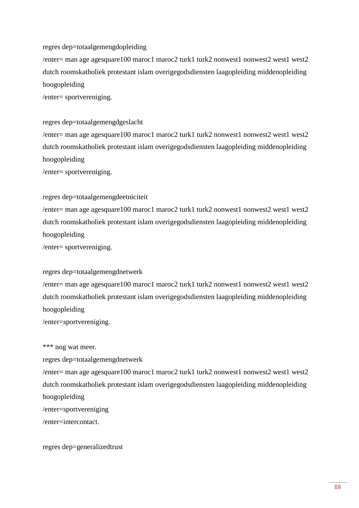### regres dep=totaalgemengdopleiding

 $/$ enter= man age agesquare100 maroc1 maroc2 turk1 turk2 nonwest1 nonwest2 west1 west2 dutch roomskatholiek protestant islam overigegodsdiensten laagopleiding middenopleiding hoogopleiding

/enter= sportvereniging.

### regres dep=totaalgemengdgeslacht

 $/$ enter= man age agesquare100 maroc1 maroc2 turk1 turk2 nonwest1 nonwest2 west1 west2 dutch roomskatholiek protestant islam overigegodsdiensten laagopleiding middenopleiding hoogopleiding

/enter= sportvereniging.

# regres dep=totaalgemengdeetniciteit

 $/$ enter= man age agesquare100 maroc1 maroc2 turk1 turk2 nonwest1 nonwest2 west1 west2 dutch roomskatholiek protestant islam overigegodsdiensten laagopleiding middenopleiding hoogopleiding

/enter= sportvereniging.

## regres dep=totaalgemengdnetwerk

 $/$ enter= man age agesquare100 maroc1 maroc2 turk1 turk2 nonwest1 nonwest2 west1 west2 dutch roomskatholiek protestant islam overigegodsdiensten laagopleiding middenopleiding hoogopleiding

/enter=sportvereniging.

### \*\*\* nog wat meer.

regres dep=totaalgemengdnetwerk

 $/$ enter= man age agesquare100 maroc1 maroc2 turk1 turk2 nonwest1 nonwest2 west1 west2 dutch roomskatholiek protestant islam overigegodsdiensten laagopleiding middenopleiding hoogopleiding

/enter=sportvereniging

/enter=intercontact.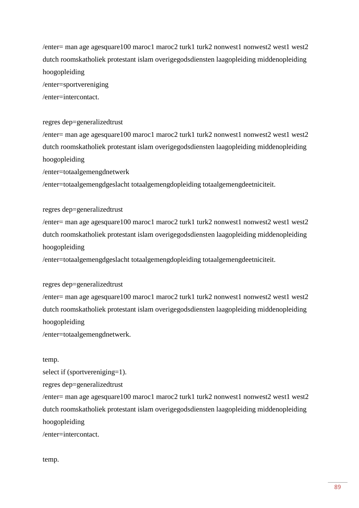$/$ enter= man age agesquare100 maroc1 maroc2 turk1 turk2 nonwest1 nonwest2 west1 west2 dutch roomskatholiek protestant islam overigegodsdiensten laagopleiding middenopleiding hoogopleiding

/enter=sportvereniging

/enter=intercontact.

regres dep=generalizedtrust

 $/$ enter= man age agesquare100 maroc1 maroc2 turk1 turk2 nonwest1 nonwest2 west1 west2 dutch roomskatholiek protestant islam overigegodsdiensten laagopleiding middenopleiding hoogopleiding

/enter=totaalgemengdnetwerk

/enter=totaalgemengdgeslacht totaalgemengdopleiding totaalgemengdeetniciteit.

regres dep=generalizedtrust

 $/$ enter= man age agesquare100 maroc1 maroc2 turk1 turk2 nonwest1 nonwest2 west1 west2 dutch roomskatholiek protestant islam overigegodsdiensten laagopleiding middenopleiding hoogopleiding

/enter=totaalgemengdgeslacht totaalgemengdopleiding totaalgemengdeetniciteit.

regres dep=generalizedtrust

 $/$ enter= man age agesquare100 maroc1 maroc2 turk1 turk2 nonwest1 nonwest2 west1 west2 dutch roomskatholiek protestant islam overigegodsdiensten laagopleiding middenopleiding hoogopleiding

/enter=totaalgemengdnetwerk.

temp.

select if (sportvereniging=1).

regres dep=generalizedtrust

 $/$ enter= man age agesquare100 maroc1 maroc2 turk1 turk2 nonwest1 nonwest2 west1 west2 dutch roomskatholiek protestant islam overigegodsdiensten laagopleiding middenopleiding hoogopleiding

/enter=intercontact.

temp.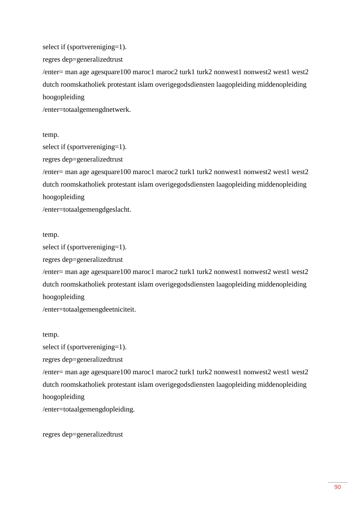select if (sportvereniging=1). regres dep=generalizedtrust  $/$ enter= man age agesquare100 maroc1 maroc2 turk1 turk2 nonwest1 nonwest2 west1 west2 dutch roomskatholiek protestant islam overigegodsdiensten laagopleiding middenopleiding hoogopleiding /enter=totaalgemengdnetwerk.

temp.

select if (sportvereniging=1).

regres dep=generalizedtrust

 $/$ enter= man age agesquare100 maroc1 maroc2 turk1 turk2 nonwest1 nonwest2 west1 west2 dutch roomskatholiek protestant islam overigegodsdiensten laagopleiding middenopleiding hoogopleiding

/enter=totaalgemengdgeslacht.

temp.

select if (sportvereniging=1).

regres dep=generalizedtrust

/enter= man age agesquare100 maroc1 maroc2 turk1 turk2 nonwest1 nonwest2 west1 west2 dutch roomskatholiek protestant islam overigegodsdiensten laagopleiding middenopleiding hoogopleiding

/enter=totaalgemengdeetniciteit.

temp.

select if (sportvereniging=1).

regres dep=generalizedtrust

/enter= man age agesquare100 maroc1 maroc2 turk1 turk2 nonwest1 nonwest2 west1 west2 dutch roomskatholiek protestant islam overigegodsdiensten laagopleiding middenopleiding hoogopleiding

/enter=totaalgemengdopleiding.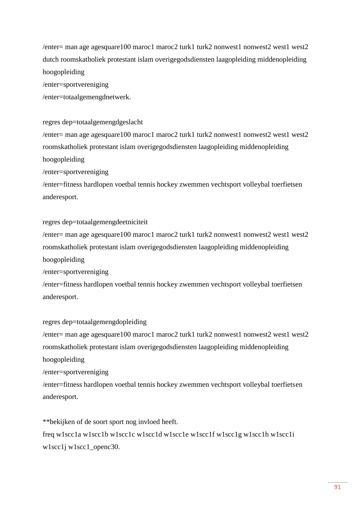$/$ enter= man age agesquare100 maroc1 maroc2 turk1 turk2 nonwest1 nonwest2 west1 west2 dutch roomskatholiek protestant islam overigegodsdiensten laagopleiding middenopleiding hoogopleiding

/enter=sportvereniging

/enter=totaalgemengdnetwerk.

regres dep=totaalgemengdgeslacht

 $/$ enter= man age agesquare100 maroc1 maroc2 turk1 turk2 nonwest1 nonwest2 west1 west2 roomskatholiek protestant islam overigegodsdiensten laagopleiding middenopleiding hoogopleiding

/enter=sportvereniging

/enter=fitness hardlopen voetbal tennis hockey zwemmen vechtsport volleybal toerfietsen anderesport.

### regres dep=totaalgemengdeetniciteit

 $/$ enter= man age agesquare100 maroc1 maroc2 turk1 turk2 nonwest1 nonwest2 west1 west2 roomskatholiek protestant islam overigegodsdiensten laagopleiding middenopleiding hoogopleiding

/enter=sportvereniging

/enter=fitness hardlopen voetbal tennis hockey zwemmen vechtsport volleybal toerfietsen anderesport.

regres dep=totaalgemengdopleiding

 $/$ enter= man age agesquare100 maroc1 maroc2 turk1 turk2 nonwest1 nonwest2 west1 west2 roomskatholiek protestant islam overigegodsdiensten laagopleiding middenopleiding hoogopleiding

/enter=sportvereniging

/enter=fitness hardlopen voetbal tennis hockey zwemmen vechtsport volleybal toerfietsen anderesport.

\*\*bekijken of de soort sport nog invloed heeft. freq w1scc1a w1scc1b w1scc1c w1scc1d w1scc1e w1scc1f w1scc1g w1scc1h w1scc1i w1scc1j w1scc1\_openc30.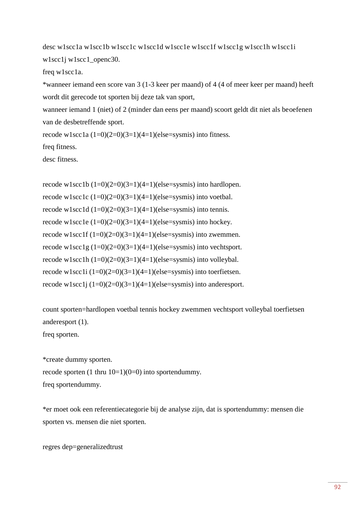desc w1scc1a w1scc1b w1scc1c w1scc1d w1scc1e w1scc1f w1scc1g w1scc1h w1scc1i w1scc1j w1scc1\_openc30.

freq w1scc1a.

\*wanneer iemand een score van 3 (1-3 keer per maand) of 4 (4 of meer keer per maand) heeft wordt dit gerecode tot sporten bij deze tak van sport,

wanneer iemand 1 (niet) of 2 (minder dan eens per maand) scoort geldt dit niet als beoefenen van de desbetreffende sport.

recode w1scc1a  $(1=0)(2=0)(3=1)(4=1)(else=sysmis)$  into fitness.

freq fitness.

desc fitness.

recode w1scc1b  $(1=0)(2=0)(3=1)(4=1)(else=sysmis)$  into hardlopen. recode w1scc1c  $(1=0)(2=0)(3=1)(4=1)(else=sysmis)$  into voetbal. recode w1scc1d  $(1=0)(2=0)(3=1)(4=1)(else=sysmis)$  into tennis. recode w1scc1e  $(1=0)(2=0)(3=1)(4=1)(else=sysmis)$  into hockey. recode w1scc1f  $(1=0)(2=0)(3=1)(4=1)(else=sysmis)$  into zwemmen. recode w1scc1g  $(1=0)(2=0)(3=1)(4=1)(else=sysmis)$  into vechtsport. recode w1scc1h  $(1=0)(2=0)(3=1)(4=1)(else=sysmis)$  into volleybal. recode w1scc1i  $(1=0)(2=0)(3=1)(4=1)(else=sysmis)$  into toerfietsen. recode w1scc1j  $(1=0)(2=0)(3=1)(4=1)(else=sysmis)$  into anderesport.

count sporten=hardlopen voetbal tennis hockey zwemmen vechtsport volleybal toerfietsen anderesport (1).

freq sporten.

\*create dummy sporten. recode sporten  $(1 \text{ thru } 10=1)(0=0)$  into sportendummy. freq sportendummy.

\*er moet ook een referentiecategorie bij de analyse zijn, dat is sportendummy: mensen die sporten vs. mensen die niet sporten.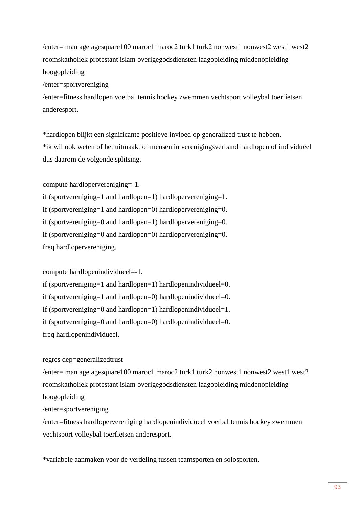$/$ enter= man age agesquare100 maroc1 maroc2 turk1 turk2 nonwest1 nonwest2 west1 west2 roomskatholiek protestant islam overigegodsdiensten laagopleiding middenopleiding hoogopleiding

/enter=sportvereniging

/enter=fitness hardlopen voetbal tennis hockey zwemmen vechtsport volleybal toerfietsen anderesport.

\*hardlopen blijkt een significante positieve invloed op generalized trust te hebben. \*ik wil ook weten of het uitmaakt of mensen in verenigingsverband hardlopen of individueel dus daarom de volgende splitsing.

compute hardlopervereniging=-1.

if (sportvereniging=1 and hardlopen=1) hardlopervereniging=1. if (sportvereniging=1 and hardlopen=0) hardlopervereniging=0. if (sportvereniging=0 and hardlopen=1) hardlopervereniging=0. if (sportvereniging=0 and hardlopen=0) hardlopervereniging=0. freq hardlopervereniging.

compute hardlopenindividueel=-1.

if (sportvereniging=1 and hardlopen=1) hardlopenindividueel=0.

if (sportvereniging=1 and hardlopen=0) hardlopenindividueel=0.

if (sportvereniging=0 and hardlopen=1) hardlopenindividueel=1.

if (sportvereniging=0 and hardlopen=0) hardlopenindividueel=0.

freq hardlopenindividueel.

## regres dep=generalizedtrust

/enter= man age agesquare100 maroc1 maroc2 turk1 turk2 nonwest1 nonwest2 west1 west2 roomskatholiek protestant islam overigegodsdiensten laagopleiding middenopleiding hoogopleiding /enter=sportvereniging

/enter=fitness hardlopervereniging hardlopenindividueel voetbal tennis hockey zwemmen vechtsport volleybal toerfietsen anderesport.

\*variabele aanmaken voor de verdeling tussen teamsporten en solosporten.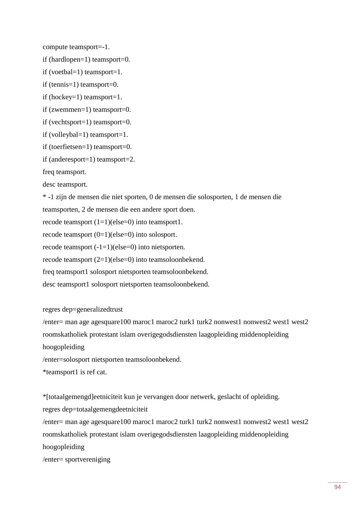compute teamsport=-1.

if (hardlopen=1) teamsport=0.

if (voetbal=1) teamsport=1.

if (tennis=1) teamsport=0.

if (hockey=1) teamsport=1.

if (zwemmen=1) teamsport=0.

if (vechtsport=1) teamsport=0.

if (volleybal=1) teamsport=1.

if (toerfietsen=1) teamsport=0.

if (anderesport=1) teamsport=2.

freq teamsport.

desc teamsport.

\* -1 zijn de mensen die niet sporten, 0 de mensen die solosporten, 1 de mensen die teamsporten, 2 de mensen die een andere sport doen.

recode teamsport  $(1=1)(else=0)$  into teamsport1.

recode teamsport  $(0=1)(else=0)$  into solosport.

recode teamsport (-1=1)(else=0) into nietsporten.

recode teamsport (2=1)(else=0) into teamsoloonbekend.

freq teamsport1 solosport nietsporten teamsoloonbekend.

desc teamsport1 solosport nietsporten teamsoloonbekend.

### regres dep=generalizedtrust

 $/$ enter= man age agesquare100 maroc1 maroc2 turk1 turk2 nonwest1 nonwest2 west1 west2 roomskatholiek protestant islam overigegodsdiensten laagopleiding middenopleiding hoogopleiding

/enter=solosport nietsporten teamsoloonbekend.

\*teamsport1 is ref cat.

\*[totaalgemengd]eetniciteit kun je vervangen door netwerk, geslacht of opleiding. regres dep=totaalgemengdeetniciteit

 $/$ enter= man age agesquare100 maroc1 maroc2 turk1 turk2 nonwest1 nonwest2 west1 west2 roomskatholiek protestant islam overigegodsdiensten laagopleiding middenopleiding hoogopleiding

/enter= sportvereniging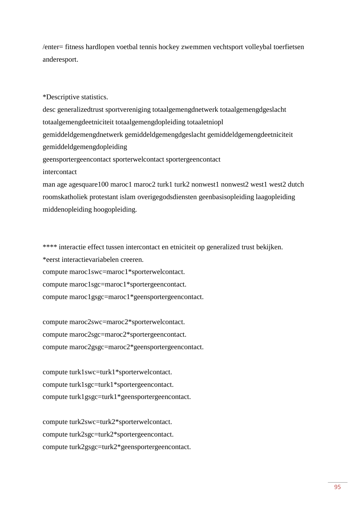/enter= fitness hardlopen voetbal tennis hockey zwemmen vechtsport volleybal toerfietsen anderesport.

\*Descriptive statistics.

desc generalizedtrust sportvereniging totaalgemengdnetwerk totaalgemengdgeslacht totaalgemengdeetniciteit totaalgemengdopleiding totaaletniopl gemiddeldgemengdnetwerk gemiddeldgemengdgeslacht gemiddeldgemengdeetniciteit gemiddeldgemengdopleiding geensportergeencontact sporterwelcontact sportergeencontact intercontact

man age agesquare100 maroc1 maroc2 turk1 turk2 nonwest1 nonwest2 west1 west2 dutch roomskatholiek protestant islam overigegodsdiensten geenbasisopleiding laagopleiding middenopleiding hoogopleiding.

\*\*\*\* interactie effect tussen intercontact en etniciteit op generalized trust bekijken. \*eerst interactievariabelen creeren. compute maroc1swc=maroc1\*sporterwelcontact. compute maroc1sgc=maroc1\*sportergeencontact. compute maroc1gsgc=maroc1\*geensportergeencontact.

compute maroc2swc=maroc2\*sporterwelcontact. compute maroc2sgc=maroc2\*sportergeencontact. compute maroc2gsgc=maroc2\*geensportergeencontact.

compute turk1swc=turk1\*sporterwelcontact. compute turk1sgc=turk1\*sportergeencontact. compute turk1gsgc=turk1\*geensportergeencontact.

compute turk2swc=turk2\*sporterwelcontact. compute turk2sgc=turk2\*sportergeencontact. compute turk2gsgc=turk2\*geensportergeencontact.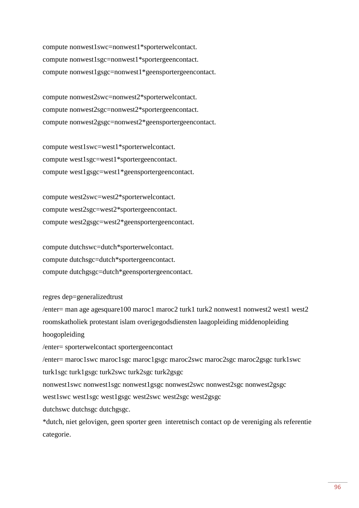compute nonwest1swc=nonwest1\*sporterwelcontact. compute nonwest1sgc=nonwest1\*sportergeencontact. compute nonwest1gsgc=nonwest1\*geensportergeencontact.

compute nonwest2swc=nonwest2\*sporterwelcontact. compute nonwest2sgc=nonwest2\*sportergeencontact. compute nonwest2gsgc=nonwest2\*geensportergeencontact.

compute west1swc=west1\*sporterwelcontact. compute west1sgc=west1\*sportergeencontact. compute west1gsgc=west1\*geensportergeencontact.

compute west2swc=west2\*sporterwelcontact. compute west2sgc=west2\*sportergeencontact. compute west2gsgc=west2\*geensportergeencontact.

compute dutchswc=dutch\*sporterwelcontact. compute dutchsgc=dutch\*sportergeencontact. compute dutchgsgc=dutch\*geensportergeencontact.

regres dep=generalizedtrust

 $/$ enter= man age agesquare100 maroc1 maroc2 turk1 turk2 nonwest1 nonwest2 west1 west2 roomskatholiek protestant islam overigegodsdiensten laagopleiding middenopleiding hoogopleiding

/enter= sporterwelcontact sportergeencontact

/enter= maroc1swc maroc1sgc maroc1gsgc maroc2swc maroc2sgc maroc2gsgc turk1swc

turk1sgc turk1gsgc turk2swc turk2sgc turk2gsgc

nonwest1swc nonwest1sgc nonwest1gsgc nonwest2swc nonwest2sgc nonwest2gsgc

west1swc west1sgc west1gsgc west2swc west2sgc west2gsgc

dutchswc dutchsgc dutchgsgc.

\*dutch, niet gelovigen, geen sporter geen interetnisch contact op de vereniging als referentie categorie.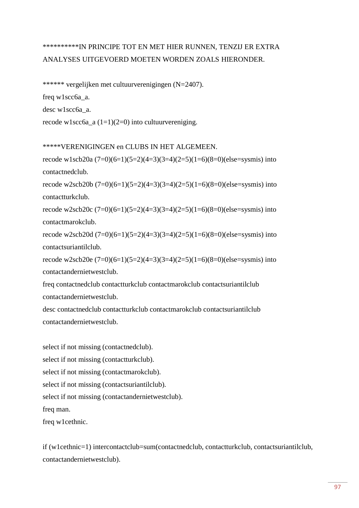# \*\*\*\*\*\*\*\*\*\*IN PRINCIPE TOT EN MET HIER RUNNEN, TENZIJ ER EXTRA ANALYSES UITGEVOERD MOETEN WORDEN ZOALS HIERONDER.

\*\*\*\*\*\* vergelijken met cultuurverenigingen (N=2407).

freq w1scc6a\_a.

desc w1scc6a\_a.

recode w1scc6a\_a  $(1=1)(2=0)$  into cultuurvereniging.

## \*\*\*\*\*VERENIGINGEN en CLUBS IN HET ALGEMEEN.

recode w1scb20a  $(7=0)(6=1)(5=2)(4=3)(3=4)(2=5)(1=6)(8=0)(else=sysmis)$  into contactnedclub.

recode w2scb20b  $(7=0)(6=1)(5=2)(4=3)(3=4)(2=5)(1=6)(8=0)(else=sysmis)$  into contactturkclub.

recode w2scb20c  $(7=0)(6=1)(5=2)(4=3)(3=4)(2=5)(1=6)(8=0)(else=sysmis)$  into contactmarokclub.

recode w2scb20d (7=0)(6=1)(5=2)(4=3)(3=4)(2=5)(1=6)(8=0)(else=sysmis) into contactsuriantilclub.

recode w2scb20e (7=0)(6=1)(5=2)(4=3)(3=4)(2=5)(1=6)(8=0)(else=sysmis) into contactandernietwestclub.

freq contactnedclub contactturkclub contactmarokclub contactsuriantilclub contactandernietwestclub.

desc contactnedclub contactturkclub contactmarokclub contactsuriantilclub contactandernietwestclub.

select if not missing (contactnedclub). select if not missing (contactturkclub). select if not missing (contactmarokclub). select if not missing (contactsuriantilclub). select if not missing (contactandernietwestclub). freq man.

freq w1cethnic.

if (w1cethnic=1) intercontactclub=sum(contactnedclub, contactturkclub, contactsuriantilclub, contactandernietwestclub).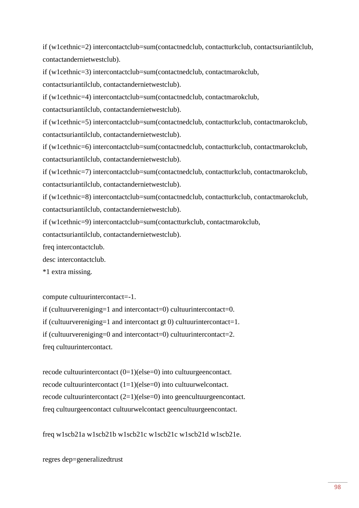if (w1cethnic=2) intercontactclub=sum(contactnedclub, contactturkclub, contactsuriantilclub, contactandernietwestclub).

if (w1cethnic=3) intercontactclub=sum(contactnedclub, contactmarokclub,

contactsuriantilclub, contactandernietwestclub).

if (w1cethnic=4) intercontactclub=sum(contactnedclub, contactmarokclub,

contactsuriantilclub, contactandernietwestclub).

if (w1cethnic=5) intercontactclub=sum(contactnedclub, contactturkclub, contactmarokclub, contactsuriantilclub, contactandernietwestclub).

if (w1cethnic=6) intercontactclub=sum(contactnedclub, contactturkclub, contactmarokclub, contactsuriantilclub, contactandernietwestclub).

if (w1cethnic=7) intercontactclub=sum(contactnedclub, contactturkclub, contactmarokclub, contactsuriantilclub, contactandernietwestclub).

if (w1cethnic=8) intercontactclub=sum(contactnedclub, contactturkclub, contactmarokclub, contactsuriantilclub, contactandernietwestclub).

if (w1cethnic=9) intercontactclub=sum(contactturkclub, contactmarokclub,

contactsuriantilclub, contactandernietwestclub).

freq intercontactclub.

desc intercontactclub.

\*1 extra missing.

compute cultuurintercontact=-1.

if (cultuurvereniging=1 and intercontact=0) cultuurintercontact=0.

if (cultuurvereniging=1 and intercontact gt 0) cultuurintercontact=1.

if (cultuurvereniging=0 and intercontact=0) cultuurintercontact=2.

freq cultuurintercontact.

recode cultuurintercontact (0=1)(else=0) into cultuurgeencontact. recode cultuurintercontact (1=1)(else=0) into cultuurwelcontact. recode cultuurintercontact (2=1)(else=0) into geencultuurgeencontact. freq cultuurgeencontact cultuurwelcontact geencultuurgeencontact.

freq w1scb21a w1scb21b w1scb21c w1scb21c w1scb21d w1scb21e.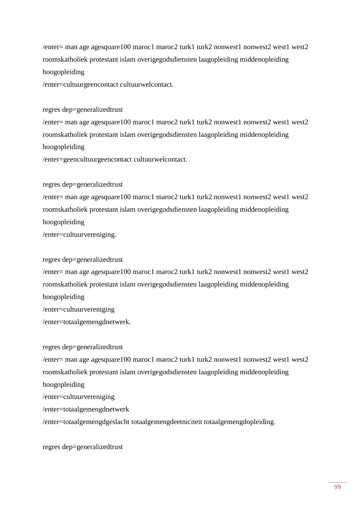$/$ enter= man age agesquare100 maroc1 maroc2 turk1 turk2 nonwest1 nonwest2 west1 west2 roomskatholiek protestant islam overigegodsdiensten laagopleiding middenopleiding hoogopleiding

/enter=cultuurgeencontact cultuurwelcontact.

regres dep=generalizedtrust

/enter= man age agesquare100 maroc1 maroc2 turk1 turk2 nonwest1 nonwest2 west1 west2 roomskatholiek protestant islam overigegodsdiensten laagopleiding middenopleiding hoogopleiding

/enter=geencultuurgeencontact cultuurwelcontact.

regres dep=generalizedtrust

/enter= man age agesquare100 maroc1 maroc2 turk1 turk2 nonwest1 nonwest2 west1 west2 roomskatholiek protestant islam overigegodsdiensten laagopleiding middenopleiding hoogopleiding /enter=cultuurvereniging.

regres dep=generalizedtrust

 $/$ enter= man age agesquare100 maroc1 maroc2 turk1 turk2 nonwest1 nonwest2 west1 west2 roomskatholiek protestant islam overigegodsdiensten laagopleiding middenopleiding hoogopleiding /enter=cultuurvereniging /enter=totaalgemengdnetwerk.

regres dep=generalizedtrust /enter= man age agesquare100 maroc1 maroc2 turk1 turk2 nonwest1 nonwest2 west1 west2 roomskatholiek protestant islam overigegodsdiensten laagopleiding middenopleiding hoogopleiding /enter=cultuurvereniging /enter=totaalgemengdnetwerk /enter=totaalgemengdgeslacht totaalgemengdeetniciteit totaalgemengdopleiding.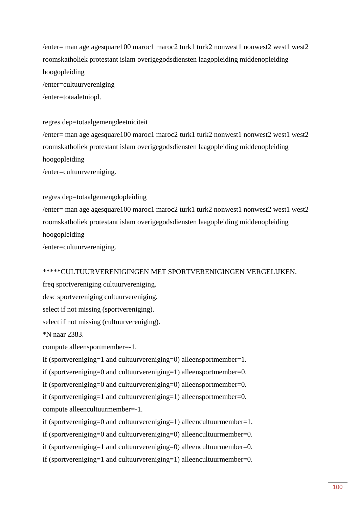$/$ enter= man age agesquare100 maroc1 maroc2 turk1 turk2 nonwest1 nonwest2 west1 west2 roomskatholiek protestant islam overigegodsdiensten laagopleiding middenopleiding hoogopleiding /enter=cultuurvereniging

/enter=totaaletniopl.

## regres dep=totaalgemengdeetniciteit

 $/$ enter= man age agesquare100 maroc1 maroc2 turk1 turk2 nonwest1 nonwest2 west1 west2 roomskatholiek protestant islam overigegodsdiensten laagopleiding middenopleiding hoogopleiding /enter=cultuurvereniging.

### regres dep=totaalgemengdopleiding

 $/$ enter= man age agesquare100 maroc1 maroc2 turk1 turk2 nonwest1 nonwest2 west1 west2 roomskatholiek protestant islam overigegodsdiensten laagopleiding middenopleiding hoogopleiding /enter=cultuurvereniging.

## \*\*\*\*\*CULTUURVERENIGINGEN MET SPORTVERENIGINGEN VERGELIJKEN.

freq sportvereniging cultuurvereniging.

desc sportvereniging cultuurvereniging.

select if not missing (sportvereniging).

select if not missing (cultuurvereniging).

\*N naar 2383.

compute alleensportmember=-1.

if (sportvereniging=1 and cultuurvereniging=0) alleensportmember=1.

if (sportvereniging=0 and cultuurvereniging=1) alleensportmember=0.

if (sportvereniging=0 and cultuurvereniging=0) alleensportmember=0.

if (sportvereniging=1 and cultuurvereniging=1) alleensportmember=0. compute alleencultuurmember=-1.

if (sportvereniging=0 and cultuurvereniging=1) alleencultuurmember=1.

if (sportvereniging=0 and cultuurvereniging=0) alleencultuurmember=0.

if (sportvereniging=1 and cultuurvereniging=0) alleencultuurmember=0.

if (sportvereniging=1 and cultuurvereniging=1) alleencultuurmember=0.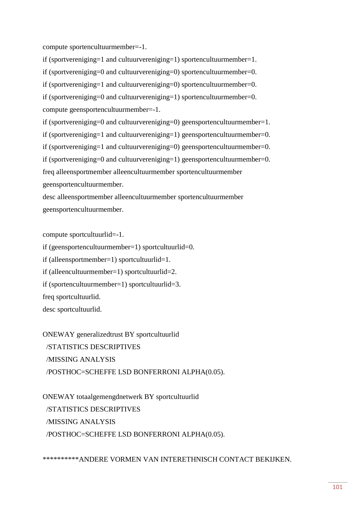compute sportencultuurmember=-1.

if (sportvereniging=1 and cultuurvereniging=1) sportencultuurmember=1.

if (sportvereniging=0 and cultuurvereniging=0) sportencultuurmember=0.

if (sportvereniging=1 and cultuurvereniging=0) sportencultuurmember=0.

if (sportvereniging=0 and cultuurvereniging=1) sportencultuurmember=0. compute geensportencultuurmember=-1.

if (sportvereniging=0 and cultuurvereniging=0) geensportencultuurmember=1.

if (sportvereniging=1 and cultuurvereniging=1) geensportencultuurmember=0.

if (sportvereniging=1 and cultuurvereniging=0) geensportencultuurmember=0.

if (sportvereniging=0 and cultuurvereniging=1) geensportencultuurmember=0.

freq alleensportmember alleencultuurmember sportencultuurmember

geensportencultuurmember.

desc alleensportmember alleencultuurmember sportencultuurmember geensportencultuurmember.

compute sportcultuurlid=-1.

if (geensportencultuurmember=1) sportcultuurlid=0.

if (alleensportmember=1) sportcultuurlid=1.

if (alleencultuurmember=1) sportcultuurlid=2.

if (sportencultuurmember=1) sportcultuurlid=3.

freq sportcultuurlid.

desc sportcultuurlid.

ONEWAY generalizedtrust BY sportcultuurlid /STATISTICS DESCRIPTIVES /MISSING ANALYSIS /POSTHOC=SCHEFFE LSD BONFERRONI ALPHA(0.05).

ONEWAY totaalgemengdnetwerk BY sportcultuurlid /STATISTICS DESCRIPTIVES /MISSING ANALYSIS /POSTHOC=SCHEFFE LSD BONFERRONI ALPHA(0.05).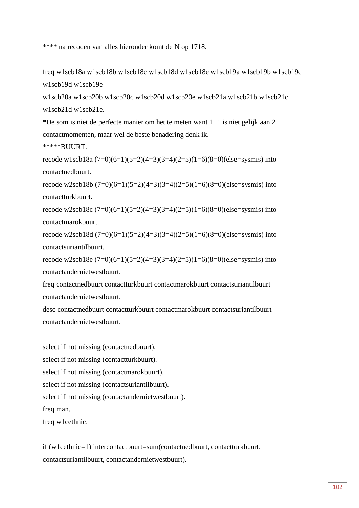\*\*\*\* na recoden van alles hieronder komt de N op 1718.

freq w1scb18a w1scb18b w1scb18c w1scb18d w1scb18e w1scb19a w1scb19b w1scb19c w1scb19d w1scb19e

w1scb20a w1scb20b w1scb20c w1scb20d w1scb20e w1scb21a w1scb21b w1scb21c w1scb21d w1scb21e.

\*De som is niet de perfecte manier om het te meten want 1+1 is niet gelijk aan 2 contactmomenten, maar wel de beste benadering denk ik.

\*\*\*\*\*BUURT.

recode w1scb18a  $(7=0)(6=1)(5=2)(4=3)(3=4)(2=5)(1=6)(8=0)(else=sysmis)$  into contactnedbuurt.

recode w2scb18b  $(7=0)(6=1)(5=2)(4=3)(3=4)(2=5)(1=6)(8=0)(else=sysmis)$  into contactturkbuurt.

recode w2scb18c  $(7=0)(6=1)(5=2)(4=3)(3=4)(2=5)(1=6)(8=0)(else=sysmis)$  into contactmarokbuurt.

recode w2scb18d  $(7=0)(6=1)(5=2)(4=3)(3=4)(2=5)(1=6)(8=0)(else=sysmis)$  into contactsuriantilbuurt.

recode w2scb18e (7=0)(6=1)(5=2)(4=3)(3=4)(2=5)(1=6)(8=0)(else=sysmis) into contactandernietwestbuurt.

freq contactnedbuurt contactturkbuurt contactmarokbuurt contactsuriantilbuurt contactandernietwestbuurt.

desc contactnedbuurt contactturkbuurt contactmarokbuurt contactsuriantilbuurt contactandernietwestbuurt.

select if not missing (contactnedbuurt). select if not missing (contactturkbuurt). select if not missing (contactmarokbuurt). select if not missing (contactsuriantilbuurt). select if not missing (contactandernietwestbuurt). freq man.

freq w1cethnic.

if (w1cethnic=1) intercontactbuurt=sum(contactnedbuurt, contactturkbuurt, contactsuriantilbuurt, contactandernietwestbuurt).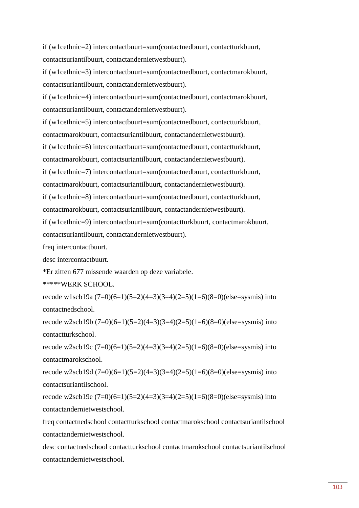if (w1cethnic=2) intercontactbuurt=sum(contactnedbuurt, contactturkbuurt, contactsuriantilbuurt, contactandernietwestbuurt).

if (w1cethnic=3) intercontactbuurt=sum(contactnedbuurt, contactmarokbuurt, contactsuriantilbuurt, contactandernietwestbuurt).

if (w1cethnic=4) intercontactbuurt=sum(contactnedbuurt, contactmarokbuurt, contactsuriantilbuurt, contactandernietwestbuurt).

if (w1cethnic=5) intercontactbuurt=sum(contactnedbuurt, contactturkbuurt,

contactmarokbuurt, contactsuriantilbuurt, contactandernietwestbuurt).

if (w1cethnic=6) intercontactbuurt=sum(contactnedbuurt, contactturkbuurt,

contactmarokbuurt, contactsuriantilbuurt, contactandernietwestbuurt).

if (w1cethnic=7) intercontactbuurt=sum(contactnedbuurt, contactturkbuurt,

contactmarokbuurt, contactsuriantilbuurt, contactandernietwestbuurt).

if (w1cethnic=8) intercontactbuurt=sum(contactnedbuurt, contactturkbuurt,

contactmarokbuurt, contactsuriantilbuurt, contactandernietwestbuurt).

if (w1cethnic=9) intercontactbuurt=sum(contactturkbuurt, contactmarokbuurt,

contactsuriantilbuurt, contactandernietwestbuurt).

freq intercontactbuurt.

desc intercontactbuurt.

\*Er zitten 677 missende waarden op deze variabele.

\*\*\*\*\*WERK SCHOOL.

recode w1scb19a  $(7=0)(6=1)(5=2)(4=3)(3=4)(2=5)(1=6)(8=0)(else=sysmis)$  into contactnedschool.

recode w2scb19b  $(7=0)(6=1)(5=2)(4=3)(3=4)(2=5)(1=6)(8=0)(else=sysmis)$  into contactturkschool.

recode w2scb19c  $(7=0)(6=1)(5=2)(4=3)(3=4)(2=5)(1=6)(8=0)(else=sysmis)$  into contactmarokschool.

recode w2scb19d  $(7=0)(6=1)(5=2)(4=3)(3=4)(2=5)(1=6)(8=0)(else=sysmis)$  into contactsuriantilschool.

recode w2scb19e  $(7=0)(6=1)(5=2)(4=3)(3=4)(2=5)(1=6)(8=0)(else=sysmis)$  into contactandernietwestschool.

freq contactnedschool contactturkschool contactmarokschool contactsuriantilschool contactandernietwestschool.

desc contactnedschool contactturkschool contactmarokschool contactsuriantilschool contactandernietwestschool.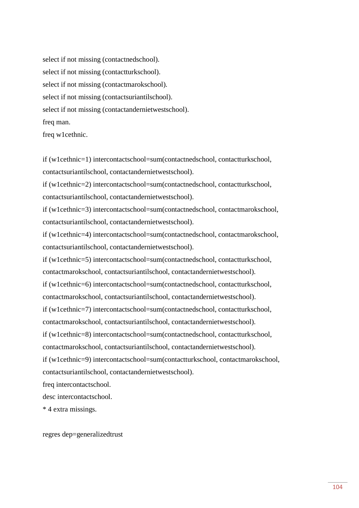select if not missing (contactnedschool). select if not missing (contactturkschool). select if not missing (contactmarokschool). select if not missing (contactsuriantilschool). select if not missing (contactandernietwestschool). freq man.

freq w1cethnic.

if (w1cethnic=1) intercontactschool=sum(contactnedschool, contactturkschool, contactsuriantilschool, contactandernietwestschool).

if (w1cethnic=2) intercontactschool=sum(contactnedschool, contactturkschool, contactsuriantilschool, contactandernietwestschool).

if (w1cethnic=3) intercontactschool=sum(contactnedschool, contactmarokschool, contactsuriantilschool, contactandernietwestschool).

if (w1cethnic=4) intercontactschool=sum(contactnedschool, contactmarokschool, contactsuriantilschool, contactandernietwestschool).

if (w1cethnic=5) intercontactschool=sum(contactnedschool, contactturkschool, contactmarokschool, contactsuriantilschool, contactandernietwestschool). if (w1cethnic=6) intercontactschool=sum(contactnedschool, contactturkschool, contactmarokschool, contactsuriantilschool, contactandernietwestschool). if (w1cethnic=7) intercontactschool=sum(contactnedschool, contactturkschool, contactmarokschool, contactsuriantilschool, contactandernietwestschool). if (w1cethnic=8) intercontactschool=sum(contactnedschool, contactturkschool, contactmarokschool, contactsuriantilschool, contactandernietwestschool).

if (w1cethnic=9) intercontactschool=sum(contactturkschool, contactmarokschool, contactsuriantilschool, contactandernietwestschool).

freq intercontactschool.

desc intercontactschool.

\* 4 extra missings.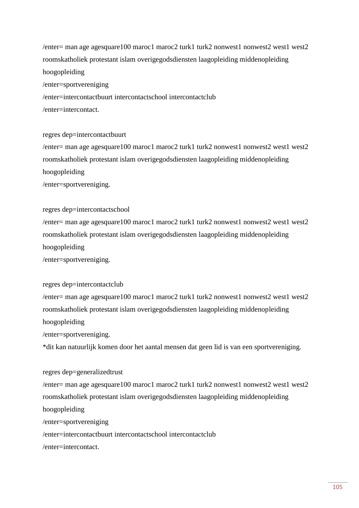$/$ enter= man age agesquare100 maroc1 maroc2 turk1 turk2 nonwest1 nonwest2 west1 west2 roomskatholiek protestant islam overigegodsdiensten laagopleiding middenopleiding hoogopleiding

/enter=sportvereniging

/enter=intercontactbuurt intercontactschool intercontactclub

/enter=intercontact.

### regres dep=intercontactbuurt

 $/$ enter= man age agesquare100 maroc1 maroc2 turk1 turk2 nonwest1 nonwest2 west1 west2 roomskatholiek protestant islam overigegodsdiensten laagopleiding middenopleiding hoogopleiding

/enter=sportvereniging.

### regres dep=intercontactschool

 $/$ enter= man age agesquare100 maroc1 maroc2 turk1 turk2 nonwest1 nonwest2 west1 west2 roomskatholiek protestant islam overigegodsdiensten laagopleiding middenopleiding hoogopleiding

/enter=sportvereniging.

## regres dep=intercontactclub

 $/$ enter= man age agesquare100 maroc1 maroc2 turk1 turk2 nonwest1 nonwest2 west1 west2 roomskatholiek protestant islam overigegodsdiensten laagopleiding middenopleiding hoogopleiding

/enter=sportvereniging.

\*dit kan natuurlijk komen door het aantal mensen dat geen lid is van een sportvereniging.

### regres dep=generalizedtrust

 $/$ enter= man age agesquare100 maroc1 maroc2 turk1 turk2 nonwest1 nonwest2 west1 west2 roomskatholiek protestant islam overigegodsdiensten laagopleiding middenopleiding hoogopleiding

/enter=sportvereniging

/enter=intercontactbuurt intercontactschool intercontactclub

/enter=intercontact.